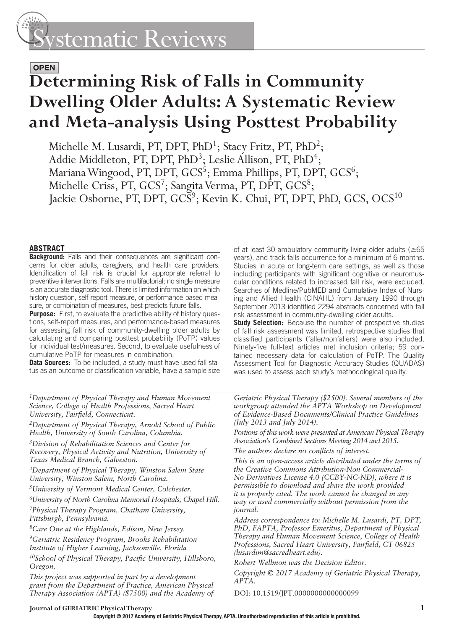# ystematic Reviews

### **OPEN**

## **Determining Risk of Falls in Community Dwelling Older Adults: A Systematic Review and Meta-analysis Using Posttest Probability**

Michelle M. Lusardi, PT, DPT, PhD<sup>1</sup>; Stacy Fritz, PT, PhD<sup>2</sup>; Addie Middleton, PT, DPT, PhD<sup>3</sup>; Leslie Allison, PT, PhD<sup>4</sup>; Mariana Wingood, PT, DPT, GCS<sup>5</sup>; Emma Phillips, PT, DPT, GCS<sup>6</sup>; Michelle Criss, PT, GCS<sup>7</sup>; Sangita Verma, PT, DPT, GCS<sup>8</sup>; Jackie Osborne, PT, DPT,  $\text{GCS}^9$ ; Kevin K. Chui, PT, DPT, PhD,  $\text{GCS}$ ,  $\text{OCS}^{10}$ 

#### **ABSTRACT**

**Background:** Falls and their consequences are significant concerns for older adults, caregivers, and health care providers. Identification of fall risk is crucial for appropriate referral to preventive interventions. Falls are multifactorial; no single measure is an accurate diagnostic tool. There is limited information on which history question, self-report measure, or performance-based measure, or combination of measures, best predicts future falls.

**Purpose:** First, to evaluate the predictive ability of history questions, self-report measures, and performance-based measures for assessing fall risk of community-dwelling older adults by calculating and comparing posttest probability (PoTP) values for individual test/measures. Second, to evaluate usefulness of cumulative PoTP for measures in combination.

**Data Sources:** To be included, a study must have used fall status as an outcome or classification variable, have a sample size

*1Department of Physical Therapy and Human Movement Science, College of Health Professions, Sacred Heart University, Fairfield, Connecticut.* 

*2Department of Physical Therapy, Arnold School of Public Health, University of South Carolina, Columbia .* 

*3Division of Rehabilitation Sciences and Center for Recovery, Physical Activity and Nutrition, University of Texas Medical Branch, Galveston .* 

*4Department of Physical Therapy, Winston Salem State University, Winston Salem, North Carolina .* 

*5University of Vermont Medical Center, Colchester .*

*6University of North Carolina Memorial Hospitals, Chapel Hill .*

*7Physical Therapy Program, Chatham University, Pittsburgh, Pennsylvania .* 

*8Care One at the Highlands, Edison, New Jersey .* 

*9Geriatric Residency Program, Brooks Rehabilitation Institute of Higher Learning, Jacksonville, Florida* 

<sup>10</sup>School of Physical Therapy, Pacific University, Hillsboro, *Oregon .*

*This project was supported in part by a development grant from the Department of Practice, American Physical Therapy Association (APTA) (\$7500) and the Academy of* 

of at least 30 ambulatory community-living older adults ( $\geq 65$ years), and track falls occurrence for a minimum of 6 months. Studies in acute or long-term care settings, as well as those including participants with significant cognitive or neuromuscular conditions related to increased fall risk, were excluded. Searches of Medline/PubMED and Cumulative Index of Nursing and Allied Health (CINAHL) from January 1990 through September 2013 identified 2294 abstracts concerned with fall risk assessment in community-dwelling older adults.

**Study Selection:** Because the number of prospective studies of fall risk assessment was limited, retrospective studies that classified participants (faller/nonfallers) were also included. Ninety-five full-text articles met inclusion criteria; 59 contained necessary data for calculation of PoTP. The Quality Assessment Tool for Diagnostic Accuracy Studies (QUADAS) was used to assess each study's methodological quality.

*Geriatric Physical Therapy (\$2500). Several members of the workgroup attended the APTA Workshop on Development of Evidence-Based Documents/Clinical Practice Guidelines (July 2013 and July 2014).* 

*Portions of this work were presented at American Physical Therapy Association's Combined Sections Meeting 2014 and 2015.* 

*The authors declare no confl icts of interest.* 

*This is an open-access article distributed under the terms of the Creative Commons Attribution-Non Commercial-No Derivatives License 4.0 (CCBY-NC-ND), where it is permissible to download and share the work provided it is properly cited. The work cannot be changed in any way or used commercially without permission from the journal.* 

*Address correspondence to:Michelle M. Lusardi, PT, DPT, PhD, FAPTA, Professor Emeritus, Department of Physical Therapy and Human Movement Science, College of Health Professions, Sacred Heart University, Fairfield, CT 06825 ( lusardim@sacredheart.edu ).* 

*Robert Wellmon was the Decision Editor.* 

*Copyright © 2017 Academy of Geriatric Physical Therapy, APTA.* 

DOI: 10.1519/JPT.0000000000000099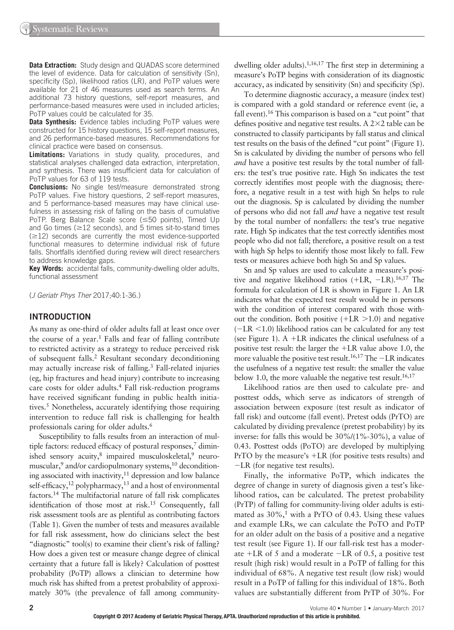**Data Extraction:** Study design and QUADAS score determined the level of evidence. Data for calculation of sensitivity (Sn), specificity (Sp), likelihood ratios (LR), and PoTP values were available for 21 of 46 measures used as search terms. An additional 73 history questions, self-report measures, and performance-based measures were used in included articles; PoTP values could be calculated for 35.

**Data Synthesis:** Evidence tables including PoTP values were constructed for 15 history questions, 15 self-report measures, and 26 performance-based measures. Recommendations for clinical practice were based on consensus.

**Limitations:** Variations in study quality, procedures, and statistical analyses challenged data extraction, interpretation, and synthesis. There was insufficient data for calculation of PoTP values for 63 of 119 tests.

**Conclusions:** No single test/measure demonstrated strong PoTP values. Five history questions, 2 self-report measures, and 5 performance-based measures may have clinical usefulness in assessing risk of falling on the basis of cumulative PoTP. Berg Balance Scale score  $(\leq 50$  points), Timed Up and Go times ( $\geq$ 12 seconds), and 5 times sit-to-stand times  $(\geq 12)$  seconds are currently the most evidence-supported functional measures to determine individual risk of future falls. Shortfalls identified during review will direct researchers to address knowledge gaps.

**Key Words:** accidental falls, community-dwelling older adults, functional assessment

(*J Geriatr Phys Ther* 2017;40:1-36.)

#### **INTRODUCTION**

As many as one-third of older adults fall at least once over the course of a year.<sup>1</sup> Falls and fear of falling contribute to restricted activity as a strategy to reduce perceived risk of subsequent falls.<sup>2</sup> Resultant secondary deconditioning may actually increase risk of falling.<sup>3</sup> Fall-related injuries (eg, hip fractures and head injury) contribute to increasing care costs for older adults.<sup>4</sup> Fall risk-reduction programs have received significant funding in public health initiatives.<sup>5</sup> Nonetheless, accurately identifying those requiring intervention to reduce fall risk is challenging for health professionals caring for older adults. 6

Susceptibility to falls results from an interaction of multiple factors: reduced efficacy of postural responses, $7$  diminished sensory acuity, $8$  impaired musculoskeletal, $9$  neuromuscular,<sup>9</sup> and/or cardiopulmonary systems,<sup>10</sup> deconditioning associated with inactivity, $11$  depression and low balance self-efficacy,  $12$  polypharmacy,  $13$  and a host of environmental factors. 14 The multifactorial nature of fall risk complicates identification of those most at risk.<sup>15</sup> Consequently, fall risk assessment tools are as plentiful as contributing factors (Table 1). Given the number of tests and measures available for fall risk assessment, how do clinicians select the best "diagnostic" tool(s) to examine their client's risk of falling? How does a given test or measure change degree of clinical certainty that a future fall is likely? Calculation of posttest probability (PoTP) allows a clinician to determine how much risk has shifted from a pretest probability of approximately 30% (the prevalence of fall among communitydwelling older adults).  $1,16,17$  The first step in determining a measure's PoTP begins with consideration of its diagnostic accuracy, as indicated by sensitivity (Sn) and specificity (Sp).

To determine diagnostic accuracy, a measure (index test) is compared with a gold standard or reference event (ie, a fall event). 16 This comparison is based on a "cut point" that defines positive and negative test results. A  $2\times2$  table can be constructed to classify participants by fall status and clinical test results on the basis of the defined "cut point" (Figure 1). Sn is calculated by dividing the number of persons who fell *and* have a positive test results by the total number of fallers: the test's true positive rate. High Sn indicates the test correctly identifies most people with the diagnosis; therefore, a negative result in a test with high Sn helps to rule out the diagnosis. Sp is calculated by dividing the number of persons who did not fall *and* have a negative test result by the total number of nonfallers: the test's true negative rate. High Sp indicates that the test correctly identifies most people who did not fall; therefore, a positive result on a test with high Sp helps to identify those most likely to fall. Few tests or measures achieve both high Sn and Sp values.

Sn and Sp values are used to calculate a measure's positive and negative likelihood ratios ( +LR, −LR). 16,17 The formula for calculation of LR is shown in Figure 1. An LR indicates what the expected test result would be in persons with the condition of interest compared with those without the condition. Both positive  $(+LR > 1.0)$  and negative  $(-LR \le 1.0)$  likelihood ratios can be calculated for any test (see Figure 1).  $A + LR$  indicates the clinical usefulness of a positive test result: the larger the +LR value above 1.0, the more valuable the positive test result. 16,17 The −LR indicates the usefulness of a negative test result: the smaller the value below 1.0, the more valuable the negative test result.  $16,17$ 

Likelihood ratios are then used to calculate pre- and posttest odds, which serve as indicators of strength of association between exposure (test result as indicator of fall risk) and outcome (fall event). Pretest odds (PrTO) are calculated by dividing prevalence (pretest probability) by its inverse: for falls this would be 30%/(1%-30%), a value of 0.43. Posttest odds (PoTO) are developed by multiplying PrTO by the measure's +LR (for positive tests results) and −LR (for negative test results).

Finally, the informative PoTP, which indicates the degree of change in surety of diagnosis given a test's likelihood ratios, can be calculated. The pretest probability (PrTP) of falling for community-living older adults is estimated as  $30\%,$ <sup>1</sup> with a PrTO of 0.43. Using these values and example LRs, we can calculate the PoTO and PoTP for an older adult on the basis of a positive and a negative test result (see Figure 1). If our fall-risk test has a moderate +LR of 5 and a moderate −LR of 0.5, a positive test result (high risk) would result in a PoTP of falling for this individual of 68%. A negative test result (low risk) would result in a PoTP of falling for this individual of 18%. Both values are substantially different from PrTP of 30%. For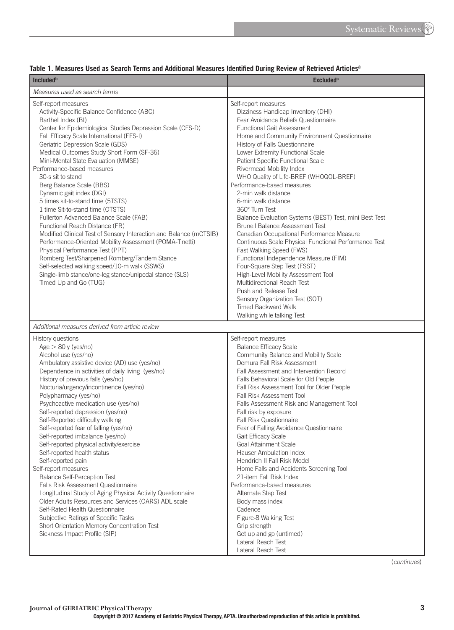| <b>Included</b> <sup>b</sup>                                                                                                                                                                                                                                                                                                                                                                                                                                                                                                                                                                                                                                                                                                                                                                                                                                                                                                                                                                                                        | <b>Excluded<sup>c</sup></b>                                                                                                                                                                                                                                                                                                                                                                                                                                                                                                                                                                                                                                                                                                                                                                                                                                                                                                                                                  |
|-------------------------------------------------------------------------------------------------------------------------------------------------------------------------------------------------------------------------------------------------------------------------------------------------------------------------------------------------------------------------------------------------------------------------------------------------------------------------------------------------------------------------------------------------------------------------------------------------------------------------------------------------------------------------------------------------------------------------------------------------------------------------------------------------------------------------------------------------------------------------------------------------------------------------------------------------------------------------------------------------------------------------------------|------------------------------------------------------------------------------------------------------------------------------------------------------------------------------------------------------------------------------------------------------------------------------------------------------------------------------------------------------------------------------------------------------------------------------------------------------------------------------------------------------------------------------------------------------------------------------------------------------------------------------------------------------------------------------------------------------------------------------------------------------------------------------------------------------------------------------------------------------------------------------------------------------------------------------------------------------------------------------|
| Measures used as search terms                                                                                                                                                                                                                                                                                                                                                                                                                                                                                                                                                                                                                                                                                                                                                                                                                                                                                                                                                                                                       |                                                                                                                                                                                                                                                                                                                                                                                                                                                                                                                                                                                                                                                                                                                                                                                                                                                                                                                                                                              |
| Self-report measures<br>Activity-Specific Balance Confidence (ABC)<br>Barthel Index (BI)<br>Center for Epidemiological Studies Depression Scale (CES-D)<br>Fall Efficacy Scale International (FES-I)<br>Geriatric Depression Scale (GDS)<br>Medical Outcomes Study Short Form (SF-36)<br>Mini-Mental State Evaluation (MMSE)<br>Performance-based measures<br>30-s sit to stand<br>Berg Balance Scale (BBS)<br>Dynamic gait index (DGI)<br>5 times sit-to-stand time (5TSTS)<br>1 time Sit-to-stand time (OTSTS)<br>Fullerton Advanced Balance Scale (FAB)<br>Functional Reach Distance (FR)<br>Modified Clinical Test of Sensory Interaction and Balance (mCTSIB)<br>Performance-Oriented Mobility Assessment (POMA-Tinetti)<br>Physical Performance Test (PPT)<br>Romberg Test/Sharpened Romberg/Tandem Stance<br>Self-selected walking speed/10-m walk (SSWS)<br>Single-limb stance/one-leg stance/unipedal stance (SLS)<br>Timed Up and Go (TUG)                                                                                | Self-report measures<br>Dizziness Handicap Inventory (DHI)<br>Fear Avoidance Beliefs Questionnaire<br><b>Functional Gait Assessment</b><br>Home and Community Environment Questionnaire<br>History of Falls Questionnaire<br>Lower Extremity Functional Scale<br>Patient Specific Functional Scale<br>Rivermead Mobility Index<br>WHO Quality of Life-BREF (WHOQOL-BREF)<br>Performance-based measures<br>2-min walk distance<br>6-min walk distance<br>360° Turn Test<br>Balance Evaluation Systems (BEST) Test, mini Best Test<br><b>Brunell Balance Assessment Test</b><br>Canadian Occupational Performance Measure<br>Continuous Scale Physical Functional Performance Test<br>Fast Walking Speed (FWS)<br>Functional Independence Measure (FIM)<br>Four-Square Step Test (FSST)<br>High-Level Mobility Assessment Tool<br>Multidirectional Reach Test<br>Push and Release Test<br>Sensory Organization Test (SOT)<br>Timed Backward Walk<br>Walking while talking Test |
| Additional measures derived from article review<br>History questions<br>$Age > 80$ y (yes/no)<br>Alcohol use (yes/no)<br>Ambulatory assistive device (AD) use (yes/no)<br>Dependence in activities of daily living (yes/no)<br>History of previous falls (yes/no)<br>Nocturia/urgency/incontinence (yes/no)<br>Polypharmacy (yes/no)<br>Psychoactive medication use (yes/no)<br>Self-reported depression (yes/no)<br>Self-Reported difficulty walking<br>Self-reported fear of falling (yes/no)<br>Self-reported imbalance (yes/no)<br>Self-reported physical activity/exercise<br>Self-reported health status<br>Self-reported pain<br>Self-report measures<br><b>Balance Self-Perception Test</b><br><b>Falls Risk Assessment Questionnaire</b><br>Longitudinal Study of Aging Physical Activity Questionnaire<br>Older Adults Resources and Services (OARS) ADL scale<br>Self-Rated Health Questionnaire<br>Subjective Ratings of Specific Tasks<br>Short Orientation Memory Concentration Test<br>Sickness Impact Profile (SIP) | Self-report measures<br><b>Balance Efficacy Scale</b><br>Community Balance and Mobility Scale<br>Demura Fall Risk Assessment<br>Fall Assessment and Intervention Record<br>Falls Behavioral Scale for Old People<br>Fall Risk Assessment Tool for Older People<br>Fall Risk Assessment Tool<br>Falls Assessment Risk and Management Tool<br>Fall risk by exposure<br>Fall Risk Questionnaire<br>Fear of Falling Avoidance Questionnaire<br>Gait Efficacy Scale<br><b>Goal Attainment Scale</b><br>Hauser Ambulation Index<br>Hendrich II Fall Risk Model<br>Home Falls and Accidents Screening Tool<br>21-item Fall Risk Index<br>Performance-based measures<br>Alternate Step Test<br>Body mass index<br>Cadence<br>Figure-8 Walking Test<br>Grip strength<br>Get up and go (untimed)<br>Lateral Reach Test                                                                                                                                                                 |

#### Table 1. Measures Used as Search Terms and Additional Measures Identified During Review of Retrieved Articles<sup>a</sup>

( *continues* )

Lateral Reach Test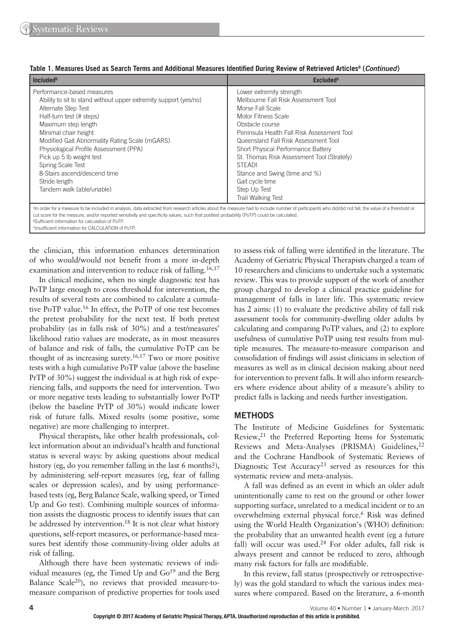| Included <sup>b</sup>                                                                                                                                                                                                                                                                                                                                                                                                       | <b>Excluded<sup>c</sup></b>                                                                                                                                                                                                                                                                                                                                                                                               |
|-----------------------------------------------------------------------------------------------------------------------------------------------------------------------------------------------------------------------------------------------------------------------------------------------------------------------------------------------------------------------------------------------------------------------------|---------------------------------------------------------------------------------------------------------------------------------------------------------------------------------------------------------------------------------------------------------------------------------------------------------------------------------------------------------------------------------------------------------------------------|
| Performance-based measures<br>Ability to sit to stand without upper extremity support (yes/no)<br>Alternate Step Test<br>Half-turn test (# steps)<br>Maximum step length<br>Minimal chair height<br>Modified Gait Abnormality Rating Scale (mGARS)<br>Physiological Profile Assessment (PPA)<br>Pick up 5 lb weight test<br>Spring Scale Test<br>8-Stairs ascend/descend time<br>Stride length<br>Tandem walk (able/unable) | Lower extremity strength<br>Melbourne Fall Risk Assessment Tool<br>Morse Fall Scale<br>Motor Fitness Scale<br>Obstacle course<br>Peninsula Health Fall Risk Assessment Tool<br>Queensland Fall Risk Assessment Tool<br>Short Physical Performance Battery<br>St. Thomas Risk Assessment Tool (Stratefy)<br><b>STEADI</b><br>Stance and Swing (time and %)<br>Gait cycle time<br>Step Up Test<br><b>Trail Walking Test</b> |

|  |  |  |  | Table 1. Measures Used as Search Terms and Additional Measures Identified During Review of Retrieved Articles <sup>a</sup> (Continued) |  |  |  |
|--|--|--|--|----------------------------------------------------------------------------------------------------------------------------------------|--|--|--|
|--|--|--|--|----------------------------------------------------------------------------------------------------------------------------------------|--|--|--|

aIn order for a measure to be included in analysis, data extracted from research articles about the measure had to include number of participants who did/did not fall, the value of a threshold or cut score for the measure, and/or reported sensitivity and specificity values, such that posttest probability (PoTP) could be calculated bSufficient information for calculation of PoTP. cInsufficient information for CALCULATION of PoTP

the clinician, this information enhances determination of who would/would not benefit from a more in-depth examination and intervention to reduce risk of falling. 16,17

In clinical medicine, when no single diagnostic test has PoTP large enough to cross threshold for intervention, the results of several tests are combined to calculate a cumulative PoTP value. 16 In effect, the PoTP of one test becomes the pretest probability for the next test. If both pretest probability (as in falls risk of 30%) and a test/measures' likelihood ratio values are moderate, as in most measures of balance and risk of falls, the cumulative PoTP can be thought of as increasing surety. 16,17 Two or more positive tests with a high cumulative PoTP value (above the baseline PrTP of 30%) suggest the individual is at high risk of experiencing falls, and supports the need for intervention. Two or more negative tests leading to substantially lower PoTP (below the baseline PrTP of 30%) would indicate lower risk of future falls. Mixed results (some positive, some negative) are more challenging to interpret.

Physical therapists, like other health professionals, collect information about an individual's health and functional status is several ways: by asking questions about medical history (eg, do you remember falling in the last 6 months?), by administering self-report measures (eg, fear of falling scales or depression scales), and by using performancebased tests (eg, Berg Balance Scale, walking speed, or Timed Up and Go test). Combining multiple sources of information assists the diagnostic process to identify issues that can be addressed by intervention.<sup>18</sup> It is not clear what history questions, self-report measures, or performance-based measures best identify those community-living older adults at risk of falling.

Although there have been systematic reviews of individual measures (eg, the Timed Up and Go<sup>19</sup> and the Berg Balance Scale<sup>20</sup>), no reviews that provided measure-tomeasure comparison of predictive properties for tools used

to assess risk of falling were identified in the literature. The Academy of Geriatric Physical Therapists charged a team of 10 researchers and clinicians to undertake such a systematic review. This was to provide support of the work of another group charged to develop a clinical practice guideline for management of falls in later life. This systematic review has 2 aims: (1) to evaluate the predictive ability of fall risk assessment tools for community-dwelling older adults by calculating and comparing PoTP values, and (2) to explore usefulness of cumulative PoTP using test results from multiple measures. The measure-to-measure comparison and consolidation of findings will assist clinicians in selection of measures as well as in clinical decision making about need for intervention to prevent falls. It will also inform researchers where evidence about ability of a measure's ability to predict falls is lacking and needs further investigation.

#### **METHODS**

The Institute of Medicine Guidelines for Systematic Review, 21 the Preferred Reporting Items for Systematic Reviews and Meta-Analyses (PRISMA) Guidelines,<sup>22</sup> and the Cochrane Handbook of Systematic Reviews of Diagnostic Test Accuracy<sup>23</sup> served as resources for this systematic review and meta-analysis.

A fall was defined as an event in which an older adult unintentionally came to rest on the ground or other lower supporting surface, unrelated to a medical incident or to an overwhelming external physical force.<sup>6</sup> Risk was defined using the World Health Organization's (WHO) definition: the probability that an unwanted health event (eg a future fall) will occur was used.<sup>24</sup> For older adults, fall risk is always present and cannot be reduced to zero, although many risk factors for falls are modifiable.

In this review, fall status (prospectively or retrospectively) was the gold standard to which the various index measures where compared. Based on the literature, a 6-month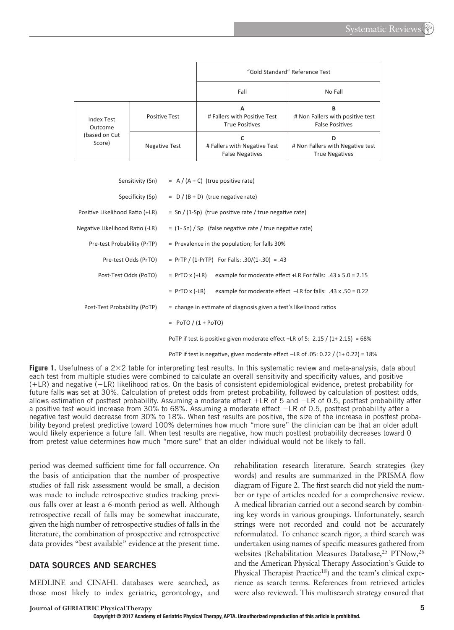|                          |                      | "Gold Standard" Reference Test                             |                                                                 |  |  |  |  |  |  |
|--------------------------|----------------------|------------------------------------------------------------|-----------------------------------------------------------------|--|--|--|--|--|--|
|                          |                      | Fall                                                       | No Fall                                                         |  |  |  |  |  |  |
| Index Test<br>Outcome    | <b>Positive Test</b> | А<br># Fallers with Positive Test<br><b>True Positives</b> | в<br># Non Fallers with positive test<br><b>False Positives</b> |  |  |  |  |  |  |
| (based on Cut)<br>Score) | Negative Test        | # Fallers with Negative Test<br><b>False Negatives</b>     | D<br># Non Fallers with Negative test<br><b>True Negatives</b>  |  |  |  |  |  |  |

| Sensitivity (Sn)                | $= A / (A + C)$ (true positive rate)                                                   |
|---------------------------------|----------------------------------------------------------------------------------------|
| Specificity (Sp)                | $= D/(B+D)$ (true negative rate)                                                       |
| Positive Likelihood Ratio (+LR) | $=$ Sn / (1-Sp) (true positive rate / true negative rate)                              |
| Negative Likelihood Ratio (-LR) | $=$ (1- Sn) / Sp (false negative rate / true negative rate)                            |
| Pre-test Probability (PrTP)     | = Prevalence in the population; for falls 30%                                          |
| Pre-test Odds (PrTO)            | = PrTP / $(1-PrTP)$ For Falls: .30/ $(1-.30)$ = .43                                    |
| Post-Test Odds (PoTO)           | $=$ PrTO x (+LR)<br>example for moderate effect +LR For falls: $.43 \times 5.0 = 2.15$ |
|                                 | $=$ PrTO x (-LR)<br>example for moderate effect $-LR$ for falls: .43 x .50 = 0.22      |
| Post-Test Probability (PoTP)    | = change in estimate of diagnosis given a test's likelihood ratios                     |
|                                 | $= PoTO / (1 + PoTO)$                                                                  |
|                                 | PoTP if test is positive given moderate effect +LR of 5: $2.15 / (1 + 2.15) = 68\%$    |
|                                 | PoTP if test is negative, given moderate effect $-LR$ of .05: 0.22 / (1+ 0.22) = 18%   |

**Figure 1.** Usefulness of a  $2 \times 2$  table for interpreting test results. In this systematic review and meta-analysis, data about each test from multiple studies were combined to calculate an overall sensitivity and specificity values, and positive ( +LR) and negative ( −LR) likelihood ratios. On the basis of consistent epidemiological evidence, pretest probability for future falls was set at 30%. Calculation of pretest odds from pretest probability, followed by calculation of posttest odds, allows estimation of posttest probability. Assuming a moderate effect +LR of 5 and −LR of 0.5, posttest probability after a positive test would increase from 30% to 68%. Assuming a moderate effect −LR of 0.5, posttest probability after a negative test would decrease from 30% to 18%. When test results are positive, the size of the increase in posttest probability beyond pretest predictive toward 100% determines how much "more sure" the clinician can be that an older adult would likely experience a future fall. When test results are negative, how much posttest probability decreases toward 0 from pretest value determines how much "more sure" that an older individual would not be likely to fall.

period was deemed sufficient time for fall occurrence. On the basis of anticipation that the number of prospective studies of fall risk assessment would be small, a decision was made to include retrospective studies tracking previous falls over at least a 6-month period as well. Although retrospective recall of falls may be somewhat inaccurate, given the high number of retrospective studies of falls in the literature, the combination of prospective and retrospective data provides "best available" evidence at the present time.

#### **DATA SOURCES AND SEARCHES**

MEDLINE and CINAHL databases were searched, as those most likely to index geriatric, gerontology, and

rehabilitation research literature. Search strategies (key words) and results are summarized in the PRISMA flow diagram of Figure 2. The first search did not yield the number or type of articles needed for a comprehensive review. A medical librarian carried out a second search by combining key words in various groupings. Unfortunately, search strings were not recorded and could not be accurately reformulated. To enhance search rigor, a third search was undertaken using names of specific measures gathered from websites (Rehabilitation Measures Database,<sup>25</sup> PTNow,<sup>26</sup> and the American Physical Therapy Association's Guide to Physical Therapist Practice<sup>18</sup>) and the team's clinical experience as search terms. References from retrieved articles were also reviewed. This multisearch strategy ensured that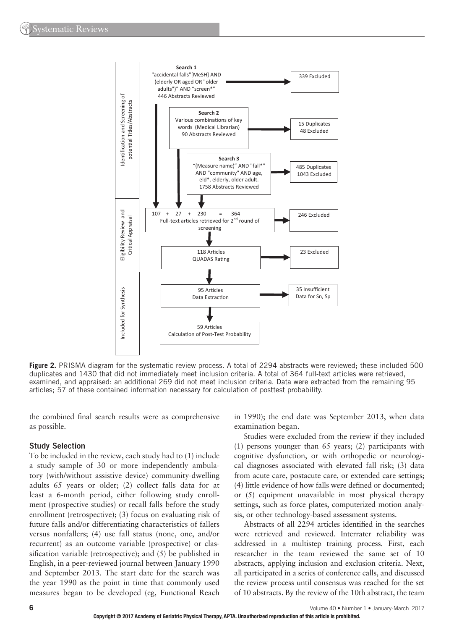

**Figure 2.** PRISMA diagram for the systematic review process. A total of 2294 abstracts were reviewed; these included 500 duplicates and 1430 that did not immediately meet inclusion criteria. A total of 364 full-text articles were retrieved, examined, and appraised: an additional 269 did not meet inclusion criteria. Data were extracted from the remaining 95 articles; 57 of these contained information necessary for calculation of posttest probability.

the combined final search results were as comprehensive as possible.

#### **Study Selection**

To be included in the review, each study had to (1) include a study sample of 30 or more independently ambulatory (with/without assistive device) community-dwelling adults 65 years or older; (2) collect falls data for at least a 6-month period, either following study enrollment (prospective studies) or recall falls before the study enrollment (retrospective); (3) focus on evaluating risk of future falls and/or differentiating characteristics of fallers versus nonfallers; (4) use fall status (none, one, and/or recurrent) as an outcome variable (prospective) or classification variable (retrospective); and  $(5)$  be published in English, in a peer-reviewed journal between January 1990 and September 2013. The start date for the search was the year 1990 as the point in time that commonly used measures began to be developed (eg, Functional Reach

in 1990); the end date was September 2013, when data examination began.

Studies were excluded from the review if they included (1) persons younger than 65 years; (2) participants with cognitive dysfunction, or with orthopedic or neurological diagnoses associated with elevated fall risk; (3) data from acute care, postacute care, or extended care settings; (4) little evidence of how falls were defined or documented; or (5) equipment unavailable in most physical therapy settings, such as force plates, computerized motion analysis, or other technology-based assessment systems.

Abstracts of all 2294 articles identified in the searches were retrieved and reviewed. Interrater reliability was addressed in a multistep training process. First, each researcher in the team reviewed the same set of 10 abstracts, applying inclusion and exclusion criteria. Next, all participated in a series of conference calls, and discussed the review process until consensus was reached for the set of 10 abstracts. By the review of the 10th abstract, the team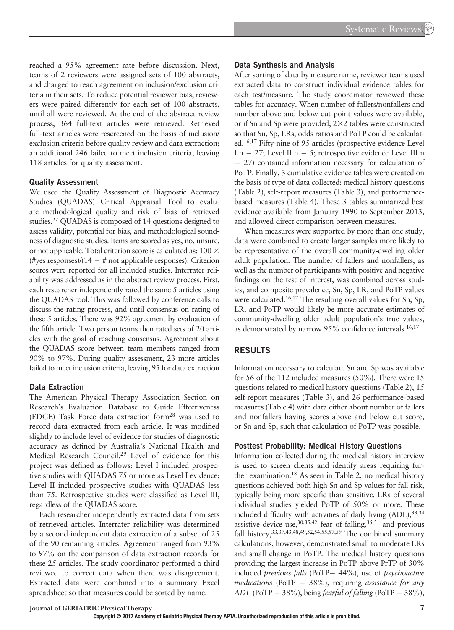reached a 95% agreement rate before discussion. Next, teams of 2 reviewers were assigned sets of 100 abstracts, and charged to reach agreement on inclusion/exclusion criteria in their sets. To reduce potential reviewer bias, reviewers were paired differently for each set of 100 abstracts, until all were reviewed. At the end of the abstract review process, 364 full-text articles were retrieved. Retrieved full-text articles were rescreened on the basis of inclusion/ exclusion criteria before quality review and data extraction; an additional 246 failed to meet inclusion criteria, leaving 118 articles for quality assessment.

#### **Quality Assessment**

We used the Quality Assessment of Diagnostic Accuracy Studies (QUADAS) Critical Appraisal Tool to evaluate methodological quality and risk of bias of retrieved studies. 27 QUADAS is composed of 14 questions designed to assess validity, potential for bias, and methodological soundness of diagnostic studies. Items are scored as yes, no, unsure, or not applicable. Total criterion score is calculated as:  $100 \times$ (#yes responses)/(14 − # not applicable responses). Criterion scores were reported for all included studies. Interrater reliability was addressed as in the abstract review process. First, each researcher independently rated the same 5 articles using the QUADAS tool. This was followed by conference calls to discuss the rating process, and until consensus on rating of these 5 articles. There was 92% agreement by evaluation of the fifth article. Two person teams then rated sets of 20 articles with the goal of reaching consensus. Agreement about the QUADAS score between team members ranged from 90% to 97%. During quality assessment, 23 more articles failed to meet inclusion criteria, leaving 95 for data extraction

#### **Data Extraction**

The American Physical Therapy Association Section on Research's Evaluation Database to Guide Effectiveness (EDGE) Task Force data extraction form<sup>28</sup> was used to record data extracted from each article. It was modified slightly to include level of evidence for studies of diagnostic accuracy as defined by Australia's National Health and Medical Research Council.<sup>29</sup> Level of evidence for this project was defined as follows: Level I included prospective studies with QUADAS 75 or more as Level I evidence; Level II included prospective studies with QUADAS less than 75. Retrospective studies were classified as Level III, regardless of the QUADAS score.

Each researcher independently extracted data from sets of retrieved articles. Interrater reliability was determined by a second independent data extraction of a subset of 25 of the 90 remaining articles. Agreement ranged from 93% to 97% on the comparison of data extraction records for these 25 articles. The study coordinator performed a third reviewed to correct data when there was disagreement. Extracted data were combined into a summary Excel spreadsheet so that measures could be sorted by name.

#### **Data Synthesis and Analysis**

After sorting of data by measure name, reviewer teams used extracted data to construct individual evidence tables for each test/measure. The study coordinator reviewed these tables for accuracy. When number of fallers/nonfallers and number above and below cut point values were available, or if Sn and Sp were provided,  $2 \times 2$  tables were constructed so that Sn, Sp, LRs, odds ratios and PoTP could be calculated. 16,17 Fifty-nine of 95 articles (prospective evidence Level I n = 27; Level II n = 5; retrospective evidence Level III n = 27) contained information necessary for calculation of PoTP. Finally, 3 cumulative evidence tables were created on the basis of type of data collected: medical history questions (Table 2), self-report measures (Table 3), and performancebased measures (Table 4). These 3 tables summarized best evidence available from January 1990 to September 2013, and allowed direct comparison between measures.

When measures were supported by more than one study, data were combined to create larger samples more likely to be representative of the overall community-dwelling older adult population. The number of fallers and nonfallers, as well as the number of participants with positive and negative findings on the test of interest, was combined across studies, and composite prevalence, Sn, Sp, LR, and PoTP values were calculated.<sup>16,17</sup> The resulting overall values for Sn, Sp, LR, and PoTP would likely be more accurate estimates of community-dwelling older adult population's true values, as demonstrated by narrow 95% confidence intervals.<sup>16,17</sup>

#### **RESULTS**

Information necessary to calculate Sn and Sp was available for 56 of the 112 included measures (50%). There were 15 questions related to medical history questions (Table 2), 15 self-report measures (Table 3), and 26 performance-based measures (Table 4) with data either about number of fallers and nonfallers having scores above and below cut score, or Sn and Sp, such that calculation of PoTP was possible.

#### **Posttest Probability: Medical History Questions**

Information collected during the medical history interview is used to screen clients and identify areas requiring further examination.<sup>18</sup> As seen in Table 2, no medical history questions achieved both high Sn and Sp values for fall risk, typically being more specific than sensitive. LRs of several individual studies yielded PoTP of 50% or more. These included difficulty with activities of daily living  $(ADL)$ ,  $33,34$ assistive device use,  $30,35,42$  fear of falling,  $35,51$  and previous fall history, 33,37,43,48,49,52,54,55,57,59 The combined summary calculations, however, demonstrated small to moderate LRs and small change in PoTP. The medical history questions providing the largest increase in PoTP above PrTP of 30% included *previous falls* (PoTP= 44%), use of *psychoactive medications* (PoTP = 38%), requiring *assistance for any ADL* (PoTP = 38%), being *fearful of falling* (PoTP = 38%),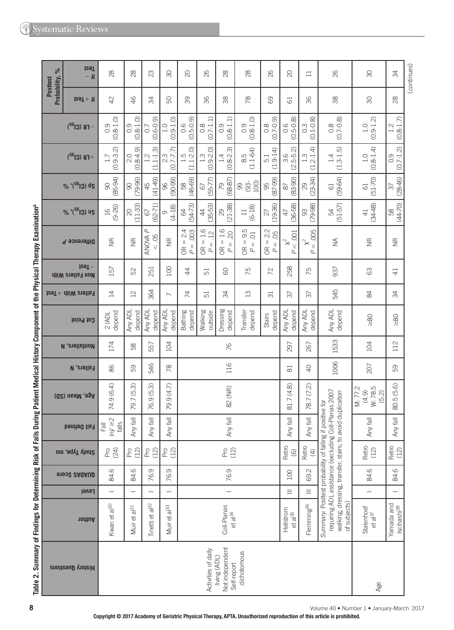| Probability, %<br><b>Posttest</b> | <b>İ</b> zəT<br>$-$ H                           | 28                                     | 28                       | 23                                   | $\infty$                           | $\infty$                                                                                          | 82                                                                                                                                                                                                                                                                                          | $^{28}$                                                                         | 28                                                                            | 82                                                                   | $\infty$                      | $\Box$                                                        | 26                             | RG                                   | 34                                    |
|-----------------------------------|-------------------------------------------------|----------------------------------------|--------------------------|--------------------------------------|------------------------------------|---------------------------------------------------------------------------------------------------|---------------------------------------------------------------------------------------------------------------------------------------------------------------------------------------------------------------------------------------------------------------------------------------------|---------------------------------------------------------------------------------|-------------------------------------------------------------------------------|----------------------------------------------------------------------|-------------------------------|---------------------------------------------------------------|--------------------------------|--------------------------------------|---------------------------------------|
|                                   | $129T + H$                                      | 42                                     | 46                       | 54                                   | S                                  | 89                                                                                                | 96                                                                                                                                                                                                                                                                                          | 88                                                                              | œ                                                                             | 89                                                                   | 5                             | 36                                                            | 38                             | 80                                   | 28                                    |
|                                   | $-$ FB (Cl <sup>a2</sup> )                      | $(0.8 - 1.0)$<br>0.9                   | $(0.8 - 1.0)$<br>0.9     | $(0.6 - 0.9)$<br>0.7                 | $(0.9 - 1.0)$<br>$\overline{1}$ .0 | $(0.5 - 0.9)$<br>0.6                                                                              | $(0.7 - 1.1)$<br>$0.\overline{8}$                                                                                                                                                                                                                                                           | $\begin{array}{c} 0.9 \\ 0.8 - 1.1 \end{array}$                                 | $(0.8 - 1.0)$<br>$\overline{0}$ .                                             | $(6.0 - 2.0)$                                                        | $0.6$<br>$(0.5-0.8)$          | $0.3$<br>$(0.1 - 0.8)$                                        | $(0.7 - 0.8)$<br>$\frac{8}{2}$ | $(0.9 - 1.2)$<br>1.0                 | $(0.8 - 1.7)$<br>1.2                  |
|                                   | $+$ FB (Cl <sup>32</sup> )                      | $(0.9 - 3.2)$<br>1.7                   | $(0.8 - 4.9)$<br>2.0     | $(1.1 - 1.3)$<br>$2.2$               | $(0.7 - 7.7)$<br>2.3               | $1.5$<br>$(1.1-2.0)$                                                                              | $(0.9 - 2.0)$<br>$1.\overline{3}$                                                                                                                                                                                                                                                           | $1.4$<br>(0.8-2.3)                                                              | $\frac{8.5}{(1.1-64)}$                                                        | $(1.9 - 14)$<br>5.1                                                  | $(2.5-5.2)$                   | $.2 - 1.4$<br>$1.\overline{3}$<br>ਦਂ                          | $(1.3 - 1.5)$<br>1.4           | $(0.8 - 1.4)$<br>$\overline{1}$ .0   | $(0.7 - 1.2)$<br>0.9                  |
|                                   | % '(SG) ds                                      | $(85-94)$<br>$\infty$                  | $(79-96)$<br>$\infty$    | $(41-49)$<br>45                      | $(90-99)$<br>96                    | $(46-69)$<br>58                                                                                   | $(55 - 77)$<br>67                                                                                                                                                                                                                                                                           | $(68-87)$<br>79                                                                 | 100)<br>$(93 -$<br>99                                                         | $(87-99)$<br>95                                                      | $(83-90)$<br>$\approx$        | $(23-34)$<br>29                                               | $(59-64)$<br>$\overline{61}$   | $(51 - 70)$<br>$61$                  | $(28-46)$<br>$\sqrt{37}$              |
|                                   | % '(SG) us                                      | $(9 - 26)$<br>$\overline{16}$          | $(11-33)$<br>$\infty$    | $(62 - 71)$<br>67                    | $(4 - 18)$<br>0                    | $(54 - 73)$<br>2                                                                                  | $(35 - 53)$<br>$\ddot{4}$                                                                                                                                                                                                                                                                   | $(21 - 38)$<br>8                                                                | $(6-18)$<br>$\Box$                                                            | $(19-36)$<br>27                                                      | $(36 - 58)$<br>$\overline{4}$ | $(79-98)$<br>SS                                               | $(51-57)$<br>$\mathbb{R}$      | $(34 - 48)$<br>$\overline{4}$        | $(44 - 70)$<br>$\mathbb{S}^2$         |
|                                   | Difference P                                    | $\widetilde{\Xi}$                      | $\widetilde{\Xi}$        | σ<br>$\widetilde{S}$<br><b>ANOVA</b> | $\frac{\alpha}{\alpha}$            | 2.4<br>$\overline{003}$<br>$\vert\vert$<br>$\lvert \rvert$<br>$\frac{\alpha}{\alpha}$<br>$\Omega$ | $= 1.6$<br>$= .12$<br>$\frac{\alpha}{\beta}$<br>$\alpha$                                                                                                                                                                                                                                    | 1.6<br>20<br>$\parallel$<br>$\mathop{  }$<br>$\frac{\alpha}{\beta}$<br>$\Delta$ | 9.5<br>$\overline{0}$<br>$\vert\vert$<br>$\parallel$<br>$\approx$<br>$\Delta$ | 22<br>.05<br>$\vert\vert$<br>$\frac{1}{2}$<br>$\frac{\alpha}{\beta}$ | $x^2$ 001<br>$\overline{a}$   | .005<br>$\mathsf{\hat{x}}^2$<br>$\parallel$<br>$\overline{a}$ | $\lessgtr$                     | $\frac{\alpha}{\alpha}$              | $\frac{\alpha}{\alpha}$               |
|                                   | $129T -$<br><b>AiiW</b> analle <sub>1</sub> noM | 157                                    | SS                       | 251                                  | 100                                | 4                                                                                                 | 51                                                                                                                                                                                                                                                                                          | 8                                                                               | 75                                                                            | $\approx$                                                            | 258                           | 75                                                            | 937                            | 8                                    | $\overline{4}$                        |
|                                   | $129T +$ thiW $219Ib$ <sub>1</sub>              | $\overline{1}$                         | $^{12}$                  | 364                                  | $\overline{\phantom{0}}$           | $\overline{7}$                                                                                    | 51                                                                                                                                                                                                                                                                                          | 34                                                                              | $\frac{3}{2}$                                                                 | $\overline{\mathrm{c}}$                                              | 57                            | 37                                                            | 545                            | 54                                   | 34                                    |
|                                   | Cut Point                                       | depend<br>$2$ IADL                     | Any ADL<br>depend        | Any ADL<br>depend                    | Any ADL<br>depend                  | Bathing<br>depend                                                                                 | Walking<br>outside                                                                                                                                                                                                                                                                          | Dressing<br>depend                                                              | Transfer<br>depend                                                            | depend<br>Stairs                                                     | Any ADL<br>depend             | Any ADL<br>depend                                             | Any ADL<br>depend              | $\geq 80$                            | $\geq 80$                             |
|                                   | M <sub>c</sub> rellers, N                       | 174                                    | 89                       | 557                                  | 104                                |                                                                                                   |                                                                                                                                                                                                                                                                                             | 76                                                                              |                                                                               |                                                                      | 297                           | 267                                                           | 1533                           | 104                                  | 112                                   |
|                                   | <b>Fallers, N</b>                               | 86                                     | 59                       | 546                                  | $\frac{8}{2}$                      |                                                                                                   |                                                                                                                                                                                                                                                                                             | 116                                                                             |                                                                               |                                                                      | 53                            | $\overline{Q}$                                                | 1006                           | 207                                  | 59                                    |
|                                   | Age, Mean (SD)                                  | 74.9 (6.4)                             | ၮ<br>ГQ.<br>79.7         | (5.3)<br>76.9                        | 79.9 (4.7)                         |                                                                                                   |                                                                                                                                                                                                                                                                                             | 82 (NR)                                                                         |                                                                               |                                                                      | (4.8)<br>81.7                 | 78.7 (7.2)                                                    |                                | W: 78.5<br>M: 77.2<br>(4.9)<br>(5.2) | 80.5 (5.6)                            |
|                                   | <b>Fall Defined</b>                             | $inj/ \geq 2$<br>$\frac{1}{6}$<br>Fall | Any fall                 | Any fall                             | Any fall                           |                                                                                                   |                                                                                                                                                                                                                                                                                             | Any fall                                                                        |                                                                               |                                                                      | Any fall                      | Any fall                                                      |                                | Any fall                             | Any fall                              |
|                                   | Study Type, mo                                  | Pro<br>(24)                            | Pro<br>(12)              | Pro<br>(12)                          | Pro<br>(12)                        |                                                                                                   |                                                                                                                                                                                                                                                                                             | P(2)                                                                            |                                                                               |                                                                      | Retro<br>$\copyright$         | Retro<br>$\bigoplus$                                          |                                | Retro<br>(12)                        | Retro<br>(12)                         |
|                                   | 91002 SAQAUD                                    | 84.6                                   | $\circ$<br>si.           | 76.9                                 | 76.9                               |                                                                                                   |                                                                                                                                                                                                                                                                                             | 76.9                                                                            |                                                                               |                                                                      | 100                           | 69.2                                                          |                                | 84.6                                 | $\circ$<br>st.                        |
|                                   | Level                                           | $\overline{\phantom{0}}$               | -                        | —                                    | $\overline{\phantom{0}}$           |                                                                                                   |                                                                                                                                                                                                                                                                                             | $\overline{\phantom{0}}$                                                        |                                                                               |                                                                      | Ξ                             | $\equiv$                                                      |                                | $\qquad \qquad -$                    | $\overline{\phantom{0}}$              |
|                                   | nodiuA                                          | Kwan et al <sup>30</sup>               | Muir et al <sup>31</sup> | Tinetti et al <sup>32</sup>          | Muir et al <sup>33</sup>           |                                                                                                   | requiring ADL assistance (excluding Coll-Planas 2007<br>walking, dressing, transfer, stairs; to avoid duplication<br>Summary: Posttest probability of falling if positive for<br>of subjects)<br>Flemming <sup>36</sup><br>Coll-Planas<br>Hellstrom<br>et al <sup>35</sup><br>et al $^{34}$ |                                                                                 |                                                                               |                                                                      |                               |                                                               |                                |                                      | Yamada and<br>Iscihashi <sup>38</sup> |
|                                   | <b>History Questions</b>                        |                                        |                          |                                      |                                    |                                                                                                   | Not independent<br>Activities of daily<br>dichotomous<br>living (ADL)<br>Self-report                                                                                                                                                                                                        |                                                                                 |                                                                               |                                                                      |                               |                                                               |                                |                                      |                                       |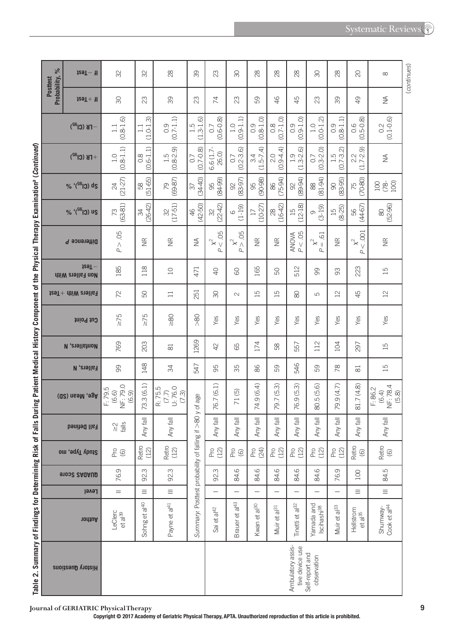| J<br>ׇ֚֘֡<br>į<br>ĺ                                                       |
|---------------------------------------------------------------------------|
| l                                                                         |
| j<br>j                                                                    |
| 5<br>Ì<br>ׇ֚֚֬֕<br>5                                                      |
|                                                                           |
| ī                                                                         |
| l<br>J                                                                    |
| ֚֕֕֡                                                                      |
| י<br>בו<br>֖֖֖֖֧ׅ֖֖֧֖֧֚֚֚֚֚֚֚֚֚֚֚֚֚֚֚֚֚֚֚֚֚֚֚֚֚֚֚֚֚֚֬֝֝֓֞֝<br>J<br>j<br>Ï |
| É<br>C<br>ē<br>$\overline{\phantom{a}}$<br>ί<br>J<br>١                    |
| j<br>i<br>l<br>i<br>i                                                     |
| j<br>l<br>1<br>I<br>Ē<br>高<br>ı                                           |

| $\%$<br><b>Posttest</b> | $129T - 11$                                     | SS                                    | 32                                | $^{28}$                              | 39                                            | 23                              | SO                               | 28                               | $\frac{8}{2}$            | $\frac{8}{2}$                        | SO                                                   | $\frac{8}{2}$                    | 20                                                    | $\infty$                              | (continues) |
|-------------------------|-------------------------------------------------|---------------------------------------|-----------------------------------|--------------------------------------|-----------------------------------------------|---------------------------------|----------------------------------|----------------------------------|--------------------------|--------------------------------------|------------------------------------------------------|----------------------------------|-------------------------------------------------------|---------------------------------------|-------------|
| Probability,            | $129T + 11$                                     | $\infty$                              | $\mathbb{S}$                      | 89                                   | 23                                            | 74                              | 23                               | 89                               | $\frac{1}{6}$            | 45                                   | $\mathbb{S}$                                         | 89                               | $\overline{Q}$                                        | $\lessapprox$                         |             |
|                         | $-FB$ (Cl <sup>32</sup> )                       | $(0.8 - 1.6)$<br>$\Box$               | $(1.0 - 1.3)$<br>$\Box$           | $(0.7 - 1.1)$<br>0.9                 | $(1.3 - 1.6)$<br>1.5                          | $(0.6 - 0.8)$<br>0.7            | $(0.9 - 1.1)$<br>1.0             | $(0.8 - 1.0)$                    | $0.8$<br>(0.7-1.0)       | $(0.9 - 1.0)$<br>0.9                 | $(0.0 - 1.2)$<br>1.0                                 | $(0.8 - 1.1)$<br>0.9             | $(0.5 - 0.8)$<br>0.6                                  | $(0.1 - 0.6)$<br>0.2                  |             |
|                         | $+$ FB (Cl <sup>32</sup> )                      | $(0.8 - 1.1)$<br>$\overline{1}$ . O   | $(0.6 - 1.1)$<br>$0.\overline{8}$ | $1.5$<br>(0.8-2.9)                   | $(0.7 - 0.8)$<br>0.7                          | 6.6 (1.7<br>26.0)               | $(0.2 - 3.6)$<br>0.7             | $(1.5-7.4)$                      | $(0.9 - 4.4)$<br>2.0     | $(1.3 - 2.6)$<br>1.9                 | $(0.3 - 2.0)$<br>$\overline{0}$                      | $(0.7 - 3.2)$<br>1.5             | $(1.7 - 2.9)$<br>2.2                                  | $\lessgtr$                            |             |
|                         | $% '(^{SGG})$ ds                                | $(21-27)$<br>24                       | $(51-65)$<br>58                   | $(69-87)$<br>79                      | $(34-40)$<br>$\sqrt{37}$                      | 95<br>84-99)                    | 92<br>(83-97)                    | 95<br>(90-98)                    | $(75-94)$<br>86          | $(89 - 94)$<br>92                    | $(81-94)$<br>$88$                                    | $(83 - 95)$<br>$\overline{6}$    | $(70-80)$<br>75                                       | $(78 - 100)$<br>100                   |             |
|                         | % '(SG) us                                      | $(63-81)$<br>73                       | $(26 - 42)$<br>R                  | $(17-51)$<br>$\approx$               | $(42 - 50)$<br>46                             | $(22-42)$<br>32                 | $(1-19)$<br>$\circlearrowright$  | $(10-27)$<br>$\overline{17}$     | $(16-42)$<br>$\approx$   | $(12 - 18)$<br>$\Xi$                 | $(3-19)$<br>G                                        | $15$<br>(8-25)                   | $(44-67)$<br>99                                       | $(52-96)$<br>$\otimes$                |             |
|                         | Difference P                                    | P > .05                               | $\widetilde{\Xi}$                 | $\widetilde{\Xi}$                    | $\lessgtr$                                    | $x2$ 05<br>$\overline{a}$       | 05<br>$x^2$                      | $\widetilde{\Xi}$                | $\widetilde{\Xi}$        | $AMOM\nP < .05$                      | $\overline{6}$<br>$\chi^2$<br>$\ $<br>$\overline{a}$ | $\frac{\alpha}{\alpha}$          | $< .001$<br>$\mathbb{\mathsf{x}}^2$<br>$\overline{a}$ | $\frac{\alpha}{\alpha}$               |             |
|                         | $129T -$<br><b>AiiW</b> analle <sub>1</sub> nol | 185                                   | 118                               | $\Box$                               | 471                                           | S                               | 8                                | 165                              | SO                       | 512                                  | 8                                                    | 8                                | 223                                                   | $\overline{15}$                       |             |
|                         | $t$ ea $T +$ $t$ hiw $t$ aall $s$               | 72                                    | 50                                | $\Box$                               | 251                                           | SO                              | $\sim$                           | $\overline{15}$                  | $\overline{15}$          | $\infty$                             | Б                                                    | $\overline{2}$                   | 45                                                    | $12$                                  |             |
|                         | thiod tug                                       | $\geq 75$                             | $\leq 75$                         | $\frac{80}{20}$                      | $\geqslant$                                   | Yes                             | Yes                              | Yes                              | Yes                      | Yes                                  | Yes                                                  | Yes                              | Yes                                                   | Yes                                   |             |
|                         | <b>N</b> , enall show                           | 769                                   | 203                               | $\approx$                            | 1269                                          | $\overline{4}$                  | 89                               | 174                              | 58                       | 557                                  | 112                                                  | 104                              | 297                                                   | $\overline{15}$                       |             |
|                         | <b>Fallers, N</b>                               | 99                                    | 148                               | 34                                   | 547                                           | 95                              | 35                               | 86                               | 59                       | 546                                  | 59                                                   | 78                               | $\approx$                                             | $\overline{15}$                       |             |
|                         | Age, Mean (SD)                                  | NF: 79.0<br>F: 79.5<br>(6.9)<br>(6.6) | 73.3(6.1)                         | U: 76.0<br>R: 75.5<br>(7.7)<br>(7.3) | 80 y of age                                   | Ą<br>$\widehat{\infty}$<br>76.7 | $\odot$<br>$\overline{7}$        | 74.9 (6.4)                       | 79.7 (5.3)               | 76.9 (5.3)                           | 80.5 (5.6)                                           | 79.9 (4.7)                       | 81.7 (4.8)                                            | NF: 78.4<br>F: 86.2<br>(6.4)<br>(5.8) |             |
|                         | Fall Defined                                    | $\frac{2}{\sqrt{2}}$                  | 同<br>Any                          | $\overline{\overline{5}}$<br>Any     |                                               | 局<br>Any                        | $\overline{\overline{6}}$<br>Any | $\overline{\overline{6}}$<br>Any | 司<br>Any                 | 司<br>Any                             | 局<br>Any                                             | $\overline{\overline{6}}$<br>Any | $\overline{\mathbb{F}}$<br>Any                        | $\overline{\overline{6}}$<br>Any      |             |
|                         | Study Type, mo                                  | $^{26}_{-60}$                         | Retro<br>(12)                     | Retro<br>(12)                        |                                               | Pro<br>(12)                     | $^{26}_{-60}$                    | Pro<br>(24)                      | P(2)                     | P(2)                                 | P(2)                                                 | Pro<br>(12)                      | Retro<br>$\copyright$                                 | Retro<br>$\circledcirc$               |             |
|                         | 91002 2AQAUD                                    | 76.9                                  | 92.3                              | 92.3                                 |                                               | 92.3                            | 84.6                             | 84.6                             | 84.6                     | 84.6                                 | 84.6                                                 | 76.9                             | 100                                                   | 84.5                                  |             |
|                         | <b>Level</b>                                    | $=$                                   | $\equiv$                          | $\equiv$                             |                                               | $\overline{\phantom{0}}$        | -                                | —                                | —                        | —                                    | $\overline{\phantom{0}}$                             | $\overline{\phantom{0}}$         | $\equiv$                                              | $\equiv$                              |             |
|                         | <b>10thuA</b>                                   | LeClerc<br>$et$ a $ ^{39}$            | Sohng et al <sup>40</sup>         | Payne et al <sup>41</sup>            | Summary: Posttest probability of falling if > | Sai et al <sup>42</sup>         | Brauer et al <sup>43</sup>       | Kwan et al <sup>30</sup>         | Muir et al <sup>31</sup> | Tinetti et al <sup>32</sup>          | Yamada and<br>Iscihashi <sup>38</sup>                | Muir et al <sup>33</sup>         | Hellstrom<br>et al <sup>35</sup>                      | Cook et al <sup>44</sup><br>Shumway-  |             |
|                         | <b>History Questions</b>                        |                                       |                                   |                                      |                                               |                                 |                                  |                                  |                          | Ambulatory assis-<br>tive device use | Self-report and<br>observation                       |                                  |                                                       |                                       |             |

Journal of GERIATRIC Physical Therapy<br>Copyright © 2017 Academy of Geriatric Physical Therapy, APTA. Unauthorized reproduction of this article is prohibited.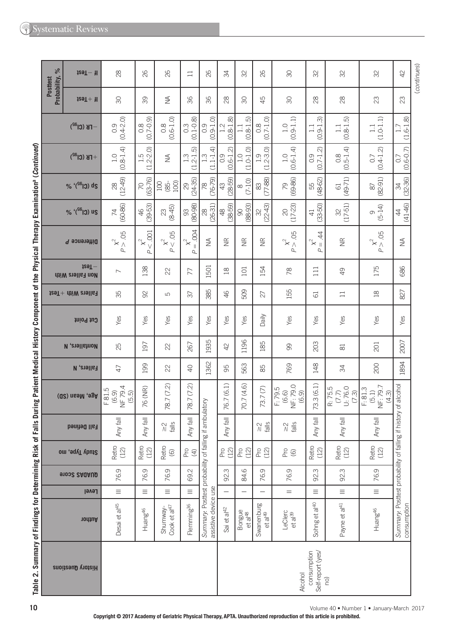|                                                                                                                                                                                                                                             |                            | $129I - 1$                        | 28                                 | 82                            | 26                                                   | $\Box$                                                  | 26                                                                             | 34                           | 32                              | 26                                                     | $\infty$                                                      | 32                                         | SS                                     | SS                                        | $42$                                                                          | (continues) |
|---------------------------------------------------------------------------------------------------------------------------------------------------------------------------------------------------------------------------------------------|----------------------------|-----------------------------------|------------------------------------|-------------------------------|------------------------------------------------------|---------------------------------------------------------|--------------------------------------------------------------------------------|------------------------------|---------------------------------|--------------------------------------------------------|---------------------------------------------------------------|--------------------------------------------|----------------------------------------|-------------------------------------------|-------------------------------------------------------------------------------|-------------|
|                                                                                                                                                                                                                                             | Probability, %<br>Posttest | $129T + 11$                       | $\infty$                           | 89                            | $\stackrel{\triangle}{\geq}$                         | 96                                                      | 96                                                                             | 28                           | $\infty$                        | 45                                                     | $\infty$                                                      | $\infty$                                   | $\infty$                               | 23                                        | 23                                                                            |             |
|                                                                                                                                                                                                                                             |                            | $-FB(GI^{32})$                    | $0.9$<br>$0.4 - 2.0$               | $(6.0 - 2.0)$                 | $(0.6 - 1.0)$<br>$0.\overline{8}$                    | $(0.1 - 0.8)$<br>$0.\overline{3}$                       | $(0.9 - 1.0)$<br>0.9                                                           | $(0.8 - 1.8)$<br>$1.2$       | $(0.8 - 1.5)$                   | $(0.7 - 1.0)$<br>$0.\overline{8}$                      | $(0.9 - 1.1)$<br>1.0                                          | $(0.9 - 1.3)$<br>$\Box$                    | $(0.8 - 1.5)$<br>$\Box$                | $(1.0 - 1.1)$<br>$\Box$                   | $(1.6 - 1.8)$<br>1.7                                                          |             |
|                                                                                                                                                                                                                                             |                            | $+$ FB (Cl <sup>32</sup> )        | $(0.8 - 1.4)$<br>1.0               | $1.5$<br>$(1.2-2.0)$          | $\frac{1}{2}$                                        | $(1.2 - 1.5)$<br>$1.\overline{3}$                       | $(1.1 - 1.4)$<br>$1.\overline{3}$                                              | $(0.6 - 1.2)$<br>0.9         | $(1.0 - 1.0)$<br>$\frac{0}{1}$  | $(1.2 - 3.0)$<br>1.9                                   | $(0.6 - 1.4)$<br>$\overline{1}$ . O                           | $(0.7 - 1.2)$<br>$\overline{O}$ .          | $(0.5 - 1.4)$<br>$\frac{8}{2}$         | $(0.4 - 1.2)$<br>0.7                      | $(0.6 - 0.7)$<br>0.7                                                          |             |
|                                                                                                                                                                                                                                             |                            | % '(SG) ds                        | $(12-49)$<br>$^{28}$               | $(63 - 76)$<br>$\overline{C}$ | $(85 -$<br>100)<br>$100\,$                           | $(24-35)$<br>29                                         | $(76-79)$<br>78                                                                | $(28-59)$<br>43              | $(7-10)$<br>$\infty$            | $(77-88)$<br>83                                        | $(69-86)$<br>20                                               | $(48-62)$<br>55                            | $(49 - 71)$<br>$61$                    | $(82 - 91)$<br>$\approx$                  | $(32 - 36)$<br>$\frac{1}{2}$                                                  |             |
|                                                                                                                                                                                                                                             |                            | % '(SG) us                        | $(60 - 86)$<br>$\overline{7}$      | $(39 - 53)$<br>$46$           | $(8 - 45)$<br>23                                     | $(80 - 98)$<br>S                                        | $(26-31)$<br>$\approx$                                                         | $(38 - 59)$<br>$\frac{8}{3}$ | $(88 - 93)$<br>$\infty$         | $(22-43)$<br>SS                                        | $(17-23)$<br>$\rm \approx$                                    | $(33 - 50)$<br>$\overline{4}$              | $(17-51)$<br>SS.                       | $(5 - 14)$<br>$\infty$                    | $(41 - 46)$<br>$\ddot{4}$                                                     |             |
|                                                                                                                                                                                                                                             |                            | Difference P                      | P > .05<br>$\mathbf{\hat{x}}^2$    | $x2$ 001<br>$\overline{a}$    | $< .05$<br>$\mathsf{\hat{x}}^2$<br>$\Delta$          | <b>ROG</b><br>$\chi^2$<br>$\parallel$<br>$\overline{a}$ | $\lessgtr$                                                                     | $\frac{\alpha}{\alpha}$      | $\frac{\alpha}{\alpha}$         | $\widetilde{\Xi}$                                      | P > .05<br>$\mathbf{\hat{x}}^2$                               | $\ddot{4}$<br>$\chi^2$<br>$\parallel$<br>ρ | $\frac{\alpha}{\alpha}$                | $p^{2}$ 05                                | $\lessgtr$                                                                    |             |
|                                                                                                                                                                                                                                             |                            | rest-<br><b>Non Fallers With</b>  | $\overline{\phantom{0}}$           | 138                           | 22                                                   | 77                                                      | 1501                                                                           | $^{28}$                      | 101                             | 154                                                    | R <sub>8</sub>                                                | $\overline{11}$                            | $\overline{6}$                         | 175                                       | 686                                                                           |             |
|                                                                                                                                                                                                                                             |                            | $t$ ea $T +$ $t$ hiW $t$ aall $s$ | 35                                 | $\Im$                         | ഥ                                                    | 57                                                      | 385                                                                            | 46                           | 509                             | 27                                                     | 155                                                           | $\overline{61}$                            | $\Box$                                 | $^{20}$                                   | 827                                                                           |             |
|                                                                                                                                                                                                                                             |                            | Cut Point                         | Yes<br>Yes<br>Yes<br>Yes           |                               | Yes                                                  | Yes                                                     | Yes                                                                            | Daily                        | Yes                             | Yes                                                    | Yes                                                           | Yes                                        | Yes                                    |                                           |                                                                               |             |
|                                                                                                                                                                                                                                             |                            | <b>N</b> , enall show             | 25                                 | 197                           | 22                                                   | 267                                                     | 1935                                                                           | 42                           | 1196                            | 185                                                    | 8                                                             | 203                                        | $\approx$                              | 201                                       | 2007                                                                          |             |
|                                                                                                                                                                                                                                             |                            | <b>Fallers, N</b>                 | 47                                 | 199                           | 22                                                   | $\overline{Q}$                                          | 1362                                                                           | 95                           | 563                             | 85                                                     | 769                                                           | 148                                        | 34                                     | 200                                       | 1894                                                                          |             |
|                                                                                                                                                                                                                                             |                            | Age, Mean (SD)                    | NF 79.4<br>F81.5<br>(6.9)<br>(5.5) | 76 (NR)                       | 78.7 (7.2)                                           | 78.7 (7.2)                                              |                                                                                | (6.1)<br>76.7                | 70.7 (4.6)                      | 73.7(7)                                                | $(6.6)$<br>NF: 79.0<br>(6.9)<br>F: 79.5                       | 73.3(6.1)                                  | U: 76.0<br>R: 75.5<br>$(7.7)$<br>(7.3) | NF: 79.7<br>F: 81.3<br>(5.1)<br>(4.3)     |                                                                               |             |
|                                                                                                                                                                                                                                             |                            | Fall Defined                      | Any fall                           | Any fall                      | $\stackrel{\textstyle\sim}{\textstyle\sim}$<br>falls | Any fall                                                |                                                                                | Any fall                     |                                 | $\stackrel{\textstyle\sim}{\scriptstyle\sim}$<br>falls | $\stackrel{\textstyle\sim}{\textstyle\sim}$<br>$\frac{2}{10}$ | Any fall                                   | Any fall                               | Any fall                                  |                                                                               |             |
|                                                                                                                                                                                                                                             |                            | Study Type, mo                    | Retro<br>(12)                      | Retro<br>(12)                 | Retro<br>$\copyright$                                | $\frac{6}{7}$ $\oplus$                                  |                                                                                | Pro<br>(12)                  | Pro<br>(12)                     | P(2)                                                   | $^{26}_{-60}$                                                 | Retro<br>(12)                              | Retro<br>(12)                          | Retro<br>(12)                             |                                                                               |             |
|                                                                                                                                                                                                                                             |                            | <b>91002 SAQAUD</b>               | 76.9                               | 76.9                          | 76.9                                                 | 69.2                                                    |                                                                                | $\omega$<br>S.               | $\circ$<br>st.                  | 76.9                                                   | 76.9                                                          | m<br>S.                                    | 92.3                                   | 76.9                                      |                                                                               |             |
|                                                                                                                                                                                                                                             |                            | Level                             | Ξ                                  | Ξ                             | Ξ                                                    | $\equiv$                                                |                                                                                |                              |                                 |                                                        | $=$                                                           | Ξ                                          | $\equiv$                               | $\equiv$                                  |                                                                               |             |
|                                                                                                                                                                                                                                             |                            | nothuA                            | Desai et al <sup>45</sup>          | Huang <sup>46</sup>           | Cook et al <sup>47</sup><br>Shumway-                 | Flemming <sup>36</sup>                                  | Summary: Posttest probability of falling if ambulatory<br>assistive device use | Sai et al <sup>42</sup>      | Bongue<br>$et$ al <sup>48</sup> | Swanenburg<br>et al <sup>49</sup>                      | LeClerc<br>et al <sup>39</sup>                                | Sohng et al <sup>40</sup>                  | Payne et al <sup>41</sup>              | Huang <sup>46</sup>                       | Summary: Posttest probability of falling if history of alcohol<br>consumption |             |
| Table 2. Summary of Findings for Determining Risk of Falls During Patient Medical History Component of the Physical Therapy Examination <sup>a</sup> (Continued)<br>consumption<br>Self-report (yes/<br>History Questions<br>Alcohol<br>(ou |                            |                                   |                                    |                               |                                                      |                                                         |                                                                                |                              |                                 |                                                        |                                                               |                                            |                                        |                                           |                                                                               |             |
| 10                                                                                                                                                                                                                                          |                            |                                   |                                    |                               |                                                      |                                                         |                                                                                |                              |                                 |                                                        |                                                               |                                            |                                        | Volume 40 · Number 1 · January-March 2017 |                                                                               |             |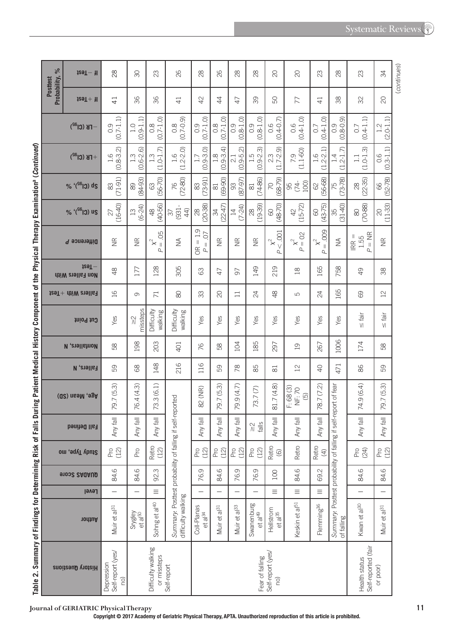|                                                                                                                                                                                                                                | $\frac{6}{6}$            | $129T - 11$                         | 28                                     | $\infty$                                                  | 23                                     | 26                                                                | 28                                                                                  | 82                                | 28                               | 28                          | $\overline{C}$                         | $\overline{C}$                                         | 23                                          | 28                                                        | 23                                   | 34                                              |
|--------------------------------------------------------------------------------------------------------------------------------------------------------------------------------------------------------------------------------|--------------------------|-------------------------------------|----------------------------------------|-----------------------------------------------------------|----------------------------------------|-------------------------------------------------------------------|-------------------------------------------------------------------------------------|-----------------------------------|----------------------------------|-----------------------------|----------------------------------------|--------------------------------------------------------|---------------------------------------------|-----------------------------------------------------------|--------------------------------------|-------------------------------------------------|
|                                                                                                                                                                                                                                | Probability,<br>Posttest | $129T + 11$                         | $\overline{4}$                         | 96                                                        | 96                                     | $\overline{4}$                                                    | 42                                                                                  | 4                                 | $\overline{4}$                   | 89                          | 50                                     | 77                                                     | $\overline{4}$                              | 88                                                        | 32                                   | $\infty$                                        |
|                                                                                                                                                                                                                                |                          | $-TB$ (Cl <sup>32</sup> )           | $(0.7 - 1.1)$<br>0.9                   | $(0.9 - 1.1)$<br>1.0                                      | $0.8$<br>(0.7-1.0)                     | $(0.7 - 0.9)$<br>$\frac{8}{2}$                                    | $(0.7 - 1.0)$<br>0.9                                                                | $(0.7 - 1.0)$<br>$0.\overline{8}$ | $(0.8 - 1.0)$<br>0.9             | $(0.8 - 1.0)$<br>0.9        | $(0.4 - 0.7)$<br>0.6                   | $(0.4 - 1.0)$<br>0.6                                   | $(0.4 - 1.0)$<br>$\overline{O}$ .           | $.8 - 0.9$<br>0.9<br>$\circledcirc$                       | $(0.4 - 1.1)$<br>0.7                 | $(2.0 - 1.1)$<br>1.2                            |
|                                                                                                                                                                                                                                |                          | $+$ FB (Cl <sup>32</sup> )          | $(0.8 - 3.2)$<br>1.6                   | $(0.6 - 2.6)$<br>1.3                                      | $(1.0 - 1.7)$<br>$1.\overline{3}$      | $1.6$<br>$(1.2 - 2.0)$                                            | $(0.9 - 3.0)$                                                                       | $(0.9 - 3.4)$<br>œ                | $(0.9 - 5.2)$<br>$\overline{c}$  | $(0.9 - 2.3)$<br>1.5        | $(1.7 - 2.9)$<br>2.3                   | $(1.1 - 60)$<br>7.9                                    | $1.6$<br>$(1.2-2.1)$                        | $.2 - 1.7$<br>4<br>$\overline{\phantom{0}}$<br>U          | $(1.0 - 1.3)$<br>$\Box$              | $\begin{array}{c} 0.6 \\ (0.3-1.1) \end{array}$ |
|                                                                                                                                                                                                                                |                          | % '( <sup>S6</sup> I3) ds           | $(71-91)$<br>83                        | $(84-93)$<br>89                                           | $(56 - 70)$<br>63                      | $(72-80)$<br>76                                                   | $(73-91)$<br>$\stackrel{\sim}{\infty}$                                              | $(69 - 90)$<br>81                 | $(87-97)$<br>93                  | $(74-86)$<br>$\approx$      | $(68 - 79)$<br>70                      | 100)<br>$(74 -$<br>95                                  | $(56 - 68)$<br>8                            | $(73 - 78)$<br>75                                         | $(22 - 35)$<br>$\approx$             | $(52 - 78)$<br>66                               |
|                                                                                                                                                                                                                                |                          | % '(SG) us                          | $(16-40)$<br>27                        | $(6-24)$<br>$\Xi$                                         | $(40 - 56)$<br>$\frac{8}{3}$           | $(931 -$<br>44<br>57                                              | $(20-38)$<br>$\infty$                                                               | $(22-47)$<br>R                    | $(7 - 24)$<br>$\overline{4}$     | $(19-39)$<br>28             | $(48 - 70)$<br>8                       | $(15-72)$<br>$\overline{4}$                            | $(43 - 75)$<br>$\odot$                      | $(31 - 40)$<br>35                                         | $(70 - 88)$<br>$\otimes$             | $(11-33)$<br>$\gtrsim$                          |
|                                                                                                                                                                                                                                |                          | Difference P                        | $\widetilde{\Xi}$                      | $\frac{\alpha}{\beta}$                                    | 05<br>$\approx$<br>$\, \parallel$<br>р | $\lessgtr$                                                        | 1.9<br>O.<br>$\parallel$<br>$\lVert \cdot \rVert$<br>OR<br>$\overline{\mathcal{L}}$ | $\widetilde{\Xi}$                 | $\widetilde{\Xi}$                | $\widetilde{\Xi}$           | $\overline{0}$<br>$x^2$<br>$\vee$<br>Р | $x^2 = 02$<br>ρ                                        | ,009<br>$\mathsf{x}^2$<br>$\vert\vert$<br>Ъ | $\lessgtr$                                                | $P = NR$<br>$IRR =$<br>1.55          | $\frac{\alpha}{\beta}$                          |
|                                                                                                                                                                                                                                |                          | $129T -$<br><b>Non Fallers With</b> | $\frac{8}{3}$                          | 177                                                       | 128                                    | 305                                                               | 8                                                                                   | $\overline{4}$                    | 5                                | 149                         | 219                                    | $\mathop{20}\limits^{\circ}$                           | 165                                         | 758                                                       | $\overline{Q}$                       | 88                                              |
|                                                                                                                                                                                                                                |                          | $129T +$ $11W$ $219$ $167$          | $\frac{1}{6}$                          | G                                                         | $\overline{71}$                        | 80                                                                | 33                                                                                  | $\infty$                          | $\Box$                           | 24                          | $\frac{8}{4}$                          | LO                                                     | 24                                          | 165                                                       | 69                                   | $\geq$                                          |
|                                                                                                                                                                                                                                |                          | tnio9 tug                           | Yes                                    | missteps<br>$\stackrel{\textstyle\sim}{\scriptstyle\sim}$ | Difficulty<br>walking                  | Difficulty<br>walking                                             | Yes                                                                                 | Yes                               | Yes                              | Yes                         | Yes                                    | Yes                                                    | Yes                                         | Yes                                                       | ingl<br>V <sub>1</sub>               | $\frac{1}{16}$                                  |
|                                                                                                                                                                                                                                |                          | <b>N</b> , enall show               | 89                                     | 198                                                       | 203                                    | 401                                                               | 76                                                                                  | 89                                | 104                              | 185                         | 297                                    | $\overline{a}$                                         | 267                                         | 1006                                                      | 174                                  | 89                                              |
|                                                                                                                                                                                                                                |                          | <b>Fallers, N</b>                   | 59                                     | 89                                                        | 148                                    | 216                                                               | 116                                                                                 | 59                                | $\frac{8}{2}$                    | 85                          | $\approx$                              | $^{12}$                                                | $\overline{Q}$                              | 471                                                       | 86                                   | 59                                              |
| is hanged and his called the control of the company of the company of the content of the content of the content of the content of the content of the content of the content of the content of the content of the content of th |                          | Age, Mean (SD)                      | 79.7 (5.3)                             | (4.3)<br>76.4                                             | (6.1)<br>$\infty$<br>73.               | self-reported                                                     | 82 (NR)                                                                             | 79.7 (5.3)                        | 79.9 (4.7)                       | 73.7(7)                     | 81.7 (4.8)                             | F: 68 (3)<br><b>NF: 70</b><br>$\widetilde{\mathbf{5}}$ | 78.7 (7.2)                                  | self-report of fear                                       | 74.9 (6.4)                           | 79.7 (5.3)                                      |
|                                                                                                                                                                                                                                |                          | <b>Fall Defined</b>                 | Any                                    | 局<br>Any                                                  | 同<br>Any                               |                                                                   | $\overline{\overline{\overline{6}}}$<br>Any                                         | 局<br>Any                          | $\overline{\overline{6}}$<br>Any | $\frac{1}{\sqrt{2}}$        | 同<br>Any                               | $\overline{\overline{6}}$<br>Any                       | lle <sub>3</sub><br>Any                     |                                                           | $\overline{\overline{6}}$<br>Any     | $  e_j  $<br>Any                                |
|                                                                                                                                                                                                                                |                          | Study Type, mo                      | P(2)                                   | Pro                                                       | Retro<br>(12)                          |                                                                   | Pro<br>(12)                                                                         | P(2)                              | P(2)                             | Pro<br>(12)                 | Retro<br>$\odot$                       | Retro                                                  | Retro<br>$\bigoplus$                        |                                                           | Pro<br>(24)                          | Pro<br>(12)                                     |
|                                                                                                                                                                                                                                |                          | <b>91002 SAQAUD</b>                 | 84.6                                   | $\circ$<br>st.                                            | m<br>S.                                |                                                                   | 0<br>76.                                                                            | 84.6                              | 76.9                             | O<br>76.                    | 100                                    | $\circ$<br>$\alpha$                                    | 69.2                                        |                                                           | 84.6                                 | 84.6                                            |
|                                                                                                                                                                                                                                |                          | Level                               |                                        |                                                           | ≡                                      |                                                                   |                                                                                     |                                   |                                  |                             | $\equiv$                               | $\equiv$                                               | $\equiv$                                    |                                                           |                                      |                                                 |
|                                                                                                                                                                                                                                |                          | nodtuA                              | Muir et al <sup>31</sup>               | Srygley<br>et al <sup>50</sup>                            | Sohng et al <sup>40</sup>              | Summary: Posttest probability of falling if<br>difficulty walking | Coll-Planas<br>et al $^{34}$                                                        | Muir et al <sup>31</sup>          | Muir et al <sup>33</sup>         | Swanenburg<br>et a $ ^{49}$ | Hellstrom<br>et a <sup>135</sup>       | Keskin et al <sup>51</sup>                             | Flemming <sup>36</sup>                      | Summary: Posttest probability of falling if<br>of falling | Kwan et al <sup>30</sup>             | Muir et al <sup>31</sup>                        |
| anic <: > allian y on risus no becaming risus no ra                                                                                                                                                                            |                          | History Questions                   | Self-report (yes/<br>Depression<br>(ou |                                                           | Difficulty walking<br>or missteps      | Self-report                                                       |                                                                                     |                                   |                                  | Fear of falling             | Self-report (yes/<br>(ou               |                                                        |                                             |                                                           | Self-reported (fair<br>Health status | or poor)                                        |

**Table 2.Summary of Findings for Determining Risk of Falls During Patient Medical History Component of the Physical Therapy Examinationa (** *Continued* **)**  Summary of Findings for Determining Risk of Falls During Patient Medical History Component of the Physical Therapy Examination<sup>a</sup> (Continued) Tahle 2

(continues) ( *continues* )

**Copyright © 2017 Academy of Geriatric Physical Therapy, APTA. Unauthorized reproduction of this article is prohibited.**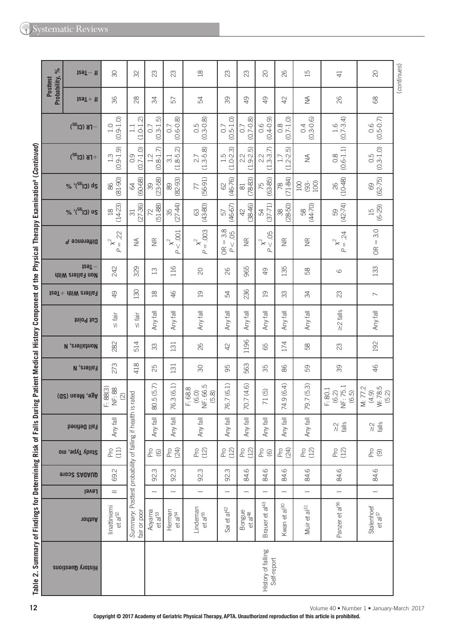|                                                                                                                                                                                                                               | $129T - 1$                                                  | $\infty$                                                         | SS                                                                          | 23                              | 23                                            | $\approx$                                                      | 23                                                | 23                            | $\infty$                                      | 82                                | 15                           | $\overline{4}$                          | $\infty$                               | (continues) |
|-------------------------------------------------------------------------------------------------------------------------------------------------------------------------------------------------------------------------------|-------------------------------------------------------------|------------------------------------------------------------------|-----------------------------------------------------------------------------|---------------------------------|-----------------------------------------------|----------------------------------------------------------------|---------------------------------------------------|-------------------------------|-----------------------------------------------|-----------------------------------|------------------------------|-----------------------------------------|----------------------------------------|-------------|
| Probability, %<br>Posttest                                                                                                                                                                                                    | $129T + 11$                                                 | 36                                                               | 88                                                                          | 54                              | 57                                            | R                                                              | 89                                                | $\overline{9}$                | $\overline{6}$                                | $\overline{4}$                    | $\stackrel{\triangle}{\geq}$ | $\infty$                                | $\otimes$                              |             |
|                                                                                                                                                                                                                               | $FB$ (Cl <sup>32</sup> )                                    | $(0.9 - 1.0)$<br>1.0                                             | $(1.0 - 1.2)$<br>1.1                                                        | $(0.3 - 1.5)$<br>$\overline{O}$ | $0.7$<br>$(0.6-0.8)$                          | $0.5$<br>$(0.3 - 0.8)$                                         | $(0.5 - 1.0)$<br>$\sim$                           | $(0.7 - 0.8)$<br>0.7          | $(0.4 - 0.9)$<br>0.6                          | $(0.7 - 1.0)$<br>$0.\overline{8}$ | $0.4$<br>$(0.3 - 0.6)$       | $1.6$<br>(0.7-3.4)                      | $0.5 - 0.7$                            |             |
|                                                                                                                                                                                                                               | $+$ FB (Cl <sup>32</sup> )                                  | $(0.9 - 1.9)$<br>$1.\overline{3}$                                | $(0.7 - 1.0)$<br>0.9                                                        | $(0.8 - 1.7)$                   | $3.1$<br>(1.8-5.2)                            | $(1.3 - 5.8)$<br>2.7                                           | $1.5$<br>(1.0-2.3)                                | $2.2$<br>$(1.9-2)$            | $22$<br>$3.7$<br>U                            | 6<br>$(1.2 - 2.$<br>1.7           | $\lessgtr$                   | $(0.6 - 1.1)$<br>$0.\overline{8}$       | $(0.3 - 1.0)$<br>0.5                   |             |
|                                                                                                                                                                                                                               | % '(Sep) ds                                                 | $(81-90)$<br>86                                                  | $(60 - 68)$<br>$\mathcal{Q}$                                                | $(23 - 58)$<br>39               | $(82 - 93)$<br>89                             | $(56-91)$<br>77                                                | $(46 - 76)$<br>$\odot$                            | $(78-83)$<br>$\approx$        | 75<br>(63-85)                                 | $(71-84)$<br>78                   | $(93 - 100)$<br>$100\,$      | $(10-48)$<br>26                         | $(62 - 75)$<br>69                      |             |
|                                                                                                                                                                                                                               | % '(SG) us                                                  | $(14-23)$<br>$\Xi$                                               | $(27-36)$<br>$\overline{\mathcal{E}}$                                       | $(51 - 88)$<br>22               | $(27-44)$<br>35                               | $(43-80)$<br>$\mathbb{G}$                                      | $(46-67)$<br>57                                   | $(38-46)$<br>$\overline{4}$   | $(37 - 71)$<br>R                              | $(28-50)$<br>38                   | $(44 - 70)$<br>89            | $(42 - 74)$<br>$\mathbb S$              | $(6-29)$<br>$\overline{15}$            |             |
|                                                                                                                                                                                                                               | Difference P                                                | 22.<br>$\mathbf{\hat{x}}^2$<br>$\lvert \rvert$<br>$\overline{a}$ | $\lessgtr$                                                                  | $\widetilde{\Xi}$               | $x^2$ 001<br>р                                | $= .003$<br>$\mathsf{\tilde{x}}^2$<br>$\overline{\mathcal{L}}$ | $DR = 3.8$<br>$P < .05$<br>$\frac{\alpha}{\beta}$ | $\widetilde{\Xi}$             | 05<br>$\stackrel{\sim}{\times}_V$<br>$\Delta$ | $\widetilde{\Xi}$                 | $\widetilde{\Xi}$            | .24<br>$\chi^2 = 0.5$                   | 3.0<br>$\parallel$<br>$\frac{R}{C}$    |             |
|                                                                                                                                                                                                                               | $129T -$<br><b>Non Fallers With</b>                         | 242                                                              | 329                                                                         | $\Xi$                           | 116                                           | $\infty$                                                       | 82                                                | 965                           | $\overline{6}$                                | 135                               | 89                           | $\circlearrowright$                     | 133                                    |             |
|                                                                                                                                                                                                                               | $t$ and $t$ and $t$ and $t$ and $t$ and $t$ and $t$ and $t$ | $\overline{q}$                                                   | 130                                                                         | $\frac{8}{18}$                  | 46                                            | $\overline{0}$                                                 | 54                                                | 236                           | $\overline{c}$                                | 33                                | 34                           | 23                                      | $\overline{\phantom{0}}$               |             |
|                                                                                                                                                                                                                               | Cut Point                                                   | $\frac{1}{16}$                                                   | ilej<br>$\mathsf{V}\mathsf{I}$                                              | Any fall                        | Any fall                                      | Any fall                                                       | Any fall                                          | Any fall                      | Any fall                                      | Any fall                          | Any fall                     | $\geq$ 2 falls                          | Any fall                               |             |
|                                                                                                                                                                                                                               | <b>N</b> , enall show                                       | 282                                                              | 514                                                                         | 33                              | 131                                           | 82                                                             | $\vartheta$                                       | 1196                          | 89                                            | 174                               | 89                           | $\mathbb{S}^2$                          | 192                                    |             |
|                                                                                                                                                                                                                               | <b>Fallers, N</b>                                           | 273                                                              | 418                                                                         | 25                              | 131                                           | $\infty$                                                       | 95                                                | 563                           | 35                                            | 86                                | 59                           | 39                                      | 46                                     |             |
|                                                                                                                                                                                                                               | Age, Mean (SD)                                              | F: 88(3)<br>NF: 88<br>$\odot$                                    |                                                                             | 80.5 (5.7)                      | 76.3 (6.1)                                    | NF: 66.5<br>F: 68.8<br>(6.0)<br>(5.8)                          | 76.7 (6.1)                                        | 70.7 (4.6)                    | 71(5)                                         | 74.9 (6.4)                        | 79.7 (5.3)                   | NF: 75.1<br>F: 80.1<br>$(6.2)$<br>(6.5) | $W: 78.5$<br>(5.2)<br>M: 77.2<br>(4.9) |             |
|                                                                                                                                                                                                                               | Fall Defined                                                | Any fall                                                         |                                                                             | Any fall                        | $\overline{\overline{6}}$<br>Any <sup>1</sup> | 同<br>Any -                                                     | Any fall                                          | Any fall                      | Any fall                                      | Any fall                          | Any fall                     | $\frac{2}{\sqrt{3}}$                    | $\frac{2}{\sqrt{2}}$                   |             |
|                                                                                                                                                                                                                               | Study Type, mo                                              | P(1)                                                             |                                                                             | $^{26}_{-60}$                   | Pro<br>(24)                                   | P(2)                                                           | P(2)                                              | Pro<br>(12)                   | $^{6}_{6}$                                    | Pro<br>(24)                       | P(2)                         | P(2)                                    | $\frac{1}{2}$ $\odot$                  |             |
|                                                                                                                                                                                                                               | <b>91002 SAQAUD</b>                                         | 69.2                                                             |                                                                             | S<br>S.                         | m<br>S.                                       | 92.3                                                           | 92.3                                              | $\circ$<br>st.                | 84.6                                          | 84.6                              | 84.6                         | 84.6                                    | 84.6                                   |             |
|                                                                                                                                                                                                                               | Level                                                       | $=$                                                              |                                                                             |                                 | —                                             |                                                                | $\overline{\phantom{0}}$                          | -                             | $\overline{\phantom{0}}$                      | $\overline{\phantom{0}}$          | —                            |                                         | $\overline{\phantom{0}}$               |             |
|                                                                                                                                                                                                                               | nonthor                                                     | linattiniemi<br>$et$ a $ 52$                                     | Summary: Posttest probability of falling if health is rated<br>fair or poor | Aoyama<br>et al <sup>53</sup>   | Herman<br>et al <sup>54</sup>                 | Lindeman<br>et al <sup>55</sup>                                | Sai et al <sup>42</sup>                           | Bongue<br>et al <sup>48</sup> | Brauer et al <sup>43</sup>                    | Kwan et al <sup>30</sup>          | Muir et al <sup>31</sup>     | Panzer et al <sup>56</sup>              | Stalenhoef<br>et a $ ^{37}$            |             |
| Summary of Findings for Determining Risk of Falls During Patient Medical History Component of the Physical Therapy Examination <sup>a</sup> (Continued)<br>History of falling<br>Self-report<br>History Questions<br>Table 2. |                                                             |                                                                  |                                                                             |                                 |                                               |                                                                |                                                   |                               |                                               |                                   |                              |                                         |                                        |             |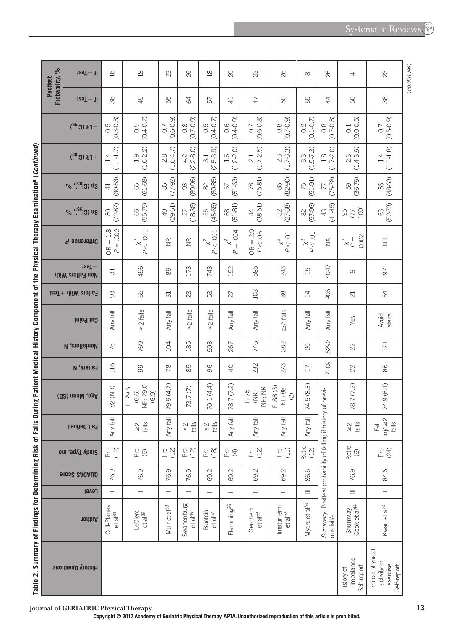**Systematic Reviews** 

|                                                                                                                                                                 | $\frac{6}{6}$<br><b>Posttest</b> | $129T - H$                                      | 18                                    | $\frac{8}{10}$                                      | 23                                   | 82                                | $\frac{8}{10}$                                                     | $\overline{C}$                  | 23                                           | 82                                         | $\infty$                                              | 82                                                        | 4                                      | (continues)<br>23                                          |
|-----------------------------------------------------------------------------------------------------------------------------------------------------------------|----------------------------------|-------------------------------------------------|---------------------------------------|-----------------------------------------------------|--------------------------------------|-----------------------------------|--------------------------------------------------------------------|---------------------------------|----------------------------------------------|--------------------------------------------|-------------------------------------------------------|-----------------------------------------------------------|----------------------------------------|------------------------------------------------------------|
|                                                                                                                                                                 | Probability,                     | $129T + 11$                                     | 38                                    | 45                                                  | 55                                   | $\mathcal{B}$                     | 57                                                                 | $\overline{4}$                  | 47                                           | SO.                                        | 89                                                    | $\ddot{4}$                                                | SO,                                    | 88                                                         |
|                                                                                                                                                                 |                                  | $-$ FB (Cl <sup>32</sup> )                      | $0.5$<br>$(0.3 - 0.8)$                | $0.5$<br>$(0.4 - 0.7)$                              | $(0.6 - 0.9)$<br>0.7                 | $(6.0 - 2.0)$                     | $(0.4 - 0.7)$<br>0.5                                               | $(0.4 - 0.9)$<br>0.6            | $0.7$<br>$(0.6-0.8)$                         | $(6.0 - 0.0)$                              | $(0.1 - 0.7)$<br>$0.\overline{2}$                     | $(0.7 - 0.8)$<br>$0.\overline{8}$                         | $(0.0 - 0.5)$<br>$\overline{0}$ :      | $(6.5 - 0.9)$                                              |
|                                                                                                                                                                 |                                  | $+$ FK (Cl <sup>32</sup> )                      | $(1.1 - 1.7)$<br>1.4                  | $(1.6-2.2)$<br>1.9                                  | $(1.6 - 4.7)$<br>2.8                 | $(2.2 - 8.0)$<br>4.2              | $\widehat{\sigma}$<br>$-5.3$<br>$\overline{3}$ .<br>$\overline{C}$ | $1.6$<br>$.2-2.0$<br>$\cup$     | <u> ဂ</u><br>$(1.7 - 2.1)$<br>2.1            | $2.3$<br>(1.7-3.3)                         | $3.3$<br>(1.5-7.3)                                    | $1.8$<br>(1.7-2.0)                                        | $2.3$<br>(1.4-3.9)                     | $(1.1 - 1.8)$<br>1.4                                       |
|                                                                                                                                                                 |                                  | % '(SG) ds                                      | $(30 - 53)$<br>$\overline{4}$         | $(61 - 68)$<br>89                                   | $(77-92)$<br>86                      | $(89 - 96)$<br>93                 | $(80 - 85)$<br>82                                                  | $(51 - 63)$<br>57               | $78$<br>$(75-81)$                            | $(82 - 90)$<br>86                          | $(51-91)$<br>75                                       | $(75 - 78)$<br>77                                         | $(36 - 79)$<br>59                      | $(48-63)$<br>56                                            |
|                                                                                                                                                                 |                                  | % '(SG) us                                      | $(72-87)$<br>$\otimes$                | $(55 - 75)$<br>89                                   | $(29 - 51)$<br>$\Theta$              | $(18-38)$<br>27                   | $(45-65)$<br>55                                                    | $(51-81)$<br>$\otimes$          | $(38 - 51)$<br>$\ddot{a}$                    | $(27-38)$<br>R                             | $(57-96)$<br>$\approx$                                | $(41 - 45)$<br>$\frac{1}{2}$                              | 100)<br>$(77 -$<br>95                  | $(52 - 73)$<br>$\mathbb{S}$                                |
|                                                                                                                                                                 |                                  | Difference P                                    | $OR = 1.8$<br>$P = .002$<br><b>BC</b> | $<.001\,$<br>$\mathsf{\hat{x}}^2$<br>$\overline{a}$ | $\widetilde{\Xi}$                    | $\widetilde{\Xi}$                 | $x2$ OO1<br>$\overline{a}$                                         | ЮO.<br>$x^2$<br>Р               | $= 2.9$<br>P < .05<br>$\frac{\alpha}{\beta}$ | $\frac{1}{2}$<br>$\mathbf{\hat{x}}^2$<br>ρ | C <sub>.</sub><br>$\mathbf{\hat{x}}^2$<br>$\vee$<br>Р | $\frac{1}{2}$                                             | 0002<br>$\mathbb{X}_+^2$               | $\frac{\alpha}{\alpha}$                                    |
|                                                                                                                                                                 |                                  | $129T -$<br><b>AiiW</b> enalle <sub>1</sub> noM | $\overline{\mathrm{31}}$              | 496                                                 | 8                                    | 173                               | 743                                                                | 152                             | 585                                          | 243                                        | $\overline{15}$                                       | 4047                                                      | $\sigma$                               | 50                                                         |
|                                                                                                                                                                 |                                  | $129T +$ $11W$ $219$ $167$                      | 93                                    | 65                                                  | $\overline{\overline{\overline{c}}}$ | 23                                | 53                                                                 | 27                              | 103                                          | $\stackrel{\textstyle\circ}{\infty}$       | 14                                                    | 906                                                       | $\overline{c}$                         | 54                                                         |
|                                                                                                                                                                 |                                  | Cut Point                                       | Any fall                              | $\geq$ 2 falls                                      | Any fall                             | $\geq$ 2 falls                    | $\geq$ 2 falls                                                     | Any fall                        | Any fall                                     | $\geq$ 2 falls                             | Any fall                                              | Any fall                                                  | Yes                                    | Avoid<br>stairs                                            |
|                                                                                                                                                                 |                                  | <b>N</b> , enall show                           | 76                                    | 769                                                 | 104                                  | 185                               | 903                                                                | 267                             | 746                                          | 282                                        | $\infty$                                              | 5292                                                      | 22                                     | 174                                                        |
|                                                                                                                                                                 |                                  | <b>Fallers, N</b>                               | 116                                   | 99                                                  | $\frac{8}{2}$                        | 85                                | 96                                                                 | $\overline{Q}$                  | 232                                          | 273                                        | $\overline{17}$                                       | 2109                                                      | 22                                     | 86                                                         |
|                                                                                                                                                                 |                                  | Age, Mean (SD)                                  | 82 (NR)                               | $(6.6)$<br>NF: 79.0<br>(6.9)<br>F: 79.5             | 79.9 (4.7)                           | 73.7(7)                           | 70.1 (4.4)                                                         | 78.7 (7.2)                      | NF: NR<br>$F: 75$<br>(NR)                    | F: 88(3)<br>NF: 88<br>$\odot$              | 74.5 (8.3)                                            | history of previ-                                         | 78.7 (7.2)                             | 74.9 (6.4)                                                 |
|                                                                                                                                                                 |                                  | <b>Fall Defined</b>                             | 局<br>Any                              | $\frac{2}{\sqrt{3}}$                                | Any                                  | $\frac{2}{\sqrt{3}}$              | $\frac{2}{\sqrt{2}}$                                               | 同<br>Any                        | 同<br>Any                                     | 同<br>Any                                   | $\mathbb{R}^+$<br>Any                                 |                                                           | $\frac{2}{\sqrt{2}}$                   | inj/ $\geq 2$<br>falls<br>$\overline{F}$ all               |
|                                                                                                                                                                 |                                  | Study Type, mo                                  | P(2)                                  | $^{6}_{6}$                                          | P(2)                                 | P(2)                              | $P(8)$<br>(18)                                                     | $_{\rm L}^{\rm C}$ $\rm \oplus$ | P(2)                                         | P(1)                                       | Retro<br>(12)                                         |                                                           | Retro<br>(6)                           | Pro<br>(24)                                                |
|                                                                                                                                                                 |                                  | <b>91032 SAQAUD</b>                             | 76.9                                  | 76.9                                                | 76.9                                 | 76.9                              | Ņ<br>89                                                            | 69.2                            | 69.2                                         | Ņ<br>$\odot$                               | 86.5                                                  |                                                           | 76.9                                   | 84.6                                                       |
|                                                                                                                                                                 |                                  | Level                                           | $\overline{\phantom{0}}$              |                                                     |                                      |                                   | $=$                                                                | $=$                             | $=$                                          | $=$                                        | $\equiv$                                              |                                                           | $\equiv$                               | $\overline{\phantom{0}}$                                   |
|                                                                                                                                                                 |                                  | nonthor                                         | Coll-Planas<br>et a <sup>34</sup>     | LeClerc<br>et a <sup>39</sup>                       | Muir et al <sup>33</sup>             | Swanenburg<br>et al <sup>49</sup> | <b>Buatois</b><br>et al $57$                                       | Flemming <sup>36</sup>          | Gerdhem<br>et a <sup>58</sup>                | linattiniemi<br>et al <sup>52</sup>        | Myers et al <sup>59</sup>                             | Summary: Posttest probability of falling if<br>ous fall/s | Cook et al <sup>44</sup><br>Shumway-   | Kwan et al <sup>30</sup>                                   |
| iable 2. Summary of Findings for Determining Kisk of Fails During Patient Weblical History Component of the Physical Interapy Examination" (C <i>ontinued</i> ) |                                  | <b>History Questions</b>                        |                                       |                                                     |                                      |                                   |                                                                    |                                 |                                              |                                            |                                                       |                                                           | imbalance<br>Self-report<br>History of | Limited physical<br>activity or<br>exercise<br>Self-report |

inational Continuor ú ہس ام∼: á A AL Č شنا ات Ŕ  $m_{\rm m}$ o Botic  $\ddot{\sigma}$  $\sim$  Ealle biole Ŀ, ć Ë Ö Table 2

Journal of GERIATRIC Physical Therapy<br>Copyright © 2017 Academy of Geriatric Physical Therapy, APTA. Unauthorized reproduction of this article is prohibited.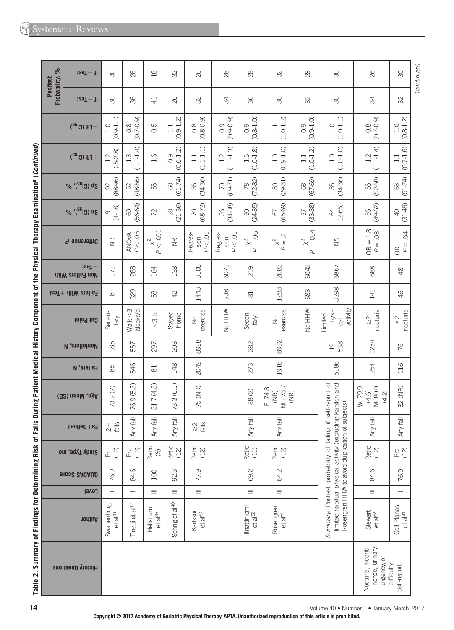| $\%$<br><b>Posttest</b> | fr-Test                             | $\infty$                         | 82                                | $\frac{8}{10}$                   | 32                        | 26                                                   | 28                        | $^{8}$                                | 32                                     | 28                                        | $\infty$                                                                                                                                                                   | 82                                                        | $\infty$                                                  | (continues) |
|-------------------------|-------------------------------------|----------------------------------|-----------------------------------|----------------------------------|---------------------------|------------------------------------------------------|---------------------------|---------------------------------------|----------------------------------------|-------------------------------------------|----------------------------------------------------------------------------------------------------------------------------------------------------------------------------|-----------------------------------------------------------|-----------------------------------------------------------|-------------|
| Probability,            | $129T + 11$                         | 8                                | 96                                | $\overline{4}$                   | 82                        | 32                                                   | 34                        | 96                                    | 80                                     | 32                                        | 8                                                                                                                                                                          | $\frac{4}{5}$                                             | 32                                                        |             |
|                         | $-\Gamma$ K (Cl $^{32}$ )           | $(0.9 - 1.1)$<br>1.0             | $(0.7 - 0.9)$<br>$0.\overline{8}$ | С.<br>О                          | $9 - 1.2$<br>$\Box$<br>Ö. | $(6.0 - 8.0)$                                        | $(0.9 - 0.9)$<br>0.9      | $(0.8 - 1.0)$<br>$\overline{O}$       | $(1.0 - 1.2)$<br>$\Xi$                 | $(0.9 - 1.0)$<br>0.9                      | $(1.0 - 1.1)$<br>1.0                                                                                                                                                       | $0.8$<br>(0.7-0.9)                                        | $(0.8 - 1.2)$<br>1.0                                      |             |
|                         | $+$ FB (Cl <sup>32</sup> )          | $(.5-2.8)$<br>1.2                | $(1.1 - 1.4)$<br>1.3              | $\frac{6}{1}$                    | $(0.6 - 1.2)$<br>0.9      | $(1.1 - 1.1)$<br>$\Box$                              | $(1.1 - 1.3)$<br>1.2      | $(1.0 - 1.8)$<br>$1.\overline{3}$     | $(0.9 - 1.0)$<br>$\frac{0}{1}$         | $(1.0 - 1.2)$<br>$\frac{1}{1}$            | $(1.0 - 1.0)$<br>$\frac{0}{1}$                                                                                                                                             | $(1.1 - 1.4)$<br>$1.2$                                    | $(0.7 - 1.6)$<br>$\Box$                                   |             |
|                         | % '(SG) ds                          | $(88 - 96)$<br>$\Im$             | $(48 - 56)$<br>52                 | 55                               | $(61 - 74)$<br>$\otimes$  | $(34 - 36)$<br>35                                    | $(69 - 71)$<br>20         | $(72 - 82)$<br>78                     | $(29-31)$<br>$\infty$                  | $(67 - 69)$<br>68                         | $(34 - 36)$<br>35                                                                                                                                                          | $(52 - 58)$<br>55                                         | $(51 - 74)$<br>63                                         |             |
|                         | % '(SG) us                          | $(4-18)$<br>O                    | $(56-64)$<br>$\odot$              | 72                               | $(21 - 36)$<br>$\infty$   | $(68 - 72)$<br><b>P</b>                              | $(34 - 38)$<br>36         | $(24-35)$<br>$\infty$                 | $(65 - 69)$<br>67                      | $(33 - 38)$<br>$\sqrt{2}$                 | $(2-65)$<br>$\mathcal{R}$                                                                                                                                                  | $(49-62)$<br>99                                           | $(31 - 49)$<br>$\overline{Q}$                             |             |
|                         | Difference P                        | $\widetilde{\Xi}$                | P < 0.05<br><b>ANOWA</b>          | $x2$ OO1<br>$\Delta$             | $\widetilde{\Xi}$         | $P < .01$<br>Regres-<br>sion                         | P < 01<br>Regres-<br>sion | $= .06$<br>$\chi^2$<br>$\overline{a}$ | Ņ<br>$\underset{P}{\times}^2$          | <b>ROG</b><br>$\mathbf{\hat{x}}^2$<br>$=$ | $\lessgtr$                                                                                                                                                                 | $OR = 1.8$<br>$P = .03$                                   | $OR = 1.1$<br>64<br>$P =$                                 |             |
|                         | $129T -$<br><b>Non Fallers With</b> | 171                              | 288                               | 164                              | 138                       | 3108                                                 | 6071                      | 219                                   | 2683                                   | 6042                                      | 6867                                                                                                                                                                       | 688                                                       | $\frac{8}{4}$                                             |             |
|                         | $t$ ea $T +$ $t$ hiW $t$ aall $s$   | $\infty$                         | 329                               | 58                               | 42                        | 1443                                                 | 738                       | $\approx$                             | 1283                                   | 683                                       | 3298                                                                                                                                                                       | 141                                                       | 46                                                        |             |
|                         | Cut Point                           | Seden-<br><b>Aleq</b>            | Walk $<$ 3<br>blocks/d            | $\frac{1}{3}$                    | Stayed<br>home            | exercise<br>$\stackrel{\circ}{\simeq}$               | No HHW                    | Seden-<br><b>Alep</b>                 | exercise<br>$\stackrel{\circ}{\simeq}$ | No HHW                                    | activity<br>physi-<br>Limited<br>$\overline{c}$                                                                                                                            | nocturia<br>$\stackrel{\textstyle\sim}{\scriptstyle\sim}$ | nocturia<br>$\stackrel{\textstyle\sim}{\scriptstyle\sim}$ |             |
|                         | <b>N</b> , enall show               | 185                              | 557                               | 297                              | 203                       | 8928                                                 |                           | 282                                   | 8912                                   |                                           | 538<br>$\overline{0}$                                                                                                                                                      | 1254                                                      | 76                                                        |             |
|                         | <b>Fallers, N</b>                   | 85                               | 546                               | $\overline{\infty}$              | 148                       | 2049                                                 |                           | 273                                   | 1918                                   |                                           | 5186                                                                                                                                                                       | 254                                                       | 116                                                       |             |
|                         | Age, Mean (SD)                      | 73.7(7)                          | 76.9 (5.3)                        | 81.7 (4.8)                       | 73.3(6.1)                 | 75 (NR)                                              |                           | 88(2)                                 | NF: 73.7<br>F: 74.8<br>(MR)<br>(MR)    |                                           |                                                                                                                                                                            | W:79.9<br>M: 80.0<br>(4.6)<br>(4.2)                       | 82 (NR)                                                   |             |
|                         | <b>Fall Defined</b>                 | $\frac{+}{2}$<br>falls           | Any fall                          | Any fall                         | Any fall                  | $\stackrel{\textstyle\sim}{\textstyle\sim}$<br>falls |                           | Any fall                              | Any fall                               |                                           |                                                                                                                                                                            | Any fall                                                  | Any fall                                                  |             |
|                         | Study Type, mo                      | P(2)                             | P(2)                              | Retro<br>$\copyright$            | Retro<br>(12)             | Retro<br>(12)                                        |                           | Retro<br>(11)                         | Retro<br>(12)                          |                                           |                                                                                                                                                                            | Retro<br>(12)                                             | P(2)                                                      |             |
|                         | 91002 SAQAUD                        | 76.9                             | 84.6                              | 100                              | 92.3                      | 77.9                                                 |                           | 69.2                                  | 64.2                                   |                                           |                                                                                                                                                                            | 84.6                                                      | 76.9                                                      |             |
|                         | <b>Level</b>                        |                                  |                                   | $\equiv$                         | $\equiv$                  | $\equiv$                                             |                           | Ξ                                     | $\equiv$                               |                                           |                                                                                                                                                                            | $\equiv$                                                  |                                                           |             |
|                         | nonthor                             | Swanenburg<br>et a <sup>49</sup> | Tinetti et al <sup>32</sup>       | Hellstrom<br>et a <sup>135</sup> | Sohng et al <sup>40</sup> | Karlsson<br>et al <sup>60</sup>                      |                           | linattiniemi<br>et a <sup>[52]</sup>  | Rosengren<br>et al <sup>61</sup>       |                                           | Summary: Posttest probability of falling if self-report of<br>limited habitual physical activity (excluding Karslon and<br>Rosengren HHW to avoid duplication of subjects) | Stewart<br>et al <sup>62</sup>                            | Coll-Planas<br>et al $^{34}$                              |             |
|                         | <b>History Questions</b>            |                                  |                                   |                                  |                           |                                                      |                           |                                       |                                        |                                           |                                                                                                                                                                            | Nocturia, inconti-<br>nence, urinary<br>urgency, or       | difficulty<br>Self-report                                 |             |

Table 2. Summary of Findings for Determining Risk of Falls During Patient Medical History Component of the Physical Therapy Examination<sup>a</sup> (Continued)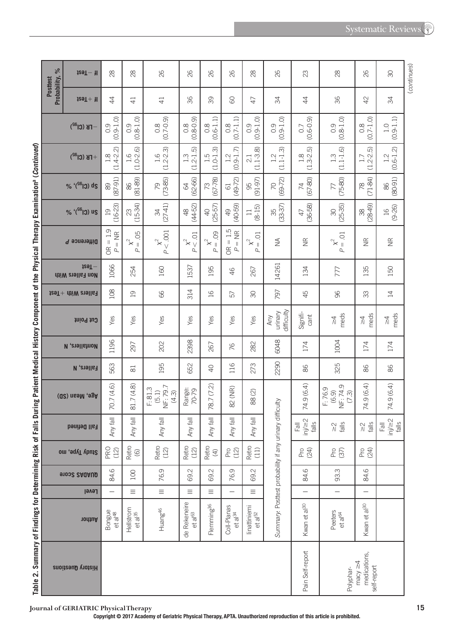**Systematic Reviews** 

|                                                                                                                                          | $\frac{6}{6}$<br><b>Posttest</b> | $129T - 11$                                           | 28                               | 28                               | 82                                    | 82                                | 82                                                 | 82                                                      | 28                                                                    | 26                                                      | 23                                | $^{28}$                                                    | 82                                           | SO                                 | (continues) |
|------------------------------------------------------------------------------------------------------------------------------------------|----------------------------------|-------------------------------------------------------|----------------------------------|----------------------------------|---------------------------------------|-----------------------------------|----------------------------------------------------|---------------------------------------------------------|-----------------------------------------------------------------------|---------------------------------------------------------|-----------------------------------|------------------------------------------------------------|----------------------------------------------|------------------------------------|-------------|
|                                                                                                                                          | Probability,                     | $129T + 11$                                           | $\overline{4}$                   | $\overline{4}$                   | $\overline{4}$                        | 96                                | 89                                                 | 8                                                       | 47                                                                    | ₩                                                       | 4                                 | 96                                                         | $\varphi$                                    | ₩                                  |             |
|                                                                                                                                          |                                  | $-TB$ (Cl <sup>32</sup> )                             | $(0.9 - 1.0)$<br>$\frac{0}{2}$   | $0.9$<br>$0.8 - 1.0$             | $(6.0 - 0.0)$                         | $(0.8 - 0.9)$<br>$0.\overline{8}$ | $0.8$<br>$(0.6-1.1)$                               | $(0.7 - 1.1)$<br>$0.\overline{8}$                       | $(0.9 - 1.0)$<br>$\overline{0}$ .                                     | $(0.9 - 1.0)$<br>$\overline{O}$ .                       | $(0.6 - 0.9)$<br>0.7              | $0.9$<br>$(0.8-1.0)$                                       | $0.8$<br>(0.7-1.0)                           | $(0.9 - 1.1)$<br>$\frac{1}{1}$     |             |
|                                                                                                                                          |                                  | $+$ FK (Cl <sup>32</sup> )                            | $1.8$<br>(1.4-2.2)               | $1.6$<br>$(1.0-2.6)$             | $1.6$<br>$(1.2-2.3)$                  | 6<br>$(1.2 - 1)$<br>$1.3$         | $\widehat{\infty}$<br>$1.5$<br>(1.0-1.             | $(0.9 - 1.7)$<br>1.2                                    | $(1.1 - 3.8)$<br>2.1                                                  | $1.2$<br>(1.1-1.3)                                      | $1.8$<br>$(1.3-2.5)$              | $(1.1 - 1.6)$<br>$1.\overline{3}$                          | $(1.2 - 2.5)$<br>1.7                         | $(0.6 - 1.2)$<br>1.2               |             |
|                                                                                                                                          |                                  | $2b$ (Cl <sup>32</sup> ) <sup>, <math>\%</math></sup> | $(87-91)$<br>89                  | $(81-89)$<br>86                  | $(73-85)$<br>79                       | $(62 - 66)$<br>$\mathcal{Q}$      | $73$<br>(67-78)                                    | $(49 - 72)$<br>61                                       | 95<br>(91-97)                                                         | $(69 - 72)$<br>70                                       | $(67-80)$<br>$\overline{7}$       | $(75-80)$<br>77                                            | $(71-84)$<br>$\frac{8}{2}$                   | $(80 - 91)$<br>86                  |             |
|                                                                                                                                          |                                  | % '(SG) us                                            | $(16-23)$<br>$\overline{a}$      | $(15-34)$<br>23                  | $(27-41)$<br>R                        | $(44 - 52)$<br>$\frac{\infty}{2}$ | $(25 - 57)$<br>$\Theta$                            | $(40 - 59)$<br>$\overline{6}$                           | $(8-15)$<br>$\Xi$                                                     | $(33 - 37)$<br>35                                       | $(36 - 58)$<br>$47$               | $(25 - 35)$<br>$\infty$                                    | $(28-49)$<br>38                              | $(9 - 26)$<br>$\overline{a}$       |             |
|                                                                                                                                          |                                  | Difference P                                          | $OR = 1.9$<br>$=$ NR<br>$\Delta$ | 05<br>$x^2$<br>ρ                 | P < 0.001<br>$\mathsf{\hat{x}}^2$     | $x2$ O1<br>$\overline{a}$         | $\overline{0}$<br>$\stackrel{\sim}{\times}$ .<br>ρ | $= 1.5$<br>$=$ NR<br>$\frac{\alpha}{\beta}$<br>$\Delta$ | C <sub>O</sub><br>$\mathcal{\mathcal{\breve{X}}}$ $_{\parallel}$<br>Р | $\lessgtr$                                              | $\frac{\alpha}{\alpha}$           | $\overline{C}$<br>$\mathsf{\hat{x}}^2$<br>$\parallel$<br>ρ | $\widetilde{\Xi}$                            | $\widetilde{\Xi}$                  |             |
|                                                                                                                                          |                                  | $129T -$<br><b>Non Fallers With</b>                   | 1066                             | 254                              | 160                                   | 1537                              | 195                                                | 46                                                      | 267                                                                   | 14261                                                   | 134                               | 777                                                        | 135                                          | 150                                |             |
|                                                                                                                                          |                                  | $129T +$ $\text{div } \text{curl }$                   | 108                              | $\overline{19}$                  | 89                                    | 314                               | $\frac{16}{1}$                                     | 57                                                      | $\infty$                                                              | 797                                                     | 45                                | 96                                                         | 33                                           | $\overline{4}$                     |             |
|                                                                                                                                          |                                  | thiod tug                                             | Yes                              | Yes                              | Yes                                   | Yes                               | Yes                                                | Yes                                                     | Yes                                                                   | difficulty<br>urinary<br>Any                            | Signifi-<br>cant                  | meds<br>$\stackrel{\textstyle\triangle}{\scriptstyle\sim}$ | meds<br>₹                                    | meds<br>$\frac{4}{2}$              |             |
|                                                                                                                                          |                                  | <b>N</b> , enall show                                 | 1196                             | 297                              | 202                                   | 2398                              | 267                                                | 76                                                      | 282                                                                   | 6048                                                    | 174                               | 1004                                                       | 174                                          | 174                                |             |
|                                                                                                                                          |                                  | <b>Fallers, N</b>                                     | 563                              | $\approx$                        | 195                                   | 652                               | $\overline{Q}$                                     | 116                                                     | 273                                                                   | 2290                                                    | 86                                | 325                                                        | 86                                           | 86                                 |             |
|                                                                                                                                          |                                  | Age, Mean (SD)                                        | 70.7 (4.6)                       | 81.7 (4.8)                       | NF: 79.7<br>F: 81.3<br>(5.1)<br>(4.3) | Range:<br>70-79                   | 78.7 (7.2)                                         | 82 (NR)                                                 | 88(2)                                                                 |                                                         | 74.9 (6.4)                        | $(6.9)$<br>NF: 74.9<br>(7.3)<br>F:76.9                     | 74.9 (6.4)                                   | 74.9 (6.4)                         |             |
|                                                                                                                                          |                                  | <b>Fall Defined</b>                                   | $\overline{\mathbb{E}}$<br>Any   | 同<br>Any                         | 同<br>Any                              | 同<br>Any                          | $\mathbb{E}$<br>Any                                | 局<br>Any                                                | 同<br>Any                                                              |                                                         | $\frac{\text{Fall}}{\text{high}}$ | $\frac{2}{\sqrt{3}}$                                       | $\frac{2}{\sqrt{2}}$                         | $\frac{\text{Fall}}{\text{inj/2}}$ |             |
|                                                                                                                                          |                                  | Study Type, mo                                        | <b>PRO</b><br>(12)               | Retro<br>(6)                     | Retro<br>(12)                         | Retro<br>(12)                     | Retro<br>$\bigoplus$                               | P(2)                                                    | Retro<br>(11)                                                         |                                                         | Pro<br>(24)                       | P(S)                                                       | Pro<br>24)                                   |                                    |             |
|                                                                                                                                          |                                  | 91002 SAQAUD                                          | 84.6                             | 100                              | 76.9                                  | 69.2                              | 69.2                                               | 76.9                                                    | 69.2                                                                  |                                                         | 84.6                              | 93.3                                                       | 84.6                                         |                                    |             |
|                                                                                                                                          |                                  | Level                                                 |                                  | $\equiv$                         | $\equiv$                              | $\equiv$                          | $\equiv$                                           |                                                         | $\equiv$                                                              |                                                         |                                   | $\overline{\phantom{0}}$                                   | $\overline{\phantom{0}}$                     |                                    |             |
|                                                                                                                                          |                                  | <b>10thuA</b>                                         | Bongue<br>et al <sup>48</sup>    | Hellstrom<br>et al <sup>35</sup> | Huang <sup>46</sup>                   | de Rekeneire<br>$et a[63]$        | Flemming <sup>36</sup>                             | Coll-Planas<br>et al $^{34}$                            | linattiniemi<br>et al <sup>52</sup>                                   | Summary: Posttest probability if any urinary difficulty | Kwan et al <sup>30</sup>          | Peeters<br>et a $e^4$                                      | Kwan et al <sup>30</sup>                     |                                    |             |
| I able 2. Summary or Findings for Determining Kisk of Farient Medical History Component or the Physical Inerapy Examination" (Contribed) |                                  | <b>History Questions</b>                              |                                  |                                  |                                       |                                   |                                                    |                                                         |                                                                       |                                                         | Pain Self-report                  | Polyphar-                                                  | medications,<br>macy $\geq 4$<br>self-report |                                    |             |



Journal of GERIATRIC Physical Therapy<br>Copyright © 2017 Academy of Geriatric Physical Therapy, APTA. Unauthorized reproduction of this article is prohibited.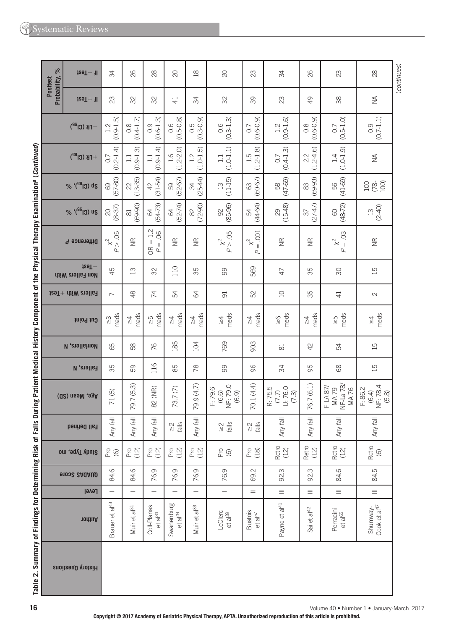|                            | $129T - 1$                          | 34                                             | 82                             | $\approx$                                                                     | $\infty$                          | $\frac{\infty}{2}$                                      | $\overline{C}$                              | 23                                            | 34                                     | 82                             | 23                                                  | 28                                    |
|----------------------------|-------------------------------------|------------------------------------------------|--------------------------------|-------------------------------------------------------------------------------|-----------------------------------|---------------------------------------------------------|---------------------------------------------|-----------------------------------------------|----------------------------------------|--------------------------------|-----------------------------------------------------|---------------------------------------|
| Probability, %<br>Posttest | $129T + 11$                         | 23                                             | SS                             | SS                                                                            | $\overline{4}$                    | R                                                       | SS                                          | 89                                            | $\mathbb{S}$                           | $\overline{Q}$                 | 88                                                  | $\stackrel{\triangle}{\geq}$          |
|                            | $F$ K (Cl <sup>a2</sup> )           | $(0.9 - 1.5)$<br>1.2                           | $(0.4 - 1.7)$<br>$\frac{8}{2}$ | $(0.6 - 1.3)$<br>$\overline{O}$                                               | $0.5 - 0.8$                       | $0.5$<br>$(0.3 - 0.9)$                                  | $0.6$<br>$(0.3-1.3)$                        | $(0.6 - 0.9)$<br>0.7                          | $(0.9 - 1.6)$<br>$\overline{1}$ .<br>2 | $0.8$<br>$(0.6-0.9)$           | $(0.5 - 1.0)$<br>0.7                                | $0.9$<br>$(0.7-1.1)$                  |
|                            | $+$ FB (Cl <sup>32</sup> )          | $(0.2 - 1.4)$<br>C.O                           | $(0.9 - 1.3)$<br>$\Box$        | $(0.9 - 1.4)$<br>$\Box$                                                       | $1.6$<br>(1.2-2.0)                | $(1.0 - 1.5)$<br>$1.2$                                  | $(1.0 - 1.1)$<br>$\Box$                     | $(1.2 - 1.8)$<br>1.5                          | $(0.4 - 1.3)$<br>0.7                   | $2.2$<br>(1.2-4.6)             | $(1.0 - 1.9)$<br>1.4                                | $\lessgtr$                            |
|                            | % '(Sel 0) ds                       | $(57-80)$<br>$\odot$                           | $(13 - 35)$<br>$\approx$       | $42$<br>(31-54)                                                               | $(52-67)$<br>59                   | $(25-44)$<br>34                                         | $(11-15)$<br>$\Xi$                          | $(60 - 67)$<br>$\mathbb{S}^3$                 | $(47 - 69)$<br>58                      | $(69-93)$<br>$83\,$            | $(41-69)$<br>99                                     | 100<br>100<br>100<br>100              |
|                            | % '(SG 13) us                       | $(8-37)$<br>$\rm \approx$                      | $(69 - 90)$<br>$\Xi$           | $(54 - 73)$<br>$\mathcal{R}$                                                  | $(52 - 74)$<br>$\mathcal{R}$      | $(72-90)$<br>$\approx$                                  | $(85 - 96)$<br>$\infty$                     | $(44-64)$<br>R                                | $(15-48)$<br>$\infty$                  | $(27-47)$<br>$\sqrt{6}$        | $(48 - 72)$<br>$\odot$                              | $(2 - 40)$<br>$\Xi$                   |
|                            | Difference P                        | 05<br>$\begin{matrix} x^2 \\ y^2 \end{matrix}$ | $\widetilde{\Xi}$              | $1.2$<br>$\overline{0}$<br>$\lvert \rvert$<br>$P =$<br>$\frac{\alpha}{\beta}$ | $\widetilde{\Xi}$                 | $\widetilde{\Xi}$                                       | $p^{2} > .05$                               | .001<br>$\mathsf{\hat{x}}^2$<br>$\lVert$<br>Р | $\widetilde{\Xi}$                      | $\widetilde{\Xi}$              | 03<br>$\stackrel{\sim}{\times}$ .<br>$\overline{a}$ | $\widetilde{\Xi}$                     |
|                            | $129T -$<br><b>Non Fallers With</b> | 45                                             | $\Xi$                          | 32                                                                            | 110                               | 35                                                      | 8                                           | 569                                           | $47$                                   | 35                             | RG                                                  | $\overline{51}$                       |
|                            | $t$ ea $T +$ $t$ hiW $t$ aall $s$   | $\overline{\phantom{0}}$                       | $\frac{8}{4}$                  | $\overline{7}$                                                                | 54                                | 84                                                      | $\overline{5}$                              | 52                                            | $\supseteq$                            | 35                             | $\overline{4}$                                      | $\sim$                                |
|                            | Cut Point                           | meds<br>$\stackrel{\sim}{\scriptstyle\sim}$    | meds<br>$\frac{1}{2}$          | meds<br>$\frac{5}{10}$                                                        | meds<br>$\frac{1}{4}$             | meds<br>$\stackrel{\textstyle\wedge}{\scriptstyle\sim}$ | meds<br>$\stackrel{\textstyle\wedge}{\sim}$ | meds<br>$\frac{\lambda}{\lambda}$             | meds<br>$\frac{6}{10}$                 | meds<br>$\frac{1}{4}$          | meds<br>SZ                                          | meds<br>$\frac{1}{4}$                 |
|                            | <b>N</b> , enall show               | 89                                             | 58                             | 76                                                                            | 185                               | 104                                                     | 769                                         | 903                                           | ವ                                      | $\overline{4}$                 | R                                                   | $\overline{15}$                       |
|                            | <b>Fallers, N</b>                   | 35                                             | 59                             | 116                                                                           | 85                                | 78                                                      | 99                                          | 96                                            | 34                                     | 95                             | 89                                                  | $\overline{15}$                       |
|                            | Age, Mean (SD)                      | 71(5)                                          | 79.7 (5.3)                     | 82 (NR)                                                                       | 73.7(7)                           | 79.9 (4.7)                                              | NF: 79.0<br>(6.9)<br>F: 79.6<br>(6.6)       | 70.1 (4.4)                                    | U: 76.0<br>R: 75.5<br>$(7.7)$<br>(7.3) | 76.7 (6.1)                     | NF-La 78/<br>$F-LA 87/$<br><b>MA76</b><br>MA79      | NF: 78.4<br>F: 86.2<br>(6.4)<br>(5.8) |
|                            | Fall Defined                        | Any fall                                       | Any fall                       | Any fall                                                                      | $\frac{2}{\sqrt{2}}$              | Any fall                                                | falls<br>$\frac{2}{\sqrt{2}}$               | falls<br>$\frac{1}{\sqrt{2}}$                 | Any fall                               | Any fall                       | Any fall                                            | Any fall                              |
|                            | Study Type, mo                      | $^{8}$ $\circ$                                 | Pro<br>(12)                    | Pro<br>(12)                                                                   | P(2)                              | P(2)                                                    | $^{26}_{-60}$                               | Pro<br>(18)                                   | Retro<br>(12)                          | Retro<br>(12)                  | Retro<br>(12)                                       | Retro<br>(6)                          |
|                            | 91032 2AQAUD                        | 84.6                                           | $\circ$<br>st.                 | G<br>76.                                                                      | $\circ$<br>76.                    | $\mathcal{O}$<br>76.                                    | 76.9                                        | Ņ<br>89                                       | m<br>8                                 | m<br>S.                        | 84.6                                                | ற<br>\$.                              |
|                            | Level                               | $\overline{\phantom{0}}$                       | $\overline{\phantom{0}}$       | -                                                                             | $\overline{\phantom{0}}$          | $\overline{\phantom{0}}$                                | $\overline{\phantom{0}}$                    | $=$                                           | $\equiv$                               | Ξ                              | Ξ                                                   | Ξ                                     |
|                            | nonthor                             | Brauer et al <sup>43</sup>                     | Muir et al <sup>31</sup>       | Coll-Planas<br>et a $\vert^{34}$                                              | Swanenburg<br>et al <sup>49</sup> | Muir et al <sup>33</sup>                                | LeClerc<br>et al <sup>39</sup>              | Buatois<br>et al <sup>57</sup>                | Payne et al <sup>41</sup>              | $\frac{a}{\sqrt{2}}$<br>Sai et | Perracini<br>et al <sup>65</sup>                    | Cook et al $47$<br>Shumway-           |
|                            | History Questions                   |                                                |                                |                                                                               |                                   |                                                         |                                             |                                               |                                        |                                |                                                     |                                       |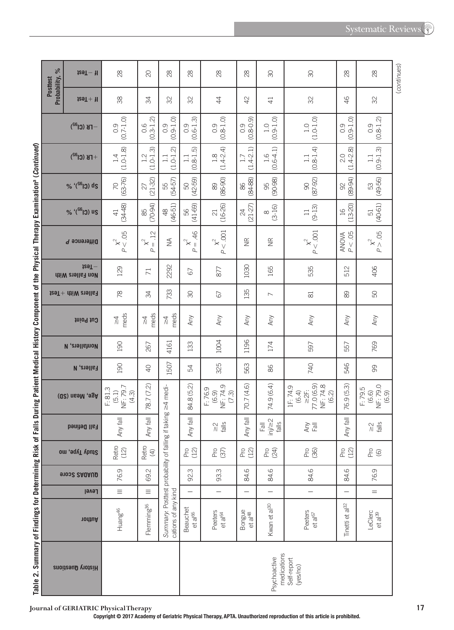| Ï                                    |  |
|--------------------------------------|--|
|                                      |  |
| ļ                                    |  |
| 5                                    |  |
|                                      |  |
|                                      |  |
| ļ                                    |  |
| ֦                                    |  |
| C<br>J<br>Ï                          |  |
| f<br>tor<br>ļ<br>ׇ֚֕֕<br>i<br>Ś<br>j |  |
| l<br>j<br>j<br>i                     |  |
| ı<br>ť<br>ı<br>٥<br>ābi<br>ı         |  |

| $\%$                            | $129T - 1$                     | 28                                                  | $\overline{C}$                                             | 28                                                                                       | $^{28}$                                                      | 28                                     | 28                            | 90                                                           | $\infty$                                                          | $\infty$                      | $^{28}$                               | (continues) |
|---------------------------------|--------------------------------|-----------------------------------------------------|------------------------------------------------------------|------------------------------------------------------------------------------------------|--------------------------------------------------------------|----------------------------------------|-------------------------------|--------------------------------------------------------------|-------------------------------------------------------------------|-------------------------------|---------------------------------------|-------------|
| Probability,<br><b>Posttest</b> | $129T + 11$                    | 38                                                  | R                                                          | 32                                                                                       | SS                                                           | \$                                     | $\overline{4}$                | $\overline{4}$                                               | 32                                                                | 46                            | 32                                    |             |
|                                 | $-FB$ (Cl <sup>32</sup> )      | $(0.7 - 1.0)$<br>0.9                                | $(0.3 - 1.2)$<br>0.6                                       | $.9 - 1.0$<br>0.9<br>ë                                                                   | $0.9$<br>$(0.6-1.3)$                                         | $(0.8 - 1.0)$<br>0.9                   | $0.9$<br>$(8.0.9)$<br>ë       | $(0.9 - 1.0)$<br>$\overline{1}$ .<br>O                       | $(1.0 - 1.0)$<br>$\overline{1}$ .0                                | $(0.9 - 1.0)$<br>0.9          | $0.9$<br>$(0.8-1.2)$                  |             |
|                                 | $+$ FB (Cl <sup>32</sup> )     | $(1.0 - 1.8)$<br>1.4                                | $(1.0 - 1.3)$<br>1.2                                       | $\widehat{\mathcal{N}}$<br>$(1.0-1.$<br>$\Box$                                           | $\frac{1.1}{(0.8-1.5)}$                                      | $(1.4 - 2.4)$<br>$\frac{8}{1}$         | $(1.4 - 2.1)$<br>1.7          | $(0.6 - 4.1)$<br>$\frac{6}{1}$                               | $(0.8 - 1.4)$<br>$\Box$                                           | $(1.4 - 2.8)$<br>2.0          | $(0.9 - 1.3)$<br>$\Xi$                |             |
|                                 | % '(SG) ds                     | $(63 - 76)$<br>70                                   | $(21 - 32)$<br>27                                          | 55<br>(54-57)                                                                            | $(42 - 59)$<br>SO,                                           | $(86 - 90)$<br>89                      | 86<br>84<br>88                | 95<br>(90-98)                                                | $(87 - 92)$<br>$\infty$                                           | $(89 - 94)$<br>$\Im$          | 53<br>(49-56)                         |             |
|                                 | % '(SG) us                     | $(34 - 48)$<br>$\overline{4}$                       | $(70-94)$<br>85                                            | $48$<br>(46-51)                                                                          | $(41-69)$<br>99                                              | $(16-26)$<br>$\overline{\mathcal{C}}$  | $(21-27)$<br>$\boldsymbol{z}$ | $\frac{8}{(3-16)}$                                           | $(9-13)$<br>$\Box$                                                | $(13 - 20)$<br>$\frac{16}{1}$ | $(40 - 61)$<br>51                     |             |
|                                 | Difference P                   | <b>90.</b><br>$\approx$ $\times$ $\vee$<br>$\sigma$ | $\overline{a}$<br>$\mathsf{\hat{x}}^2$<br>$\parallel$<br>Р | $\lessgtr$                                                                               | 46<br>$\mathbf{X}_{\parallel}^2$<br>$\overline{\mathcal{L}}$ | P < 0.001<br>$x^2$                     | $\widetilde{\Xi}$             | $\widetilde{\Xi}$                                            | P < 0.001<br>$\chi^2$                                             | P < 05<br><b>ANOVA</b>        | $p \times \frac{1}{2}$ .05            |             |
|                                 | $129T -$<br><b>Ailers</b> With | 129                                                 | $\overline{7}$                                             | 2292                                                                                     | 67                                                           | 877                                    | 1030                          | 165                                                          | 535                                                               | 512                           | 406                                   |             |
|                                 |                                | 78                                                  | 34                                                         | 733                                                                                      | 90                                                           | 67                                     | 135                           | $\overline{\phantom{0}}$                                     | $\approx$                                                         | 89                            | 50                                    |             |
|                                 | thiod tug                      | meds<br>$\frac{1}{4}$                               | meds<br>$\frac{1}{2}$                                      | meds<br>$\frac{1}{4}$                                                                    | Any                                                          | Any                                    | Any                           | Any                                                          | Any                                                               | Any                           | Any                                   |             |
|                                 | <b>N</b> , enall show          | 190                                                 | 267                                                        | 4161                                                                                     | 133                                                          | 1004                                   | 1196                          | 174                                                          | 597                                                               | 557                           | 769                                   |             |
|                                 | <b>Fallers, N</b>              | 190                                                 | $\overline{Q}$                                             | 1507                                                                                     | 54                                                           | 325                                    | 563                           | 86                                                           | 740                                                               | 546                           | 99                                    |             |
|                                 | Age, Mean (SD)                 | NF: 79.7<br>F: 81.3<br>(5.1)<br>(4.3)               | 78.7 (7.2)                                                 |                                                                                          | 84.8 (5.2)                                                   | NF: 74.9<br>F:76.9<br>(6.9)<br>$(7.3)$ | 70.7 (4.6)                    | 74.9 (6.4)                                                   | 77.0 (6.9)<br>NF: 74.8<br>IF:74.9<br>$\geq 2$ :<br>(6.4)<br>(6.2) | 76.9 (5.3)                    | NF: 79.0<br>F: 79.5<br>(6.6)<br>(6.9) |             |
|                                 | <b>Fall Defined</b>            | $\overline{\overline{\sigma}}$<br>Any fa            | Any fall                                                   |                                                                                          | 司<br>Any fa                                                  | $\frac{1}{6}$<br>$\frac{2}{\sqrt{2}}$  | Any fall                      | $\frac{F \overline{a}}{\overline{b}} \geq 2$<br>$rac{1}{10}$ | Any<br>$\overline{\overline{6}}$                                  | Any fall                      | $\frac{2}{\sqrt{2}}$                  |             |
|                                 | Study Type, mo                 | Retro<br>(12)                                       | Retro<br>$\tag{4}$                                         |                                                                                          | P(2)                                                         | Pro<br>(37)                            | P(2)                          | Pro<br>(24)                                                  | Pro<br>(36)                                                       | $PQ$<br>(12)                  | $^{6}_{6}$                            |             |
|                                 | 91032 SAUAUD                   | 76.9                                                | 69.2                                                       |                                                                                          | 92.3                                                         | 93.3                                   | 84.6                          | 84.6                                                         | 84.6                                                              | 84.6                          | 76.9                                  |             |
|                                 | Level                          | $\equiv$                                            | $\equiv$                                                   |                                                                                          | $\overline{\phantom{0}}$                                     | $\overline{\phantom{0}}$               |                               | $\overline{\phantom{0}}$                                     | $\overline{\phantom{0}}$                                          | $\overline{\phantom{0}}$      | $=$                                   |             |
|                                 | nonthor                        | Huang <sup>46</sup>                                 | Flemming <sup>36</sup>                                     | Summary: Posttest probability of falling if taking $\geq$ 4 medi-<br>cations of any kind | Beauchet<br>et al <sup>66</sup>                              | Peeters<br>et al <sup>64</sup>         | Bongue<br>et al <sup>48</sup> | Kwan et al <sup>30</sup>                                     | Peeters<br>et a $ ^{67}$                                          | Tinetti et al <sup>32</sup>   | LeClerc<br>et al <sup>39</sup>        |             |
|                                 | History Questions              |                                                     |                                                            |                                                                                          |                                                              |                                        |                               | medications<br>Psychoactive                                  | Self-report<br>(yes/no)                                           |                               |                                       |             |

**Journal of GERIATRIC Physical Therapy 17**

**Copyright © 2017 Academy of Geriatric Physical Therapy, APTA. Unauthorized reproduction of this article is prohibited.**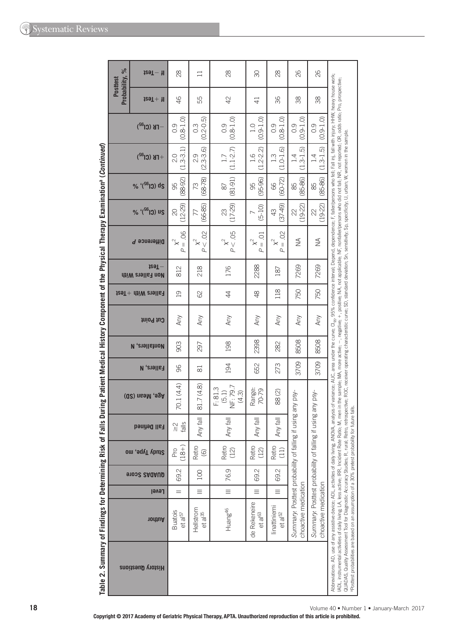| $\frac{5}{6}$                   | ta9T — 1                                        | 28                                    | $\Box$                            | 28                                    | œ                                   | 28                                        | 82                                                                  | 26                                                                  |                                                                                                                                                                                                                                                                                                                                                                                                                                                                                                                                                  |
|---------------------------------|-------------------------------------------------|---------------------------------------|-----------------------------------|---------------------------------------|-------------------------------------|-------------------------------------------|---------------------------------------------------------------------|---------------------------------------------------------------------|--------------------------------------------------------------------------------------------------------------------------------------------------------------------------------------------------------------------------------------------------------------------------------------------------------------------------------------------------------------------------------------------------------------------------------------------------------------------------------------------------------------------------------------------------|
| Probability,<br><b>Posttest</b> | $129T + 11$                                     | $\frac{4}{5}$                         | 55                                | 42                                    | $\overline{4}$                      | 36                                        | 88                                                                  | 88                                                                  |                                                                                                                                                                                                                                                                                                                                                                                                                                                                                                                                                  |
|                                 | $-TB$ (Cl <sup>a2</sup> )                       | $(0.8 - 1.0)$<br>0.9                  | $(0.2 - 0.5)$<br>$0.\overline{3}$ | $(0.8 - 1.0)$<br>0.9                  | $(0.9 - 1.0)$<br>1.0                | $(0.8 - 1.0)$<br>0.9                      | $(0.9 - 1.0)$<br>0.9                                                | $(0.9 - 1.0)$<br>$\overline{0}$ .                                   |                                                                                                                                                                                                                                                                                                                                                                                                                                                                                                                                                  |
|                                 | $+$ FK (Cl <sup>32</sup> )                      | $(1.3 - 3.1)$<br>2.0                  | $(2.3 - 3.6)$<br>2.9              | $(1.1 - 2.7)$                         | $(1.2 - 2.2)$<br>1.6                | $(1.0 - 1.6)$<br>1.3                      | $(1.3 - 1.5)$<br>1.4                                                | $(1.3 - 1.5)$<br>$\overline{14}$                                    |                                                                                                                                                                                                                                                                                                                                                                                                                                                                                                                                                  |
|                                 | % '(SG) ds                                      | $(88-92)$<br>95                       | $(68 - 78)$<br>73                 | $(81-91)$<br>87                       | $(95-96)$<br>95                     | $(60 - 72)$<br>66                         | $(85-86)$<br>85                                                     | $(85 - 86)$<br>85                                                   |                                                                                                                                                                                                                                                                                                                                                                                                                                                                                                                                                  |
|                                 | % '(SG) us                                      | $(12-29)$<br>$\infty$                 | $(66-85)$<br>77                   | $(17-29)$<br>23                       | $(5-10)$<br>↖                       | $(37-49)$<br>43                           | $(19-22)$<br>22                                                     | $(19-22)$<br>22                                                     |                                                                                                                                                                                                                                                                                                                                                                                                                                                                                                                                                  |
|                                 | Difference P                                    | $= .06$<br>ρ                          | P < 02<br>$\chi^2$                | $p \times 05$                         | $= .01$<br>$\overline{a}$           | So.<br>$\times^2$<br>$\lvert \rvert$<br>ρ | ⋚                                                                   | ≸                                                                   |                                                                                                                                                                                                                                                                                                                                                                                                                                                                                                                                                  |
|                                 | $129T -$<br><b>AiiW</b> enalle <sub>1</sub> noM | 812                                   | 218                               | 176                                   | 2288                                | 187                                       | 7269                                                                | 7269                                                                |                                                                                                                                                                                                                                                                                                                                                                                                                                                                                                                                                  |
|                                 | $t$ es $T+$ $t$ tiiW $t$ stell $s$ ł            | $\overline{0}$                        | 89                                | $\overline{4}$                        | $\frac{8}{3}$                       | 118                                       | 750                                                                 | 750                                                                 |                                                                                                                                                                                                                                                                                                                                                                                                                                                                                                                                                  |
|                                 | <b>Sut Point</b>                                | Any                                   | Any                               | Any                                   | Any                                 | Any                                       | Any                                                                 | Any                                                                 |                                                                                                                                                                                                                                                                                                                                                                                                                                                                                                                                                  |
|                                 | <b>N</b> , enall show                           | 903                                   | 297                               | 198                                   | 2398                                | 282                                       | 8508                                                                | 8508                                                                |                                                                                                                                                                                                                                                                                                                                                                                                                                                                                                                                                  |
|                                 | <b>Fallers, N</b>                               | 96                                    | 81                                | 194                                   | 652                                 | 273                                       | 3709                                                                | 3709                                                                |                                                                                                                                                                                                                                                                                                                                                                                                                                                                                                                                                  |
|                                 | Age, Mean (SD)                                  | 70.1 (4.4)                            | 81.7 (4.8)                        | NF: 79.7<br>F: 81.3<br>(4.3)<br>(5.1) | Range:<br>70-79                     | 88(2)                                     | using any psy-                                                      | using any psy-                                                      | analysis of variance; AUC, area under the curve; Cl <sub>sa</sub> , 95% confidence interval; Depend, dependence; F, faller/persons who fell; Fall inj, fall with injury; HHW, heavy house work;<br>M, men in the sample; MA, more active; -, negative; +, positive; NA, not applicable; NF, nonfaller/persons who did not fall; NR, not reported; OR, odds ratio; Pro, prospective;<br>retrospective; ROC, receiver operating characteristic curve; SD, standard deviation; Sn, sensitivity; Sp, specificitiv; U, urban; W, women in the sample. |
|                                 | Fall Defined                                    | ell <sub>6</sub><br>$\sim$<br>ΛI      | 局<br>Any                          | 园<br>Any                              | 园<br>Any                            | 局<br>Any                                  |                                                                     |                                                                     | future falls.                                                                                                                                                                                                                                                                                                                                                                                                                                                                                                                                    |
|                                 | Study Type, mo                                  | $(18+)$<br>Pro                        | Retro<br>$\circledcirc$           | Retro<br>(12)                         | Retro<br>(12)                       | Retro<br>(11)                             |                                                                     |                                                                     |                                                                                                                                                                                                                                                                                                                                                                                                                                                                                                                                                  |
|                                 | 91032 SAQAUD                                    | 69.2                                  | <b>DOI</b>                        | 76.9                                  | 69.2                                | 69.2                                      |                                                                     |                                                                     |                                                                                                                                                                                                                                                                                                                                                                                                                                                                                                                                                  |
|                                 | Level                                           | $=$                                   | $\equiv$                          | $\equiv$                              | $\equiv$                            | $\equiv$                                  |                                                                     |                                                                     |                                                                                                                                                                                                                                                                                                                                                                                                                                                                                                                                                  |
|                                 | nodtuA                                          | <b>Buatois</b><br>et al <sup>57</sup> | Hellstrom<br>$et$ a $ ^{35}$      | Huang <sup>46</sup>                   | de Rekeneire<br>et al <sup>63</sup> | linattiniemi<br>et al <sup>52</sup>       | Summary: Posttest probability of falling if<br>choactive medication | Summary: Posttest probability of falling if<br>choactive medication |                                                                                                                                                                                                                                                                                                                                                                                                                                                                                                                                                  |
|                                 | <b>Riggion Questions</b>                        |                                       |                                   |                                       |                                     |                                           |                                                                     |                                                                     | Abbreviations: AD, use of any assistive device; ADL, activities of daily living; ANOVA<br>IADL, instrumental activities of daily living; LA, less active; IRR, Incident Rate Ratio;<br>QUADAS, Quality Assessment Tool for Diagnostic Accuracy Studies; R, rural; Retro,<br>aposttest probabilities are based on an assumption of a 30% pretest probability for                                                                                                                                                                                  |

Table 2. Summary of Findings for Determining Risk of Falls During Patient Medical History Component of the Physical Therapy Examination<sup>a</sup> (Continued)

Volume 40 . Number 1 . January-March 2017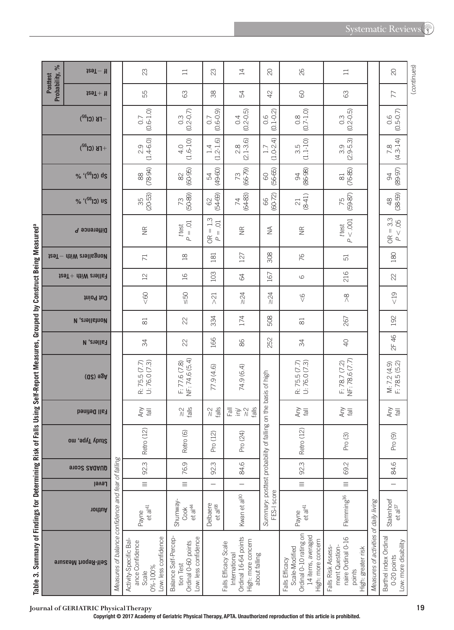|                                                                                                                 | $\%$                     | $129T - 11$                              |                                                    | 23                                                                                          | $\Box$                                                                                  | 23                                       | 14                                                                                                   | $\infty$                                                | 26                                                                                                    | $\Box$                                                                                     |                                        | $\overline{\mathrm{20}}$                                    | (continues) |
|-----------------------------------------------------------------------------------------------------------------|--------------------------|------------------------------------------|----------------------------------------------------|---------------------------------------------------------------------------------------------|-----------------------------------------------------------------------------------------|------------------------------------------|------------------------------------------------------------------------------------------------------|---------------------------------------------------------|-------------------------------------------------------------------------------------------------------|--------------------------------------------------------------------------------------------|----------------------------------------|-------------------------------------------------------------|-------------|
|                                                                                                                 | Probability,<br>Posttest | $129T + 11$                              |                                                    | 55                                                                                          | 89                                                                                      | $\approx$                                | 54                                                                                                   | 42                                                      | 8                                                                                                     | 63                                                                                         |                                        | 77                                                          |             |
|                                                                                                                 |                          | $-TB$ (Cl <sup>32</sup> )                |                                                    | $(0.6 - 1.0)$<br>0.7                                                                        | $0.3$<br>(0.2-0.7)                                                                      | $(0.6-0.9)$                              | $(0.2 - 0.5)$<br>0.4                                                                                 | $0.6$<br>(0.1-0.2)                                      | $(0.7 - 1.0)$<br>$0.\overline{8}$                                                                     | $(0.2 - 0.5)$<br>$0.\overline{3}$                                                          |                                        | $(0.5 - 0.7)$<br>0.6                                        |             |
|                                                                                                                 |                          | $+$ FB (Cl <sup>32</sup> )               |                                                    | $(1.4-6.0)$<br>2.9                                                                          | $(1.6 - 10)$<br>4.0                                                                     | $.2 - 1.6$<br>$1.4\,$<br>J               | $(2.1 - 3.6)$<br>$2.8$                                                                               | $(1.0-2.4)$<br>1.7                                      | $(1.1 - 10)$<br>3.5                                                                                   | $(2.9-5.3)$                                                                                |                                        | $(4.3 - 14)$<br>7.8                                         |             |
|                                                                                                                 |                          | % '(SG) ds                               |                                                    | $(78-94)$<br>$\begin{matrix} 80 \\ 100 \end{matrix}$                                        | $(60 - 95)$<br>$\approx$                                                                | $(49-60)$<br>R                           | $(66 - 79)$<br>73                                                                                    | $(56 - 65)$<br>$\odot$                                  | $(86 - 98)$<br>$\infty$                                                                               | $(76-85)$<br>$\approx$                                                                     |                                        | $(89 - 97)$<br>$\infty$                                     |             |
|                                                                                                                 |                          | % '(SG) us                               |                                                    | $(20 - 53)$<br>35                                                                           | $(50-89)$<br>73                                                                         | $(54 - 69)$<br>$62\,$                    | $(64-83)$<br>74                                                                                      | 66<br>(60-72)                                           | $(8 - 41)$<br>$\overline{\mathbf{C}}$                                                                 | 75<br>(59-87)                                                                              |                                        | $(38 - 59)$<br>$\frac{8}{3}$                                |             |
|                                                                                                                 |                          | Difference <i>P</i>                      |                                                    | $\widetilde{\Xi}$                                                                           | $P = 01$<br>ttest                                                                       | $= 1.3$<br>$\overline{O}$<br>$P =$<br>OR | $\frac{\alpha}{\alpha}$                                                                              | $\widetilde{\geq}$                                      | $\widetilde{\Xi}$                                                                                     | P < 0.001<br>ttest                                                                         |                                        | $OR = 3.3$<br>P < 05                                        |             |
|                                                                                                                 |                          | tesT - dtiW etallsgnoM                   |                                                    | $\overline{71}$                                                                             | $\approx$                                                                               | 181                                      | 127                                                                                                  | 308                                                     | 76                                                                                                    | 51                                                                                         |                                        | 180                                                         |             |
|                                                                                                                 |                          | $129T +$ $\text{diff}$ and $\text{diff}$ |                                                    | $\mathbf{L}$                                                                                | $\frac{1}{6}$                                                                           | 103                                      | 34                                                                                                   | 167                                                     | $\circlearrowright$                                                                                   | 216                                                                                        |                                        | 22                                                          |             |
|                                                                                                                 |                          | Cut Point                                |                                                    | &8                                                                                          | $\frac{50}{50}$                                                                         | $\overline{2}$                           | $\geq 24$                                                                                            | $\geq 24$                                               | $\sqrt{6}$                                                                                            | $\stackrel{\infty}{\wedge}$                                                                |                                        | $\leq 19$                                                   |             |
|                                                                                                                 |                          | <b>N</b> , enall and N                   |                                                    | $\approx$                                                                                   | 22                                                                                      | 334                                      | 174                                                                                                  | 508                                                     | $\overline{\infty}$                                                                                   | 267                                                                                        |                                        | 192                                                         |             |
|                                                                                                                 |                          | <b>Fallers, N</b>                        |                                                    | 34                                                                                          | $\approx$                                                                               | 166                                      | 86                                                                                                   | 252                                                     | 34                                                                                                    | $\overline{Q}$                                                                             |                                        | 2F 46                                                       |             |
| houis Seul-vehalung in Media is a bad in the same served in the Sungan is the Sungan in the Sungan is the Sunga |                          | $(02)$ $92A$                             |                                                    | R: 75.5 (7.7)<br>U: 76.0 (7.3)                                                              | NF: 74.6 (5.4)<br>F: 77.6(7.8)                                                          | 77.9 (4.6)                               | 74.9 (6.4)                                                                                           | on the basis of high                                    | R: 75.5 (7.7)<br>U: 76.0 (7.3)                                                                        | NF: 78.6 (7.7)<br>F: 78.7 (7.2)                                                            |                                        | $M: 7.2(4.9)$<br>F: 78.5 (5.2)                              |             |
|                                                                                                                 |                          | <b>Fall Defined</b>                      |                                                    | lley<br>Kuy                                                                                 | $\frac{2}{\sqrt{6}}$                                                                    | $\frac{2}{\sqrt{6}}$                     | falls<br>lle <sub>3</sub><br>$\overleftrightarrow{\Xi}$<br>$\frac{1}{\sqrt{2}}$                      |                                                         | lley<br>Kuy                                                                                           | lley<br>Kuy                                                                                |                                        | lley<br>Kuy                                                 |             |
|                                                                                                                 |                          | Study Type, mo                           |                                                    | Retro (12)                                                                                  | Retro (6)                                                                               | Pro (12)                                 | Pro (24)                                                                                             |                                                         | Retro (12)                                                                                            | Pro (3)                                                                                    |                                        | Pro (9)                                                     |             |
|                                                                                                                 |                          | 91002 SAQAUD                             |                                                    | 92.3                                                                                        | 76.9                                                                                    | 92.3                                     | 84.6                                                                                                 |                                                         | 92.3                                                                                                  | 69.2                                                                                       |                                        | 84.6                                                        |             |
|                                                                                                                 |                          | Level                                    |                                                    | $\equiv$                                                                                    | $\equiv$                                                                                | -                                        | -                                                                                                    |                                                         | $\equiv$                                                                                              | $\equiv$                                                                                   |                                        | $\overline{a}$                                              |             |
|                                                                                                                 |                          | nodtuA                                   |                                                    | $et a ^{41}$<br>Payne                                                                       | Shumway-<br>et a $\mathbb{A}^4$<br>Cook                                                 | Delbaere<br>et al <sup>68</sup>          | Kwan et al <sup>30</sup>                                                                             | Summary: posttest probability of falling<br>FES-I score | et a $ ^{41}$<br>Payne                                                                                | Flemming <sup>36</sup>                                                                     |                                        | Stalenhoef<br>et a <sup>37</sup>                            |             |
| anne ?. Smillian à lui Paeluillian an t-aisean                                                                  |                          | Self-Report Measure                      | Measures of balance confidence and fear of falling | ow: less confidence<br>Activity-Specific Bal-<br>ance Confidence<br><b>D%-100%</b><br>Scale | .ow: less confidence<br><b>Balance Self-Percep-</b><br>Ordinal 0-60 points<br>tion Test |                                          | Ordinal 16-64 points<br>High: more concern<br>Falls Efficacy Scale<br>International<br>about falling |                                                         | Ordinal 0-10 rating on<br>14 items, averaged<br>ligh: more concern<br>Scale-Modified<br>alls Efficacy | naire Ordinal 0-16<br>ment Question-<br>Falls Risk Assess-<br>ligh: greater risk<br>points | Measures of activities of daily living | Barthel index Ordinal<br>ow: more disability<br>0-20 points |             |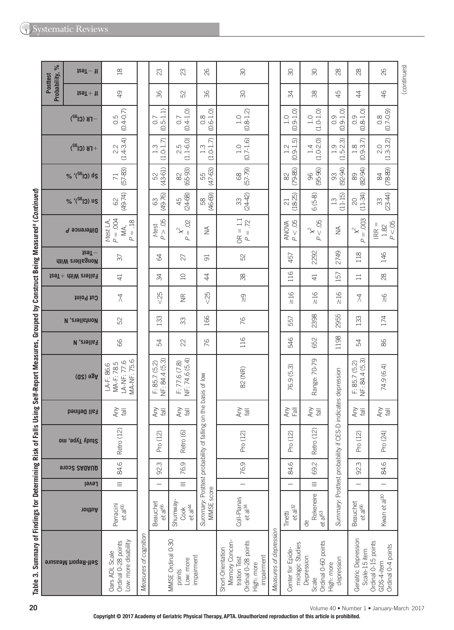| $\%$                     | $129T - 11$                          | $\frac{8}{18}$                                                |                       | 23                                     | 23                                                     | 82                                                     | $\infty$                                                                                               |                        | $\infty$                              | $\infty$                                               | 28                                     | 28                                     | 82                                                      | (continues) |
|--------------------------|--------------------------------------|---------------------------------------------------------------|-----------------------|----------------------------------------|--------------------------------------------------------|--------------------------------------------------------|--------------------------------------------------------------------------------------------------------|------------------------|---------------------------------------|--------------------------------------------------------|----------------------------------------|----------------------------------------|---------------------------------------------------------|-------------|
| Probability,<br>Posttest | $129T + 11$                          | $\overline{4}$                                                |                       | 36                                     | 52                                                     | 36                                                     | 30                                                                                                     |                        | 34                                    | 38                                                     | 45                                     | 4                                      | 46                                                      |             |
|                          | $-TB$ (Cl <sup>32</sup> )            | $(0.4 - 0.7)$<br>0.5                                          |                       | $(0.5 - 1.1)$<br>0.7                   | $(0.4 - 1.0)$<br>0.7                                   | $(0.6 - 1.0)$<br>$\frac{8}{2}$                         | $(0.8 - 1.2)$<br>1.0                                                                                   |                        | $(0.9 - 1.0)$<br>1.0                  | $(1.0 - 1.0)$<br>1.0                                   | $(0.9 - 1.0)$<br>0.9                   | $(0.8 - 1.0)$<br>0.9                   | $(6.0 - 0.0)$                                           |             |
|                          | $+$ FB (Cl <sup>32</sup> )           | $2.2$<br>(1.4-3.4)                                            |                       | $(1.0 - 1.7)$<br>$1.\overline{3}$      | $2.5$<br>(1.1-6.0)                                     | $(1.0 - 1.7)$<br>$1.\overline{3}$                      | $(0.7 - 1.6)$<br>$\frac{0}{1}$                                                                         |                        | $(0.9 - 1.5)$<br>1.2                  | $(1.0 - 2.0)$<br>1.4                                   | $(1.5 - 2.3)$<br>1.9                   | $(0.9 - 3.7)$<br>$\frac{8}{1}$         | $2.0$<br>(1.3-3.2)                                      |             |
|                          | % '(SG) ds                           | $(57-83)$<br>$\overline{71}$                                  |                       | $(43-61)$<br>S2                        | $(65-93)$<br>$\approx$                                 | $(47-63)$<br>55                                        | $(57 - 79)$<br>89                                                                                      |                        | $(79-85)$<br>82                       | $(95 - 96)$<br>96                                      | $(92 - 94)$<br>93                      | $(82 - 94)$<br>89                      | $(78-89)$<br>84                                         |             |
|                          | % '(S613) us                         | $(49-74)$<br>$\mbox{S}2$                                      |                       | $(49 - 76)$<br>63                      | $(24 - 68)$<br>45                                      | $(46-69)$<br>58                                        | $(24-42)$<br>33                                                                                        |                        | $(18 - 25)$<br>$\overline{c}$         | $6(5-8)$                                               | $(11 - 15)$<br>$\frac{3}{2}$           | $(11-34)$<br>$\overline{c}$            | $(23-44)$<br>33                                         |             |
|                          | Difference P                         | $P = .004$<br>$P = .18$<br>t-test LA,<br>MA,                  |                       | P > .05<br>t-test                      | $\mu^2 = 0$                                            | $\frac{1}{2}$                                          | $OR = 1.1$<br>$P = .72$                                                                                |                        | P < .05<br><b>ANOVA</b>               | $p \times \frac{1}{2}$ .05                             | $\frac{1}{2}$                          | $= .003$<br>$\chi^2$<br>$\Delta$       | P < 05<br>$IRR =$<br>$1.82\,$                           |             |
|                          | $129T -$<br><b>Nongallers With</b>   | $\overline{\sigma}$                                           |                       | 3                                      | 27                                                     | $\overline{5}$                                         | 52                                                                                                     |                        | 457                                   | 2292                                                   | 2749                                   | 118                                    | 146                                                     |             |
|                          | $t$ eaT $+$ dtiW analla <sub>1</sub> | $\overline{4}$                                                |                       | 34                                     | $\overline{C}$                                         | $\overline{4}$                                         | 38                                                                                                     |                        | 116                                   | $\overline{41}$                                        | 57                                     | $\Box$                                 | 28                                                      |             |
|                          | Cut Point                            | $\lambda$                                                     |                       | $<25$                                  | $\widetilde{\Xi}$                                      | &025                                                   | $\frac{1}{\sqrt{2}}$                                                                                   |                        | $\geq 16$                             | $\frac{16}{1}$                                         | $\frac{16}{1}$                         | ₹                                      | $\frac{8}{10}$                                          |             |
|                          | <b><i>N</i></b> , anall strop        | 52                                                            |                       | 133                                    | 33                                                     | 166                                                    | 76                                                                                                     |                        | 557                                   | 2398                                                   | 2955                                   | 133                                    | 174                                                     |             |
|                          | <b>Fallers, N</b>                    | 89                                                            |                       | 54                                     | 22                                                     | 76                                                     | 116                                                                                                    |                        | 546                                   | 652                                                    | 1198                                   | 54                                     | 86                                                      |             |
|                          | $(02)$ $92A$                         | MA-NF: 75.6<br>LA-NF: 77.6<br>MA-F: 78.5<br>$LA-F: 86.6$      |                       | NF: 84.4 (5.3)<br>F: 85.7(5.2)         | NF: 74.6 (5.4)<br>F: 77.6(7.8)                         | on the basis of low                                    | 82 (NR)                                                                                                |                        | (5.3)<br>76.9                         | Range: 70-79                                           | indicates depression                   | NF: 84.4 (5.3)<br>F: 85.7(5.2)         | 74.9 (6.4)                                              |             |
|                          | <b>Fall Defined</b>                  | Any<br>$\overline{\overline{6}}$                              |                       | Any                                    | Any                                                    |                                                        | Any                                                                                                    |                        | Any<br>$\overline{E}$                 | Any                                                    |                                        | Any<br>$\overline{\overline{B}}$       | Any<br>$\frac{1}{2}$                                    |             |
|                          | Study Type, mo                       | Retro (12)                                                    |                       | Pro (12)                               | Retro (6)                                              |                                                        | Pro (12)                                                                                               |                        | Pro (12)                              | Retro (12)                                             |                                        | Pro (12)                               | Pro (24)                                                |             |
|                          | <b>91032 SAUAUD</b>                  | 84.6                                                          |                       | 92.3                                   | 76.9                                                   |                                                        | 76.9                                                                                                   |                        | 84.6                                  | 69.2                                                   |                                        | 92.3                                   | 84.6                                                    |             |
|                          | Level                                | $\equiv$                                                      |                       | $\overline{\phantom{0}}$               | $\equiv$                                               |                                                        | $\equiv$                                                                                               |                        |                                       | $\equiv$                                               |                                        |                                        | $\overline{\phantom{0}}$                                |             |
|                          | nodthA                               | Perracini<br>et al <sup>65</sup>                              |                       | <b>Beauchet</b><br>et al <sup>66</sup> | Shumway-<br>et a $\vert$ 44<br>Cook                    | Summary: Posttest probability of falling<br>MMSE score | Coll-Planas<br>et a $ ^{34}$                                                                           |                        | $et a^{32}$<br>Tinetti                | Rekeneire<br>et al <sup>63</sup><br>$\frac{1}{\sigma}$ | Summary: Posttest probability if CES-D | <b>Beauchet</b><br>et al <sup>66</sup> | Kwan et al <sup>30</sup>                                |             |
|                          | Self-Report Measure                  | Ordinal 0-28 points<br>Low: more disability<br>Oars ADL Scale | Measures of cognition |                                        | MMSE Ordinal 0-30<br>impairment<br>Low: more<br>points |                                                        | Memory Concen-<br>Ordinal 0-28 points<br>Short-Orientation<br>impairment<br>tration Test<br>High: more | Measures of depression | miologic Studies<br>Center for Epide- | Ordinal 0-60 points<br>Depression<br>Scale             | depression<br>High: more               | Geriatric Depression<br>Scale-15 item  | Ordinal 0-15 points<br>Ordinal 0-4 points<br>GDS-4-item |             |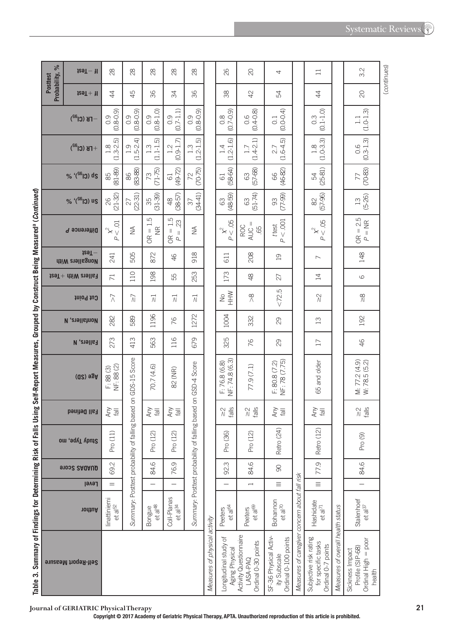Table 3. Summary of Findings for Determining Risk of Falls Using Self-Report Measures, Grouped by Construct Being Measured<sup>a</sup> (Continued) **Table 3.Summary of Findings for Determining Risk of Falls Using Self-Report Measures, Grouped by Construct Being Measured a (***Continued***)** 

| Probability, %<br>Posttest | $129T - 11$                              | 28                                               | 28                                       | $\frac{8}{2}$                                       | 28                                             | 28                                       |                               | 82                                                     | $\infty$                                                  | 4                                                             |                                               | $\Box$                                                             |                                   | 3.2                                                                  | (continues) |
|----------------------------|------------------------------------------|--------------------------------------------------|------------------------------------------|-----------------------------------------------------|------------------------------------------------|------------------------------------------|-------------------------------|--------------------------------------------------------|-----------------------------------------------------------|---------------------------------------------------------------|-----------------------------------------------|--------------------------------------------------------------------|-----------------------------------|----------------------------------------------------------------------|-------------|
|                            | $129T + 11$                              | $\ddot{4}$                                       | 45                                       | 36                                                  | 34                                             | 36                                       |                               | 38                                                     | 42                                                        | 54                                                            |                                               | $\ddot{4}$                                                         |                                   | 20                                                                   |             |
|                            | $-FB$ (Cl <sup>32</sup> )                | $(0.8 - 0.9)$<br>0.9                             | $(0.8 - 0.9)$<br>0.9                     | $(0.8 - 1.0)$<br>0.9                                | $(0.7 - 1.1)$<br>0.9                           | (679)                                    |                               | $(0.7 - 0.9)$<br>$0.\overline{8}$                      | $(0.4 - 0.8)$<br>0.6                                      | $(0.0 - 0.4)$<br>$\overline{0}$ :                             |                                               | $(0.1 - 1.0)$<br>$0.\overline{3}$                                  |                                   | $(1.0 - 1.3)$<br>$\Box$                                              |             |
|                            | $+$ FK (Cl <sup>32</sup> )               | $(1.3 - 2.5)$<br>$\frac{8}{1}$                   | $(1.5 - 2.4)$<br>$\overline{1}$ .9       | $(1.1 - 1.5)$<br>1.3                                | $(0.9 - 1.7)$<br>1.2                           | $.2 - 1.5$<br>$1.\overline{3}$<br>đ      |                               | $.2 - 1.6$<br>1.4<br>J.                                | $(1.4 - 2.1)$<br>1.7                                      | $(1.6-4.5)$<br>2.7                                            |                                               | $(1.0-3.3)$<br>1.8                                                 |                                   | $(0.3 - 1.3)$<br>0.6                                                 |             |
|                            | % '(SG) ds                               | $(81 - 89)$<br>85                                | $(83 - 88)$<br>$86$                      | $(71 - 75)$<br>$\mathbb{R}^2$                       | $(49 - 72)$<br>$\overline{6}$                  | $(70 - 75)$<br>$\approx$                 |                               | $(58-64)$<br>$61$                                      | $(57 - 68)$<br>3                                          | $(46 - 82)$<br>66                                             |                                               | $(25-81)$<br>$\mathbb{R}$                                          |                                   | $(70-83)$<br>77                                                      |             |
|                            | $% '(^{56}C)$ us                         | 26<br>(21-32)                                    | $(22 - 31)$<br>27                        | $(31 - 39)$<br>35                                   | $48$<br>(38-57)                                | $(34-41)$<br>$\sqrt{6}$                  |                               | $(48-59)$<br>63                                        | $(51 - 74)$<br>63                                         | $(77-99)$<br>93                                               |                                               | $(57 - 96)$<br>$\approx$                                           |                                   | $(5 - 26)$<br>$\Xi$                                                  |             |
|                            | Difference P                             | ō<br>$\mathbf{\hat{x}}$ $\vee$<br>$\overline{a}$ | $\widetilde{\geq}$                       | $= 1.5$<br>$\frac{\alpha}{\alpha}$<br>$\frac{R}{C}$ | 1.5<br>23<br>$\parallel$<br>$P =$<br><b>BC</b> | $\widetilde{\geq}$                       |                               | P < 05<br>$\mathbf{\hat{x}}^2$                         | $AUC =$<br><b>ROC</b><br>65                               | P < 0.001<br>ttest                                            |                                               | .05<br>$\stackrel{\sim}{\times}_V$<br>$\overline{\mathcal{L}}$     |                                   | $OR = 2.5$<br>$P = NR$                                               |             |
|                            | $129T -$<br>Nongallers With              | 241                                              | 505                                      | 872                                                 | 46                                             | 918                                      |                               | 611                                                    | 208                                                       | $\overline{0}$                                                |                                               | $\overline{\phantom{0}}$                                           |                                   | 148                                                                  |             |
|                            | $129T +$ $\text{diff}$ and $\text{diff}$ | $\overline{71}$                                  | 110                                      | 198                                                 | 55                                             | 253                                      |                               | 173                                                    | $\frac{8}{4}$                                             | 27                                                            |                                               | $\overline{1}$                                                     |                                   | 6                                                                    |             |
|                            | Cut Point                                | $\bar{\lambda}$                                  | $\overline{\mathcal{N}}$                 | $\overline{\lambda}$                                | $\overrightarrow{M}$                           | $\overline{\lambda}$                     |                               | NHW<br>$\geq$                                          | $\%$                                                      | ب<br><72.                                                     |                                               | $\stackrel{\textstyle\sim}{\scriptstyle\sim}$                      |                                   | $\stackrel{\textstyle\circ}{\scriptstyle\circ}$                      |             |
|                            | <b><i>N</i></b> , anall strop            | 282                                              | 589                                      | 1196                                                | 76                                             | 1272                                     |                               | 1004                                                   | 332                                                       | $\infty$                                                      |                                               | $\Xi$                                                              |                                   | 192                                                                  |             |
|                            | <b>Fallers, N</b>                        | 273                                              | 413                                      | 563                                                 | 116                                            | 679                                      |                               | 325                                                    | 76                                                        | $\infty$                                                      |                                               | $\overline{17}$                                                    |                                   | 46                                                                   |             |
|                            | $(02)$ $92A$                             | NF: 88 (2)<br>F: 88 (3)                          | based on GDS-15 Score                    | 70.7 (4.6)                                          | 82 (NR)                                        | based on GSD-4 Score                     |                               | NF: 74.8 (6.3)<br>F: 76.8(6.8)                         | 77.9 (7.1)                                                | NF: 78 (7.75)<br>F: 80.8 (7.2)                                |                                               | 65 and older                                                       |                                   | M: 77.2 (4.9)<br>W: 78.5 (5.2)                                       |             |
|                            | <b>Fall Defined</b>                      | Any<br>$\overline{\overline{6}}$                 |                                          | Any                                                 | Any                                            |                                          |                               | falls<br>$\stackrel{\textstyle\sim}{\scriptstyle\sim}$ | falls<br>$\stackrel{\textstyle\sim}{\textstyle\sim}$      | Any<br>$\overline{\overline{6}}$                              |                                               | lley<br>Kuy                                                        |                                   | falls<br>$\stackrel{\textstyle\sim}{\scriptstyle\sim}$               |             |
|                            | Study Type, mo                           | Pro (11)                                         |                                          | Pro (12)                                            | Pro (12)                                       |                                          |                               | Pro (36)                                               | Pro (12)                                                  | Retro (24)                                                    |                                               | <b>Retro (12)</b>                                                  |                                   | Pro (9)                                                              |             |
|                            | <b>91032 SAUAUD</b>                      | 69.2                                             |                                          | 84.6                                                | 76.9                                           |                                          |                               | 92.3                                                   | 84.6                                                      | $\infty$                                                      |                                               | 77.9                                                               |                                   | 84.6                                                                 |             |
|                            | Level                                    | $=$                                              |                                          |                                                     |                                                |                                          |                               |                                                        | $\overline{\phantom{0}}$                                  | $\equiv$                                                      |                                               | $\equiv$                                                           |                                   |                                                                      |             |
|                            | nonthor                                  | linattiniemi<br>$et$ a $52$                      | Summary: Posttest probability of falling | $et$ a $ ^{48}$<br>Bongue                           | Coll-Planas<br>et al $^{34}$                   | Summary: Posttest probability of falling |                               | et al <sup>64</sup><br>Peeters                         | et al <sup>69</sup><br>Peeters                            | Bohannon<br>et al <sup>70</sup>                               |                                               | Hashidate<br>et a <sup>71</sup>                                    |                                   | Stalenhoef<br>et a $ ^{37}$                                          |             |
|                            | Self-Report Measure                      |                                                  |                                          |                                                     |                                                |                                          | Measures of physical activity | Longitudinal study of<br>Aging Physical                | Activity Questionnaire<br>Ordinal 0-30 points<br>LASA-PAQ | SF-36 Physical Activ-<br>Ordinal 0-100 points<br>ity Subscale | Measures of caregiver concern about fall risk | Subjective risk rating<br>for specific tasks<br>Ordinal 0-7 points | Measures of overall health status | Ordinal High = poor<br>Profile (SIP-68)<br>Sickness Impact<br>health |             |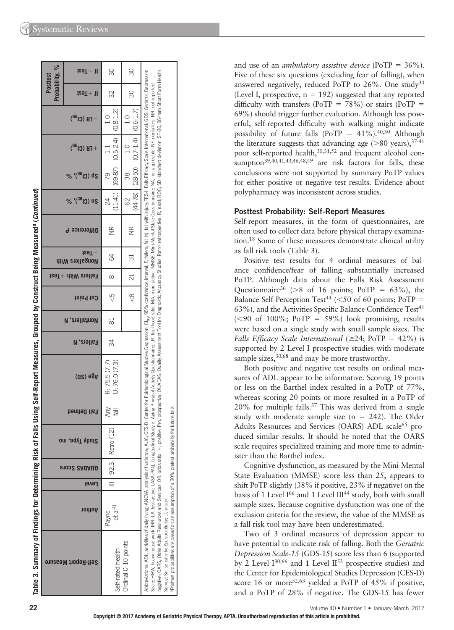| Probability, %<br><b>Posttest</b> | izəT-<br>Л                                        | 30                                           | 30                           |                                                                                                                                                                                                                                                                                                                                                                                                                                                                                                                                                                                                                                                                                                                           |
|-----------------------------------|---------------------------------------------------|----------------------------------------------|------------------------------|---------------------------------------------------------------------------------------------------------------------------------------------------------------------------------------------------------------------------------------------------------------------------------------------------------------------------------------------------------------------------------------------------------------------------------------------------------------------------------------------------------------------------------------------------------------------------------------------------------------------------------------------------------------------------------------------------------------------------|
|                                   | $129T +$<br>Ш                                     | 32                                           | 30                           |                                                                                                                                                                                                                                                                                                                                                                                                                                                                                                                                                                                                                                                                                                                           |
|                                   | <b>FB</b> (Cl <sup>a2</sup> )                     | $(0.8 - 1.2)$                                | $(0.6-1.7)$<br>$\frac{1}{1}$ |                                                                                                                                                                                                                                                                                                                                                                                                                                                                                                                                                                                                                                                                                                                           |
|                                   | $+$ FK (Cl <sup>a2</sup> )                        | $(0.5 - 2.4)$                                | $ 0.7-1.4 $<br>1.0           |                                                                                                                                                                                                                                                                                                                                                                                                                                                                                                                                                                                                                                                                                                                           |
|                                   | % '( <sup>G6</sup> I3) ds                         | $(69-87)$<br>79                              | $(28-50)$<br>38              |                                                                                                                                                                                                                                                                                                                                                                                                                                                                                                                                                                                                                                                                                                                           |
|                                   | $^{\prime}$ (Cl <sub>95</sub> ) <sup>,</sup><br>% | $(11-41)$<br>24                              | $(44 - 78)$<br>62            |                                                                                                                                                                                                                                                                                                                                                                                                                                                                                                                                                                                                                                                                                                                           |
|                                   | Difference P                                      | $\frac{\infty}{\infty}$                      | $\frac{\infty}{\infty}$      |                                                                                                                                                                                                                                                                                                                                                                                                                                                                                                                                                                                                                                                                                                                           |
| <b>41IW</b>                       | izəT ·<br>Nongallers                              | 84                                           | $\overline{\circ}$           |                                                                                                                                                                                                                                                                                                                                                                                                                                                                                                                                                                                                                                                                                                                           |
|                                   | tallers With +Test                                | $\infty$                                     | $\overline{c}$               |                                                                                                                                                                                                                                                                                                                                                                                                                                                                                                                                                                                                                                                                                                                           |
|                                   | Cut Point                                         | ςS                                           | $\frac{8}{\sqrt{2}}$         |                                                                                                                                                                                                                                                                                                                                                                                                                                                                                                                                                                                                                                                                                                                           |
|                                   | <b>Nonfallers,</b><br>N                           | 81                                           |                              |                                                                                                                                                                                                                                                                                                                                                                                                                                                                                                                                                                                                                                                                                                                           |
|                                   | Fallers,<br>N                                     | 34                                           |                              |                                                                                                                                                                                                                                                                                                                                                                                                                                                                                                                                                                                                                                                                                                                           |
|                                   | $(02)$ $98A$                                      | U: 76.0(7.3)<br>R: 75.5 (7.7)                |                              | of Aging Physical Activity Questionnaire; LR, likelihood ratio; MA, more active; MMSE, Mini-Mental State Questionnaire; NA, not applicable; NF, nonfallers; NR, not reported; -,                                                                                                                                                                                                                                                                                                                                                                                                                                                                                                                                          |
|                                   | Fall Defined                                      | $\frac{  \mathbf{e}  }{\lambda_{\text{UV}}}$ |                              |                                                                                                                                                                                                                                                                                                                                                                                                                                                                                                                                                                                                                                                                                                                           |
|                                   | Study Type, mo                                    | III   92.3   Retro (12)                      |                              |                                                                                                                                                                                                                                                                                                                                                                                                                                                                                                                                                                                                                                                                                                                           |
|                                   | enoo2 2AQAUD                                      |                                              |                              |                                                                                                                                                                                                                                                                                                                                                                                                                                                                                                                                                                                                                                                                                                                           |
|                                   | Level                                             |                                              |                              |                                                                                                                                                                                                                                                                                                                                                                                                                                                                                                                                                                                                                                                                                                                           |
|                                   | <b>Author</b>                                     | et al <sup>41</sup><br>Payne                 |                              |                                                                                                                                                                                                                                                                                                                                                                                                                                                                                                                                                                                                                                                                                                                           |
|                                   | Self-Report Measure                               | Self-rated health                            | Ordinal 0-10 points          | egative; OARS, Older Adults Resources; OR, odds ratio; +, positive; Pro, prospective; QUAIM Assessment Tool for Diagrostic Accuracy Studies; Retro, retrospective; RC, rural; ROC, SD, standard deviation; SF-36, 36-item Shor<br>bbreviations: ADIV, Morg, ANOVA, analysis of variance; AUG; CES-D, Center for Epidemiological Studies Depression; O <sub>ck,</sub> 95% confidence interval; F, allers; fall inj, fall with injury;FES-I, Falls Efficary Scale Internatio<br>Posttest probabilities are based on an assumption of a 30% pretest probability for future falls.<br>Scale; HHW, heavy house work; IRR; LA, less active; LASA-PAQ, Longitudinal Study<br>Survey; Sn, sensitivity; Sp, specificity; U, urban. |

and use of an *ambulatory assistive device* (PoTP = 36%). Five of these six questions (excluding fear of falling), when answered negatively, reduced PoTP to 26%. One study<sup>34</sup> (Level I, prospective,  $n = 192$ ) suggested that any reported difficulty with transfers (PoTP =  $78\%$ ) or stairs (PoTP = 69%) should trigger further evaluation. Although less powerful, self-reported difficulty with walking might indicate possibility of future falls (PoTP =  $41\%$ ).<sup>40,50</sup> Although the literature suggests that advancing age  $( >80 \text{ years}), ^{37-41}$ poor self-reported health, 30,31,52 and frequent alcohol consumption<sup>39,40,41,43,46,48,49</sup> are risk factors for falls, these conclusions were not supported by summary PoTP values for either positive or negative test results. Evidence about polypharmacy was inconsistent across studies.

#### **Posttest Probability: Self-Report Measures**

Self-report measures, in the form of questionnaires, are often used to collect data before physical therapy examination. 18 Some of these measures demonstrate clinical utility as fall risk tools (Table 3).

Positive test results for 4 ordinal measures of balance confidence/fear of falling substantially increased PoTP. Although data about the Falls Risk Assessment Questionnaire<sup>36</sup> ( $>8$  of 16 points; PoTP = 63%), the Balance Self-Perception Test<sup>44</sup> ( $\leq$ 50 of 60 points; PoTP =  $63\%$ ), and the Activities Specific Balance Confidence Test<sup>41</sup>  $(< 90$  of 100%; PoTP = 59%) look promising, results were based on a single study with small sample sizes. The *Falls Efficacy Scale International* ( $\geq$ 24; PoTP = 42%) is supported by 2 Level I prospective studies with moderate sample sizes, 30,68 and may be more trustworthy.

Both positive and negative test results on ordinal measures of ADL appear to be informative. Scoring 19 points or less on the Barthel index resulted in a PoTP of 77%, whereas scoring 20 points or more resulted in a PoTP of  $20\%$  for multiple falls.<sup>37</sup> This was derived from a single study with moderate sample size  $(n = 242)$ . The Older Adults Resources and Services (OARS) ADL scale<sup>65</sup> produced similar results. It should be noted that the OARS scale requires specialized training and more time to administer than the Barthel index.

Cognitive dysfunction, as measured by the Mini-Mental State Evaluation (MMSE) score less than 25, appears to shift PoTP slightly (38% if positive, 23% if negative) on the basis of 1 Level I<sup>66</sup> and 1 Level III<sup>44</sup> study, both with small sample sizes. Because cognitive dysfunction was one of the exclusion criteria for the review, the value of the MMSE as a fall risk tool may have been underestimated.

Two of 3 ordinal measures of depression appear to have potential to indicate risk of falling. Both the *Geriatric Depression Scale-15* (GDS-15) score less than 6 (supported by 2 Level  $I^{30,66}$  and 1 Level  $II^{52}$  prospective studies) and the Center for Epidemiological Studies Depression (CES-D) score 16 or more<sup>32,63</sup> yielded a PoTP of 45% if positive, and a PoTP of 28% if negative. The GDS-15 has fewer

**22** Volume 40 • Number 1 • January-March 2017

Table 3. Summary of Findings for Determining Risk of Falls Using Self-Report Measures, Grouped by Construct Being Measured<sup>9</sup> (Continued)

 **Summary of Findings for Determining Risk of Falls Using Self-Report Measures, Grouped by Construct Being Measured a (***Continued***)**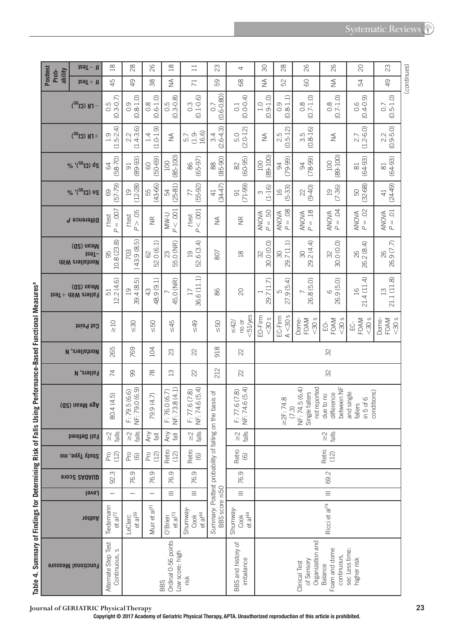|                                                   |                              | $129T - 11$                                   | $\frac{8}{10}$                       | $\frac{8}{2}$                                       | 82                                | $\frac{8}{10}$                               | $\Box$                                 | 23                                                       | 4                                                      | $\infty$                       | $\frac{8}{2}$             | 82                                               | 26                                      | $\infty$                                              | 23                                                    |
|---------------------------------------------------|------------------------------|-----------------------------------------------|--------------------------------------|-----------------------------------------------------|-----------------------------------|----------------------------------------------|----------------------------------------|----------------------------------------------------------|--------------------------------------------------------|--------------------------------|---------------------------|--------------------------------------------------|-----------------------------------------|-------------------------------------------------------|-------------------------------------------------------|
|                                                   | Posttest<br>ability<br>Prob- | $129T + 11$                                   | 45                                   | $\overline{6}$                                      | 38                                | $\widetilde{\geq}$                           | $\overline{71}$                        | 59                                                       | 89                                                     | $\lessgtr$                     | 52                        | 8                                                | $\leq$                                  | 54                                                    | $\overline{6}$                                        |
|                                                   |                              | $F$ K (Cl <sup>32</sup> )                     | $(0.3 - 0.7)$<br>0.5                 | $(0.8 - 1.0)$<br>0.9                                | $(0.6 - 1.0)$<br>$0.\overline{8}$ | $(0.3 - 0.8)$<br>0.5                         | $(0.1 - 0.6)$<br>$0.\overline{3}$      | $(0.6 - 0.80)$<br>0.7                                    | $(0.0 - 0.4)$<br>$\overline{0}$ .                      | $(0.9 - 1.0)$<br>$\frac{0}{1}$ | $(0.8-1.1)$               | $(0.7 - 1.0)$<br>$\frac{8}{2}$                   | $(0.7 - 1.0)$<br>$\frac{8}{2}$          | $(0.4 - 0.9)$<br>0.6                                  | $(0.5 - 1.0)$<br>0.7                                  |
|                                                   |                              | $+$ FB (Cl <sup>32</sup> )                    | $(1.5-2.4)$<br>1.9                   | $\begin{array}{c c} 2.2 & \\ 1.4-3.6 & \end{array}$ | $(1.0 - 1.9)$<br>1.4              | $\lessgtr$                                   | 16.6)<br>$(1.9 -$<br>5.7               | $(2.6-4.3)$<br>3.4                                       | $(2.0 - 12)$<br>5.0                                    | $\lessgtr$                     | $(0.5 - 12)$<br>2.5       | $(0.8 - 16)$<br>3.5                              | $\lessgtr$                              | $(1.2 - 6.0)$<br>27                                   | $\begin{array}{c c} 2.2 & \\ 0.9 - 5.0 & \end{array}$ |
|                                                   |                              | % '(SG) ds                                    | $(58 - 70)$<br>$\mathcal{Q}$         | $(89 - 93)$<br>$\overline{5}$                       | $(50 - 69)$<br>$\odot$            | $(85 - 100)$<br>100                          | $(65-97)$<br>86                        | $(85 - 90)$<br>$\otimes$                                 | $(60 - 95)$<br>$\approx$                               | $(89 - 100)$<br>100            | $(79 - 99)$<br>$\infty$   | $(78-99)$<br>$\frac{1}{2}$                       | $(89-100)$<br>100                       | $(64 - 93)$<br>$\Xi$                                  | $(64 - 93)$<br>$\approx$                              |
|                                                   |                              | % '(SG) us                                    | $(57 - 79)$<br>69                    | $(12 - 28)$<br>$\overline{19}$                      | $(43-66)$<br>55                   | $(25-81)$<br>54                              | $(55-92)$<br>77                        | (3447)<br>$\overline{4}$                                 | $(71-99)$<br>$\overline{5}$                            | $(1 - 16)$<br>S                | $(5-33)$<br>$\frac{1}{2}$ | $(9 - 40)$<br>$\approx$                          | $(7-36)$<br>$\overline{0}$              | $(32 - 68)$<br>SO,                                    | $(24-49)$<br>$\overline{4}$                           |
|                                                   |                              | Difference P                                  | $P = .007$<br>t test                 | P > 05<br>t test                                    | $\widetilde{\Xi}$                 | P < 001<br>U-WM                              | P < 0.001<br>t test                    | $\lessgtr$                                               | $\widetilde{\Xi}$                                      | $P = 50$<br><b>ANOVA</b>       | $P = .08$<br><b>ANOVA</b> | $AMOMA P = .18$                                  | $P = .04$<br><b>ANOVA</b>               | $P = .02$<br>ANOVA                                    | $P = .01$<br><b>ANOVA</b>                             |
|                                                   |                              | (Q2) nsaM<br>izeT-<br><b>diiW</b> crell stnoW | 10.8 (23.8)<br>95                    | 143.9(8.5)<br>703                                   | 52.0 (6.1)<br>$\odot$             | 55.0 (NR)<br>$\mathbb{S}$                    | 52.6 (3.4)<br>$\overline{19}$          | 807                                                      | $\mathop{20}\limits^{\infty}$                          | 30.0 (0.0)<br>R                | 29.7(1.1)<br>$\infty$     | 29.2 (4.4)<br>$\infty$                           | 30.0 (0.0)<br>32                        | 26.2 (8.4)<br>82                                      | 26.9 (7.7)<br>82                                      |
|                                                   |                              | (Q2) nsaM<br>$t$ eallers With $+$ Test        | 12.2(4.6)<br>51                      | 39.4 (8.5)<br>19                                    | 48.9 (9.1)<br>43                  | 45.0 (NR)                                    | 36.6 (11.1)<br>17                      | 86                                                       | $\infty$                                               | 29.7 (1.7)                     | 27.9(5.4)<br>5            | 26.8 (5.0)                                       | 26.9 (5.0)<br>$\circ$                   | 21.4 (11.4)<br>16                                     | 21.1 (11.8)<br>$\frac{1}{3}$                          |
|                                                   |                              | Cut Point                                     | $\geq 10$                            | $\frac{30}{5}$                                      | <b>СР</b>                         | $\leq 45$                                    | $rac{49}{5}$                           | 50                                                       | $<$ 51 $\prime$ yes<br>no or<br>$\leq$ 42/             | EO-Firm<br>$30s$               | A < 30s<br>EC-Firm        | $30s$<br>Dome-<br>FOAM                           | $30s$<br>FOAM<br>ģ                      | $<$ 30 $s$<br>FOAM<br>ပ္ပ်                            | FOAM<br><30 s<br>Dome-                                |
|                                                   |                              | <b>N</b> , enall show                         | 265                                  | 769                                                 | 104                               | 23                                           | 22                                     | 918                                                      | 22                                                     |                                |                           |                                                  | 32                                      |                                                       |                                                       |
|                                                   |                              | <b>Fallers, N</b>                             | $\overline{7}$                       | 8                                                   | œ                                 | $\Xi$                                        | $\approx$                              | 212                                                      | 22                                                     |                                |                           |                                                  | 32                                      |                                                       |                                                       |
| £                                                 |                              | Age Mean (SD)                                 | 80.4 (4.5)                           | NF: 79.0 (6.9)<br>F: 79.5 (6.6)                     | 79.9 (4.7)                        | NF: 73.8 (4.1)<br>F: 76.0 (6.7)              | NF: 74.6 (5.4)<br>F: 77.6(7.8)         | Summary: Posttest probability of falling on the basis of | NF: 74.6 (5.4)<br>F: 77.6(7.8)                         |                                | $=2F: 74.8$<br>(7.3)      | not reported<br>NF: 74.5 (6.4)<br>Single fallers | between NF<br>difference<br>due to no   | conditions)<br>and single<br>in $5$ of $6$<br>fallers |                                                       |
|                                                   |                              | <b>Fall Defined</b>                           | $\frac{2}{\sqrt{3}}$                 | $\frac{2}{\sqrt{3}}$                                | Any<br>$\overline{\overline{6}}$  | Any<br>$\overline{\overline{\overline{6}}}$  | falls<br>$\frac{2}{\sqrt{2}}$          |                                                          | falls<br>$\stackrel{\textstyle\sim}{\scriptstyle\sim}$ |                                |                           |                                                  | falls<br>$\frac{2}{\sqrt{2}}$           |                                                       |                                                       |
| ֖֪֧֧֧֧֧֚֚֚֚֚֚֚֬֝֝֬֝֬֝֝֝֬֝֓֝֬֝֬֝֬֝֬֝֓֝֬֝֬֝֓֝֬֝֓֝֬֝ |                              | Study Type, mo                                | Pro<br>(12)                          | $P_{\text{CO}}$                                     | Pro<br>(12)                       | Retro<br>(12)                                | Retro<br>$\copyright$                  |                                                          | Retro<br>$\copyright$                                  |                                |                           |                                                  | Retro<br>(12)                           |                                                       |                                                       |
|                                                   |                              | 91002 2AQAUD                                  | 92.3                                 | 76.9                                                | 76.9                              | 76.9                                         | 76.9                                   |                                                          | 76.9                                                   |                                |                           |                                                  | 69.2                                    |                                                       |                                                       |
|                                                   |                              | Level                                         |                                      |                                                     |                                   | Ξ                                            | $\equiv$                               |                                                          | $\equiv$                                               |                                |                           |                                                  | $\equiv$                                |                                                       |                                                       |
| יפוו                                              |                              | nonthor                                       | Tiedemann<br>et al <sup>72</sup>     | et al <sup>39</sup><br>LeClerc                      | Muir et al <sup>31</sup>          | et al <sup>73</sup><br>O'Brien               | Shumway<br>et al <sup>44</sup><br>Cook | BBS score <50                                            | Shumway<br>et al $4$<br>Cook                           |                                |                           |                                                  | Ricci et al <sup>74</sup>               |                                                       |                                                       |
|                                                   |                              | <b>Functional Measure</b>                     | Alternate Step Test<br>Continuous, s |                                                     |                                   | Ordinal 0-56 points<br>ow score: high<br>BBS | risk                                   |                                                          | BBS and history of<br>imbalance                        |                                |                           | Organization and<br>of Sensory<br>Clinical Test  | Foam and dome<br>continuous,<br>Balance | sec Less time:<br>higher risk                         |                                                       |

Table 4. Summary of Findings for Determining Risk of Falls Using Performance-Based Functional Measures<sup>a</sup> **Table 4. Summary of Findings for Determining Risk of Falls Using Performance-Based Functional Measures a**

**Journal of GERIATRIC Physical Therapy 23**

(continues) ( *continues* )

**Copyright © 2017 Academy of Geriatric Physical Therapy, APTA. Unauthorized reproduction of this article is prohibited.**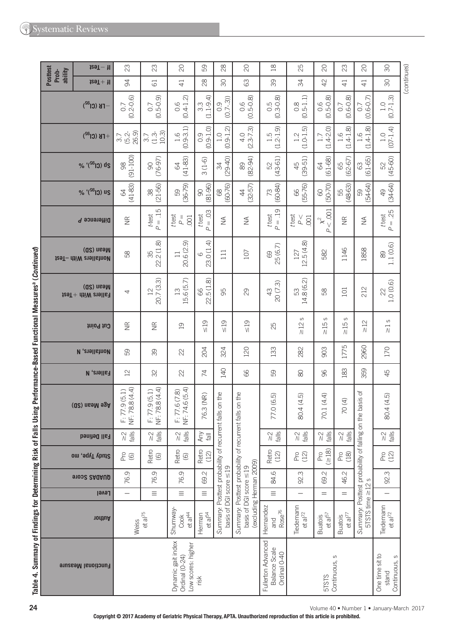| <b>Posttest</b><br>ability | $129T - H$                                                      | 23                              | 23                              | $\overline{C}$                                             | 59                                   | $_{28}$                                                                    | $\overline{C}$                                                                                        | $\frac{8}{10}$                                         | 25                                              | $\overline{C}$                                               | 23                                                           | $\infty$                                                              | $\infty$                                     |
|----------------------------|-----------------------------------------------------------------|---------------------------------|---------------------------------|------------------------------------------------------------|--------------------------------------|----------------------------------------------------------------------------|-------------------------------------------------------------------------------------------------------|--------------------------------------------------------|-------------------------------------------------|--------------------------------------------------------------|--------------------------------------------------------------|-----------------------------------------------------------------------|----------------------------------------------|
| Prob-                      | $129T + 11$                                                     | 34                              | $\overline{61}$                 | $\overline{4}$                                             | $^{28}$                              | $\infty$                                                                   | 63                                                                                                    | 39                                                     | 34                                              | 42                                                           | $\overline{4}$                                               | $\overline{4}$                                                        | $\infty$                                     |
|                            | $-FB$ (Cl <sup>32</sup> )                                       | $(0.2 - 0.6)$<br>$\overline{0}$ | $(0.5 - 0.9)$<br>0.7            | $(0.4 - 1.2)$<br>0.6                                       | €<br>$3.3$<br>$(1.1 - 9.$            | $(0.7-3)$<br>0.9                                                           | $(0.5 - 0.8)$<br>0.6                                                                                  | $0.5$<br>$(0.3 - 0.8)$                                 | $(0.5 - 1.1)$<br>$\frac{8}{2}$                  | $(0.5 - 0.8)$<br>0.6                                         | $(0.6 - 0.8)$<br>S)                                          | $(0.6 - 0.7)$<br>$\overline{O}$                                       | $(0.7 - 1.3)$<br>$\overline{1}$ .0           |
|                            | $+$ FB (Cl <sup>32</sup> )                                      | 26.9)<br>$(5.2 -$<br>3.7        | $(1.3 - 10.3)$<br>3.7           | $1.6$<br>(0.9-3.1)                                         | $\widehat{O}$<br>0.51<br>Ö           | $\widehat{\mathcal{N}}$<br>$(0.9-1)$ .<br>1.0                              | $4.0$<br>(2.3-7.3)                                                                                    | $1.5$<br>$2-1.9$<br>d                                  | $1.2$<br>(1.0-1.5)                              | $(1.4 - 2.0)$<br>1.7                                         | $(1.4 - 1.8)$<br>1.6                                         | $(1.4 - 1.8)$<br>1.6                                                  | $(07 - 1.4)$<br>1.0                          |
|                            | % '(SG) ds                                                      | $(91 - 100)$<br>88              | $(76-97)$<br>$\infty$           | $(41 - 83)$<br>$\mathcal{R}$                               | $3(1-6)$                             | $(29 - 40)$<br>R                                                           | $(82 - 94)$<br>8                                                                                      | $(43 - 61)$<br>SS                                      | $(39 - 51)$<br>45                               | $(61 - 68)$<br>$\mathcal{R}$                                 | $(62 - 67)$<br>65                                            | $(61 - 65)$<br>$\mathbb{S}$                                           | 52<br>(45-60)                                |
|                            | % '(SG) us                                                      | $(41-83)$<br>$\mathcal{L}$      | $(21 - 56)$<br>$\frac{8}{2}$    | $(36 - 79)$<br>59                                          | $(81-96)$<br>$\infty$                | $(60 - 76)$<br>88                                                          | $(32 - 57)$<br>$\ddot{4}$                                                                             | $(60 - 84)$<br>73                                      | $(55 - 76)$<br>89                               | $(50 - 70)$<br>8                                             | $(48-63)$<br>55                                              | $(54-64)$<br>59                                                       | $(34-64)$<br>$\overline{49}$                 |
|                            | Difference P                                                    | $\widetilde{\Xi}$               | $P = 15$<br>ttest               | t test<br>$\mathsf{P} =$<br>.001                           | $P = 0.03$<br>t test                 | $\lessgtr$                                                                 | $\lessgtr$                                                                                            | $P = .19$<br>t test                                    | t test<br>$\stackrel{\vee}{\mathsf{P}}$<br>.001 | $<.001$<br>$\mathsf{\hat{x}}^2$<br>Р                         | $\widetilde{\Xi}$                                            | $\frac{1}{2}$                                                         | $P = .25$<br>t test                          |
|                            | (Q2) nsəM<br><b>izaT-</b> diiW anallahnoM                       | 58                              | 22.2(1.8)<br>35                 | ெ<br>20.6 (2.<br>$\Box$                                    | $\overline{a}$<br>23.0 (1.<br>6      | 111                                                                        | 107                                                                                                   | 25(6.7)<br>$\odot$                                     | 12.5(4.8)<br>127                                | 582                                                          | 1146                                                         | 1858                                                                  | 1.1(0.6)<br>8                                |
|                            | (Q2) nsəM<br>$129T +$ $\text{div }$ $\text{div }$ $\text{div }$ | 4                               | 20.7(3.3)<br>$\overline{12}$    | .5.6(5.7)<br>13                                            | $\widehat{\infty}$<br>22.5 (1.<br>89 | 95                                                                         | 29                                                                                                    | 20(7.3)<br>$43$                                        | 14.8(6.2)<br>53                                 | 58                                                           | 101                                                          | 212                                                                   | 1.0(0.6)<br>22                               |
|                            | Cut Point                                                       | $\widetilde{\Xi}$               | $\widetilde{\Xi}$               | $\overline{0}$                                             | $\leq 19$                            | $\frac{19}{5}$                                                             | $\leq 19$                                                                                             | 25                                                     | $\omega$<br>$\geq 12$                           | S<br>$\leq 15$                                               | S<br>$\frac{5}{10}$                                          | $\frac{2}{2}$                                                         | $\mathsf{\Omega}$<br>$\overline{\lambda}$    |
|                            | <b>N</b> , enallation                                           | 59                              | 39                              | $\approx$                                                  | 204                                  | 324                                                                        | 120                                                                                                   | 133                                                    | 282                                             | 903                                                          | 1775                                                         | 2960                                                                  | 170                                          |
|                            | <b>Fallers, N</b>                                               | 12                              | SS                              | 22                                                         | $\overline{7}$                       | 140                                                                        | 8                                                                                                     | 89                                                     | 8                                               | 96                                                           | 183                                                          | 359                                                                   | 45                                           |
|                            | (Q2) nsaM egA                                                   | NF: 78.8 (4.4)<br>F: 77.9(5.1)  | NF: 78.8 (4.4)<br>F: 77.9 (5.1) | F: 74.6(5.4)<br>F: 77.6(7.8)<br>Z                          | 76.3 (NR)                            | falls on the                                                               | falls on the                                                                                          | 77.0 (6.5)                                             | 80.4 (4.5)                                      | 70.1 (4.4)                                                   | 70(4)                                                        | the basis of                                                          | 80.4 (4.5)                                   |
|                            | Fall Defined                                                    | $\frac{2}{\sqrt{2}}$            | $\frac{2}{\sqrt{3}}$            | $\frac{2}{\sqrt{2}}$                                       | Any<br>$\overline{\overline{6}}$     |                                                                            |                                                                                                       | falls<br>$\stackrel{\textstyle\sim}{\scriptstyle\sim}$ | $\frac{2}{\sqrt{3}}$                            | $rac{1}{6}$<br>$\stackrel{\textstyle\sim}{\scriptstyle\sim}$ | <b>alls</b><br>$\stackrel{\textstyle\sim}{\scriptstyle\sim}$ |                                                                       | $\frac{1}{2}$                                |
|                            | Study Type, mo                                                  | Pro<br>$\copyright$             | Retro<br>$\circledcirc$         | Retro<br>$\copyright$                                      | Retro<br>(12)                        |                                                                            |                                                                                                       | Retro<br>(12)                                          | Pro<br>(12)                                     | $(\geq 18)$<br>Pro                                           | P(8)                                                         |                                                                       | Pro<br>(12)                                  |
|                            | <b>91032 SAUAUD</b>                                             | 76.9                            | 76.9                            | O<br>76.                                                   | 69.2                                 |                                                                            |                                                                                                       | 84.6                                                   | 92.3                                            | 69.2                                                         | 46.2                                                         | S                                                                     | 92.3                                         |
|                            | Level                                                           | $\overline{\phantom{0}}$        | Ξ                               | $\equiv$                                                   | $\equiv$                             |                                                                            |                                                                                                       | $\equiv$                                               |                                                 | $=$                                                          | $=$                                                          |                                                                       | $\overline{\phantom{0}}$                     |
|                            | nodiuA                                                          | Weiss                           | $et al^{75}$                    | Shumway<br>et al $44$<br>Cook                              | et al $\mathbb{R}$<br>Herman         | Summary: Posttest probability of recurrent<br>basis of DGI score $\leq$ 19 | Summary: Posttest probability of recurrent<br>(excluding Herman 2009)<br>basis of DGI score $\leq$ 19 | Hernandez<br>Rose <sup>76</sup><br>and                 | Tiedemann<br>$et al^{72}$                       | Buatois<br>et al <sup>57</sup>                               | $et al^{77}$<br><b>Buatois</b>                               | Summary: Posttest probability of falling on<br>$5TSTS$ time $\geq 12$ | Tiedemann<br>et al <sup>72</sup>             |
|                            | <b>Functional Measure</b>                                       |                                 |                                 | Dynamic gait index<br>Low scores: higher<br>Ordinal (0-24) | risk                                 |                                                                            |                                                                                                       | Fullerton Advanced<br>Balance Scale<br>Ordinal 0-40    |                                                 | 5TSTS                                                        | Continuous, s                                                |                                                                       | One time sit to<br>S<br>Continuous,<br>stand |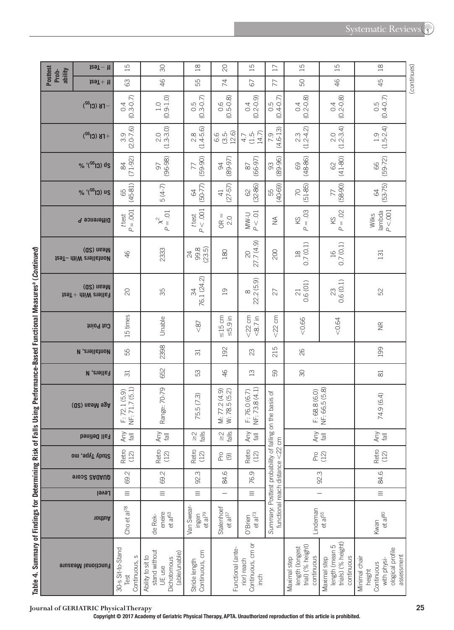|                                                                                                                                                                                                                                |                                     | $129T - 11$                                            | $\overline{15}$                                                                     | $\infty$                                                                     | $\frac{8}{10}$                                                | $\infty$                                                                       | $\overline{15}$                          | $\overline{17}$                                          | $\overline{15}$                                                    | $\overline{15}$                                                    | $\frac{8}{10}$                                                                         |             |
|--------------------------------------------------------------------------------------------------------------------------------------------------------------------------------------------------------------------------------|-------------------------------------|--------------------------------------------------------|-------------------------------------------------------------------------------------|------------------------------------------------------------------------------|---------------------------------------------------------------|--------------------------------------------------------------------------------|------------------------------------------|----------------------------------------------------------|--------------------------------------------------------------------|--------------------------------------------------------------------|----------------------------------------------------------------------------------------|-------------|
|                                                                                                                                                                                                                                | <b>Posttest</b><br>ability<br>Prob- | $129T + 11$                                            | 63                                                                                  | 46                                                                           | 55                                                            | 74                                                                             | 67                                       | 77                                                       | SO                                                                 | 46                                                                 | 45                                                                                     | (continues) |
|                                                                                                                                                                                                                                |                                     | $-FB$ (Cl <sup>a2</sup> )                              | $(0.9 - 1.0)$<br>$(0.3 - 0.7)$<br>$\frac{1}{10}$<br>$\overline{0}$<br>$(2.0 - 7.6)$ |                                                                              | $0.5$<br>$(0.3 - 0.7)$                                        | $0.5 - 0.8$                                                                    | $(0.2 - 0.9)$<br>0.4                     | $0.5$<br>$(0.4-0.7)$                                     | $(0.2 - 0.8)$<br>$\overline{0.4}$                                  | $0.4$<br>$(0.2 - 0.8)$                                             | $(0.4 - 0.7)$<br>$0.\overline{5}$                                                      |             |
|                                                                                                                                                                                                                                |                                     | $+$ FB (Cl <sup>32</sup> )                             |                                                                                     | $2.0$<br>(1.3-3.0)                                                           | $2.8$<br>(1.4-5.6)                                            | 12.6<br>$(3.5-$<br>6.6                                                         | $(1.5 - 14.7)$<br>4.7                    | $(4.6 - 13)$<br>7.9                                      | $(1.2-4.2)$<br>$2.\overline{3}$                                    | $2.0$<br>(1.2-3.4)                                                 | $(1.5 - 2.4)$<br>1.9                                                                   |             |
|                                                                                                                                                                                                                                | % '(Si <sup>66</sup> ) ds           |                                                        | $(71-92)$<br>$\infty$                                                               | $(96 - 98)$<br>50                                                            | $(59 - 90)$<br>77                                             | $(89 - 96)$<br>$(89 - 97)$<br>$(66 - 97)$<br>$\infty$<br>$\infty$<br>$\approx$ |                                          | $(48 - 86)$<br>69                                        | $(41 - 80)$<br>8                                                   | $(59 - 72)$<br>89                                                  |                                                                                        |             |
|                                                                                                                                                                                                                                |                                     | % '(SG) us                                             | $(45-81)$<br>65                                                                     | $5(4-7)$                                                                     | $(50-77)$<br>$\mathcal{L}$                                    | $(27-57)$<br>$\overline{41}$                                                   | $(32-86)$<br>$\odot$                     | $(51-85)$<br>$(58-90)$<br>$(40-69)$<br>55<br>70<br>77    |                                                                    |                                                                    | $(53 - 75)$<br>$\mathcal{L}$                                                           |             |
|                                                                                                                                                                                                                                |                                     | Difference P                                           | $P = .001$<br>t test                                                                | $P = 01$<br>$\mathbb{\mathsf{X}}^2$                                          | P < 0.001<br>t test                                           | $OR =$<br>2.0                                                                  | P < 01<br><b>U-MW</b>                    | $\frac{1}{2}$                                            | $= .03$<br>KS<br>$\Delta$                                          | $= .02$<br>KS<br>$\Delta$                                          | P < 0.001<br>lambda<br>Wilks                                                           |             |
|                                                                                                                                                                                                                                |                                     | (Q2) nsaM<br><b>129T-</b> dtiW evallstnoM              | $\frac{4}{5}$                                                                       | 2333                                                                         | 99.5)<br>$\overline{24}$                                      | 180                                                                            | 27.7 (4.9)<br>$\infty$                   | 200                                                      | 0.7(0.1)<br>$\frac{8}{10}$                                         | 0.7(0.1)<br>$\frac{16}{1}$                                         | 131                                                                                    |             |
|                                                                                                                                                                                                                                |                                     | (Q2) nsaM<br>$t$ eaT + $\frac{d}{dt}$ + $\frac{d}{dt}$ |                                                                                     | 35                                                                           | 76.1 (24.2)<br>34                                             | $\overline{0}$                                                                 | 22.2(5.9)<br>$\infty$                    | 27                                                       | 0.6(01)<br>$\overline{c}$                                          | 0.6(0.1)<br>23                                                     | 52                                                                                     |             |
|                                                                                                                                                                                                                                |                                     | Cut Point                                              | 15 times                                                                            | Unable                                                                       | $\leq 8$                                                      | $\leq$ 15 cm<br>$\leq 5.9$ in                                                  | $<$ 22 cm<br>$<8.7$ in                   | <b>CM</b><br>&82                                         | &0.66                                                              | <0.64                                                              | $\widetilde{\Xi}$                                                                      |             |
|                                                                                                                                                                                                                                |                                     | <b>N</b> , enall show                                  | 55                                                                                  | 2398                                                                         | $\overline{\sigma}$                                           | 192                                                                            | 23                                       | 215                                                      | 82                                                                 |                                                                    | 199                                                                                    |             |
|                                                                                                                                                                                                                                |                                     | <b>Fallers, N</b>                                      | $\overline{\sigma}$                                                                 | 652                                                                          | S3                                                            | 46                                                                             | $\Xi$                                    | 89                                                       | $\infty$                                                           |                                                                    | $\approx$                                                                              |             |
| <b>S DSIIIS LALINIIIQIICA-DSPG LAIICAI MESS II AS L'ADITINII AU</b>                                                                                                                                                            |                                     | Age Mean (SD)                                          | NF: 71.7 (5.1)<br>F: 72.1(5.9)                                                      | Range: 70-79                                                                 | 75.5 (7.3)                                                    | M: 77.2 (4.9)<br>W: 78.5 (5.2)                                                 | NF: 73.8 (4.1)<br>F: 76.0 (6.7)          | Summary. Posttest probability of falling on the basis of | F: 68.8(6.0)                                                       | NF: 66.5 (5.8)                                                     | 74.9 (6.4)                                                                             |             |
|                                                                                                                                                                                                                                |                                     | Fall Defined                                           | Any<br>$\overline{\overline{6}}$                                                    | Any                                                                          | $rac{1}{16}$<br>$\stackrel{\textstyle\sim}{\scriptstyle\sim}$ | $\frac{5}{10}$                                                                 | Any                                      |                                                          | Any                                                                | $\overline{\mathbb{B}}$                                            | Any<br>$\overline{\mathbb{B}}$                                                         |             |
|                                                                                                                                                                                                                                |                                     | Study Type, mo                                         | Retro<br>(12)                                                                       | Retro<br>(12)                                                                | Retro<br>(12)                                                 | <u>දි</u> ල                                                                    | Retro<br>(12)                            |                                                          |                                                                    | Pro (12)                                                           | Retro<br>(12)                                                                          |             |
|                                                                                                                                                                                                                                |                                     | 91002 SAQAUD                                           | 69.2                                                                                | 69.2                                                                         | 92.3                                                          | 84.6                                                                           | 76.9                                     |                                                          |                                                                    | 92.3                                                               | 84.6                                                                                   |             |
|                                                                                                                                                                                                                                |                                     | <b>Level</b>                                           | $\equiv$                                                                            | $\equiv$                                                                     | $\equiv$                                                      |                                                                                | $\equiv$                                 |                                                          |                                                                    | $\overline{\phantom{0}}$                                           | $\equiv$                                                                               |             |
|                                                                                                                                                                                                                                |                                     | nonthor                                                | Cho et al <sup>78</sup>                                                             | eneire<br>et al <sup>63</sup><br>de Rek-                                     | Van Swear-<br>$et al79$<br>ingen                              | Stalenhoef<br>$et al^{37}$                                                     | et al <sup>73</sup><br>O'Brien           | functional reach distance <22 cm                         | Lindeman                                                           | et al <sup>55</sup>                                                | $et al^{80}$<br>Kwan                                                                   |             |
| is the 4- Sulliminal Sulling of the Sulling State of the Sulling State of the Sulling State of the Sulling State of the Sulling State of the Sulling State of the Sulling State of the Sulling State of the Sulling State of t |                                     | <b>Functional Measure</b>                              | 30-s Sit-to-Stand<br>Continuous,<br>Test                                            | stand without<br>(able/unable)<br>Ability to sit to<br>Dichotomous<br>UE use | Continuous, cm<br>Stride length                               | Functional (ante-                                                              | Continuous, cm or<br>rior) reach<br>inch |                                                          | trial) (% height)<br>length (longest<br>continuous<br>Maximal step | trials) (% height)<br>length (mean 5<br>continuous<br>Maximal step | ological profile<br>assessment<br>Minimal chair<br>with physi-<br>Continuous<br>height |             |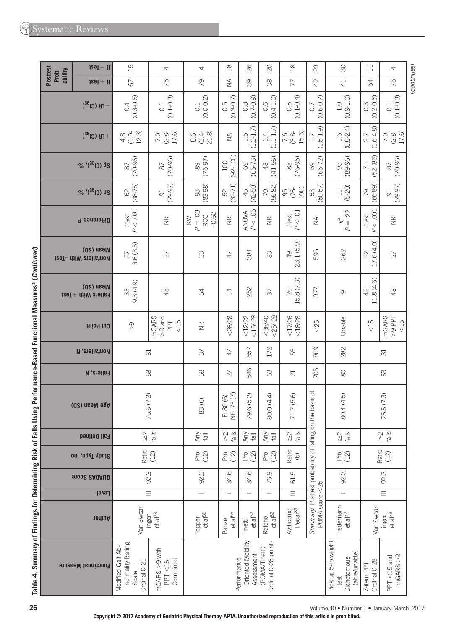|                                                                      |                                            | $129T - H$                                | 15                                                             | 4                                        | 4                                                  | $^{28}$                                         | 26                                    | $\infty$                           | $\frac{8}{10}$                                               | 23                                                            | $\infty$                               | $\Box$                                   | 4                               |             |
|----------------------------------------------------------------------|--------------------------------------------|-------------------------------------------|----------------------------------------------------------------|------------------------------------------|----------------------------------------------------|-------------------------------------------------|---------------------------------------|------------------------------------|--------------------------------------------------------------|---------------------------------------------------------------|----------------------------------------|------------------------------------------|---------------------------------|-------------|
|                                                                      | <b>Posttest</b><br>ability<br>Prob-        | $129T + 11$                               | 67                                                             | 75                                       | 29                                                 | $\lessgtr$                                      | 39                                    | 38                                 | 77                                                           | 42                                                            | $\overline{4}$                         | 54                                       | 75                              | (continues) |
|                                                                      |                                            | $-FB$ (Cl <sup>32</sup> )                 | $(0.3 - 0.6)$<br>0.4                                           | $(0.1 - 0.3)$<br>$\overline{0}$ :        | $(0.0 - 0.2)$<br>$\overline{\text{o}}$             | $0.5$<br>$(0.3 - 0.7)$                          | $(6.0 - 2.0)$                         | $(0.4 - 1.0)$<br>0.6               | $(0.1 - 0.4)$<br>0.5                                         | $(0.6 - 0.7)$<br>0.7                                          | $(0.9 - 1.0)$<br>1.0                   | ဂြ<br>$(0.2 - 0.1)$<br>$0.\overline{3}$  | $(0.1 - 0.3)$<br>$\overline{0}$ |             |
|                                                                      | $+$ FB (Cl <sup>32</sup> )<br>% '(S6 J) ds |                                           | $4.8$<br>$(1.9, 3)$<br>$12.3$                                  | 7.0<br>(2.8-<br>17.6)                    | 86<br>818<br>81                                    | $\lessgtr$                                      | $-3-1.7$<br>1.5<br>J.                 | $(1.1 - 1.7)$<br>1.4               | 7.84<br>7.85.3)<br>15.3)                                     | ଚି<br>$5-1$<br>1.7<br>$\cup$                                  | $(0.8 - 2.4)$<br>1.6                   | $(1.6 - 4.8)$<br>27                      | 7.0<br>(2.8-<br>17.6)           |             |
|                                                                      |                                            |                                           | $(70-96)$<br>$\infty$                                          | $(70-96)$<br>$\rm \approx$               | $(75-97)$<br>89                                    | $(92 - 100)$<br>100                             | $(65 - 73)$<br>69                     | $(41 - 56)$<br>$\frac{8}{3}$       | $(76-95)$<br>$\infty$                                        | $(65 - 72)$<br>69                                             | $(89 - 96)$<br>89                      | $(52 - (86)$<br>71                       | $(70-96)$<br>$\infty$           |             |
|                                                                      |                                            | % '(SG) us                                | $(48 - 75)$<br>$\rm \odot$                                     | $(79-97)$<br>$\overline{5}$              | $(83 - 98)$<br>93                                  | $(32 - 71)$<br>52                               | $(42 - 50)$<br>46                     | $(56-82)$<br>70                    | 8 & g                                                        | $(50-57)$<br>53                                               | $(5-20)$<br>$\Box$                     | $(66-89)$<br>79                          | $(79-97)$<br>$\overline{9}$     |             |
|                                                                      |                                            | Difference P                              | P < 0.001<br>t test                                            | $\widetilde{\Xi}$                        | $P = .03$<br>$-0.62$<br><b>ROC</b><br>$\gtrapprox$ | $\widetilde{\Xi}$                               | $AMOWA\nP < .05$                      | $\widetilde{\Xi}$                  | $P < .01$<br>ttest                                           | $\lessgtr$                                                    | 22<br>$\mathsf{\hat{x}}^2$<br>$=$      | $<.001$<br>t test<br>$\overline{a}$      | $\widetilde{\Xi}$               |             |
|                                                                      |                                            | (Q2) nsaM<br>129T- dtiW evallstnoM        | 3.6 (3.5)<br>27                                                | 27                                       | 33                                                 | $\overline{4}$                                  | 384                                   | 83                                 | 23.1 (5.9)<br>$\overline{Q}$                                 | 596                                                           | 262                                    | .6(4.0)<br>$\approx$<br>17.              | 27                              |             |
| Using Performance-Based Functional Measures <sup>a</sup> (Continued) |                                            | (Q2) nsaM<br>$129T +$ diiW $21916T$       | 9.3(4.9)<br>33                                                 | $\frac{8}{3}$                            | 54                                                 | $\overline{1}$                                  | 252                                   | 57                                 | $\widehat{\mathfrak{m}}$<br>15.8 (7.<br>$\infty$             | 377                                                           | O                                      | $\widehat{\odot}$<br>8(4)<br>42<br>$\Xi$ | $\frac{8}{3}$                   |             |
|                                                                      |                                            | Cut Point                                 | $\sqrt{2}$                                                     | mGARS<br>$>9$ and<br>$rac{15}{5}$<br>PPT | $\widetilde{\Xi}$                                  | &0.28                                           | $<$ 15 $/$ 28<br>12/22                | $<$ 25 $/$ 28<br>< 36/40           | 17/26<br>< 18/28                                             | &02                                                           | Unable                                 | $rac{5}{\sqrt{2}}$                       | mGARS<br>$I$ dd $6 <$<br>$<15$  |             |
|                                                                      |                                            | <b>N</b> , exall strop                    |                                                                | $\overline{\sigma}$                      | 37                                                 | $\overline{4}$                                  | 557                                   | 172                                | 99                                                           | 869                                                           | 282                                    |                                          | $\overline{\sigma}$             |             |
|                                                                      |                                            | <b>Fallers, N</b>                         |                                                                | S3                                       | 58                                                 | 27                                              | 546                                   | S3                                 | $\overline{c}$                                               | 705                                                           | $\otimes$                              |                                          | S3                              |             |
|                                                                      |                                            | (Q2) nsaM egA                             |                                                                | 75.5(7.3)                                | 83(6)                                              | NF: 75 (7)<br>F: 80(6)                          | 79.6 (5.2)                            | 80.0 (4.4)                         | 71.7 (5.6)                                                   | the basis of                                                  | 80.4 (4.5)                             | 75.5 (7.3)                               |                                 |             |
|                                                                      |                                            | <b>Fall Defined</b>                       |                                                                | $\frac{2}{\sqrt{3}}$                     | Any                                                | $\frac{2}{\sqrt{3}}$                            | Any<br>$\overline{\overline{a}}$      | Any<br>$\overline{\overline{a}}$   | $rac{1}{6}$<br>$\stackrel{\textstyle\sim}{\scriptstyle\sim}$ |                                                               | $\frac{2}{\sqrt{3}}\frac{1}{\sqrt{6}}$ |                                          | $\frac{2}{\sqrt{3}}$            |             |
|                                                                      |                                            | Study Type, mo                            | Retro                                                          | (12)                                     | Pro<br>(12)                                        | Pro<br>(12)                                     | (12)<br>Pro                           | P(2)                               | Retro<br>$\copyright$                                        |                                                               | Pro<br>(12)                            |                                          | Retro<br>(12)                   |             |
|                                                                      |                                            | <b>91032 SAQAUD</b>                       |                                                                | 92.3                                     | $\omega$<br>92.                                    | $\circ$<br>84.                                  | $\circ$<br>84.                        | Ō<br>76.                           | ம<br>G1.                                                     |                                                               | 92.3                                   |                                          | 92.3                            |             |
|                                                                      |                                            | Level                                     |                                                                | $\equiv$                                 | —                                                  |                                                 | -                                     | -                                  | $\equiv$                                                     |                                                               | $\overline{\phantom{0}}$               |                                          | $\equiv$                        |             |
|                                                                      |                                            | nodtuA                                    | Van Swear-<br>et al <sup>79</sup><br>ingen                     |                                          | et al <sup>81</sup><br>Topper                      | et al <sup>56</sup><br>Panzer                   | et al <sup>32</sup><br>Tinetti        | $et$ a $ $ <sup>82</sup><br>Raiche | Avdic and<br>Pecar <sup>83</sup>                             | Summary: Posttest probability of falling on<br>POMA score <25 | Tiedemann<br>$et al^{72}$              | Van Swear-                               | ingen<br>et al <sup>79</sup>    |             |
| Table 4. Summary of Findings for Determining Risk of Falls           |                                            | <b>Functional Measure</b>                 | normality Rating<br>Modified Gait Ab-<br>Ordinal 0-21<br>Scale | mGARS >9 with<br>Combined<br>PPT < 15    |                                                    | Oriented Mobility<br>Assessment<br>Performance- | Ordinal 0-28 points<br>(POMA/Tinetti) |                                    |                                                              | Pick up 5-lb weight<br>(able/unable)<br>Dichotomous<br>test   | Ordinal 0-28<br>7-item PPT             | mGARS > 9<br>$PT < 15$ and               |                                 |             |
| 26                                                                   |                                            | Volume 40 . Number 1 . January-March 2017 |                                                                |                                          |                                                    |                                                 |                                       |                                    |                                                              |                                                               |                                        |                                          |                                 |             |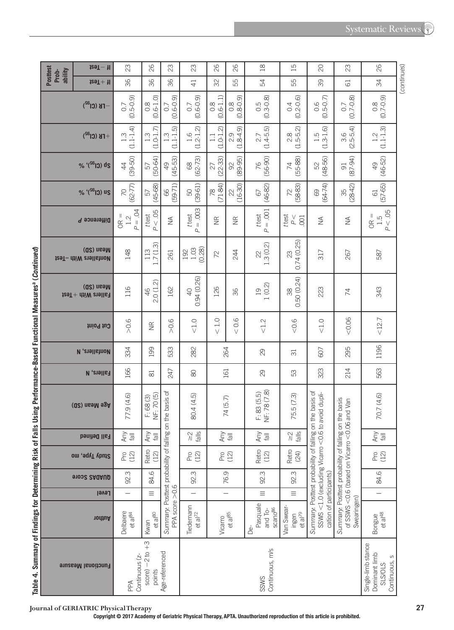|                                                                        | <b>Posttest</b>                           | $129T - 11$               | 23                                                                          | 26                               | 23                                                         | 23                                                             | 26                   | 82                        | $\frac{8}{18}$                                   | $\overline{15}$                                                | 20                                                                                                       | 23                                                                                            |  |  |
|------------------------------------------------------------------------|-------------------------------------------|---------------------------|-----------------------------------------------------------------------------|----------------------------------|------------------------------------------------------------|----------------------------------------------------------------|----------------------|---------------------------|--------------------------------------------------|----------------------------------------------------------------|----------------------------------------------------------------------------------------------------------|-----------------------------------------------------------------------------------------------|--|--|
|                                                                        | ability<br>Prob-                          | $129T + 11$               | 36                                                                          | 36                               | 36                                                         | $\overline{4}$                                                 | SS                   | 55                        | 54                                               | 55                                                             | 39                                                                                                       | 61                                                                                            |  |  |
|                                                                        |                                           | $FB$ (Cl <sup>a2</sup> )  | $(0.5 - 0.9)$<br>0.7                                                        | $0.8$<br>$(0.6-1.0)$             | $(0.6 - 0.9)$<br>0.7                                       | $(0.6 - 0.9)$<br>$\overline{0}$ .                              | $0.8$<br>$(0.6-1.1)$ | $(6.0 - 8)$<br>(0.8-0.9)  | $0.5$<br>$(0.3 - 0.8)$                           | $0.4$<br>$(0.2 - 0.6)$                                         | $(0.5 - 0.7)$                                                                                            | $(0.7 - 0.8)$<br>0.7                                                                          |  |  |
|                                                                        |                                           | $(1.1 - 1.4)$<br>1.3      | $(1.0 - 1.7)$<br>1.3                                                        | $(1.1 - 1.5)$<br>$\frac{3}{1}$   | $(1.2 - 1.2)$<br>1.6                                       | $(1.0 - 1.2)$<br>$\Box$                                        | (1.84.9)             | $2.7$<br>(1.4-5.5)        | $28$<br>$15-5.2$<br>ਦਂ                           | $(1.3 - 1.6)$<br>1.5                                           | $(2.5-5.4)$                                                                                              |                                                                                               |  |  |
|                                                                        |                                           | % '(SG) ds                | $(39 - 50)$<br>$\ddot{a}$                                                   | $(50 - 64)$<br>57                | $(45 - 53)$<br>$\overline{Q}$                              | $(62 - 73)$<br>$8^{\circ}$                                     | $(22 - 33)$<br>27    | $(89 - 95)$<br>R          | $(56-90)$<br>76                                  | $(55 - 88)$<br>$\overline{7}$                                  | $(48 - 56)$<br>52                                                                                        | $(87 - 94)$<br>$\overline{5}$                                                                 |  |  |
|                                                                        |                                           | % '(SG) us                | $(62 - 77)$<br>$\overline{C}$                                               | $(45-68)$<br>57                  | $(59-71)$<br>89                                            | $(39-61)$<br>SO                                                | $(71-84)$<br>78      | $(16-30)$<br>22           | $(46-82)$<br>67                                  | (58-83)<br>72                                                  | $(64 - 74)$<br>69                                                                                        | $(28-42)$<br>35                                                                               |  |  |
|                                                                        |                                           | Difference P              | $P = .04$<br>$OR =$<br>1.2                                                  | P < 05<br>t test                 | $\lessgtr$                                                 | $P = .003$<br>t test                                           | $\widetilde{\Xi}$    | $\frac{\alpha}{\beta}$    | $P = .001$<br>t test                             | t test<br>$\stackrel{\vee}{\simeq}$<br>001                     | $\lessgtr$                                                                                               | $\lessgtr$                                                                                    |  |  |
|                                                                        | (Q2) nsaM<br><b>129T-</b> dtiW eyall show |                           | 148                                                                         | 1.7(1.3)<br>113                  | 261                                                        | $1.03$<br>(0.28)<br>192                                        | 72                   | 244                       | 1.3(0.2)<br>22                                   | 0.74(0.25)<br>$\mathbb{S}$                                     | 317                                                                                                      | 267                                                                                           |  |  |
|                                                                        | (QS) useM<br>Fallers With + Test          |                           | 116                                                                         | Q.<br>2.0 (1.<br>46              | 162                                                        | 0.94(0.26)<br>$\overline{Q}$                                   | 126                  | 36                        | 1(0.2)<br>$\overline{0}$                         | 50 (0.24)<br>38<br>ö                                           | 223                                                                                                      | 74                                                                                            |  |  |
|                                                                        |                                           | thiod tud                 | $>0.6$                                                                      | $\widetilde{\Xi}$                | > 0.6                                                      | $<1.0$                                                         | 0.1<br>$\vee$        | 0.6<br>$\vee$             | < 1.2                                            | &0.6                                                           | $<1.0$                                                                                                   | 0.06                                                                                          |  |  |
|                                                                        |                                           | <b>N</b> , enall show     | 334                                                                         | 199                              | 533                                                        | 282                                                            | 264                  |                           | 29                                               | $\overline{31}$                                                | 607                                                                                                      | 295                                                                                           |  |  |
|                                                                        | <b>Fallers, N</b>                         |                           | 166                                                                         | $\approx$                        | 247                                                        | 8                                                              | 161                  |                           | $\infty$                                         | S3                                                             | 323                                                                                                      | 214                                                                                           |  |  |
| s Using Performance-Based Functional Measures <sup>a</sup> (Continued) | (Q2) nsaM agA                             |                           | 77.9 (4.6)                                                                  | NF: 70(5)<br>F: 68(3)            | on the basis of                                            | 80.4 (4.5)                                                     | 74 (5.7)             |                           | NF: 78 (7.8)<br>F: 83(5.5)                       | 75.5 (7.3)                                                     | on the basis of<br>to avoid dupli-                                                                       | on the basis<br>06 and Van                                                                    |  |  |
|                                                                        |                                           | Fall Defined              | Any<br>$\overline{\overline{B}}$                                            | Any<br>$\overline{\overline{a}}$ |                                                            | $\frac{1}{6}$<br>$\stackrel{\textstyle\sim}{\scriptstyle\sim}$ | Any                  | $\overline{\overline{a}}$ | Any<br>$  e_1$                                   | <b>Sll</b> ey<br>$\stackrel{\textstyle\sim}{\scriptstyle\sim}$ |                                                                                                          |                                                                                               |  |  |
|                                                                        |                                           | Study Type, mo            | Pro<br>(12)                                                                 | Retro<br>(12)                    |                                                            | Pro<br>(12)                                                    |                      | Pro<br>(12)               | Retro<br>(12)                                    | Retro<br>(24)                                                  |                                                                                                          |                                                                                               |  |  |
|                                                                        |                                           | 91002 SAQAUD              | 92.3                                                                        | 84.6                             |                                                            | 92.3                                                           | 76.9                 |                           | 92.3                                             | 92.3                                                           |                                                                                                          |                                                                                               |  |  |
|                                                                        |                                           | Level                     |                                                                             | $\equiv$                         |                                                            |                                                                |                      |                           | $\equiv$                                         | $\equiv$                                                       |                                                                                                          |                                                                                               |  |  |
|                                                                        |                                           | nodtuA                    | Delbaere<br>et al <sup>84</sup>                                             | et al <sup>80</sup><br>Kwan      | Summary: Posttest probability of falling<br>PPA score >0.6 | Tiedemann<br>et al <sup>72</sup>                               | Vicarro              | et al <sup>85</sup>       | Pasquale<br>scano <sup>86</sup><br>and To-<br>₫é | Van Swear-<br>et al <sup>79</sup><br>ingen                     | Summary: Posttest probability of falling<br>SSWS <1.0 (excluding Vicarro <0.6<br>cation of participants) | Summary: Posttest probability of falling<br>of SSWS <0.6 (based on Vicarro <0.<br>Swearingen) |  |  |
| Table 4. Summary of Findings for Determining Risk of Fal               |                                           | <b>Functional Measure</b> | $-2$ to $+3$<br>Age-referenced<br>Continuous (z-<br>score)<br>points<br>PPA |                                  |                                                            | Continuous, m/s<br>SSWS                                        |                      |                           |                                                  |                                                                |                                                                                                          |                                                                                               |  |  |

( *continues* )

(continues)

**Test** −**If** 

26

23

26

Single-limb stance Dominant limb SLS/OLS Continuous, s

Single-limb stance<br>Dominant limb

Continuous, s

Bongue<br>et al<sup>48</sup>

ngue | 1 | 84.6 Pro | Any | 70.7 (4.6) | 563 | 1196<br>etal<sup>48</sup>

 $\begin{array}{c}\n\bigoplus\limits_{\text{real}}\nolimits\nonumber\\ \n\bigoplus\limits_{\text{real}}\nolimits\nonumber\\ \n\bigoplus\limits_{\text{real}}\nolimits\nonumber\\ \n\bigoplus\limits_{\text{real}}\nolimits\nolimits\nolimits\bigoplus\limits_{\text{real}}\nolimits\nolimits\nolimits\bigoplus\limits_{\text{real}}\nolimits\nolimits\bigoplus\limits_{\text{real}}\nolimits\nolimits\bigoplus\limits_{\text{real}}\nolimits\nolimits\bigoplus\limits_{\text{real}}\nolimits\bigoplus\limits_{\text{real}}\nolimits\bigoplus\limits_{\text{real}}\$ 

 $P_{12}^{\circ}$ 

84.6  $\overline{-}$ 

<12.7 343 587

 $12.7$ 

1196

563

70.7 (4.6)

343

OR = 1.5 *P* < .05

587

61 (57-65)

49 (46-52)

1.2 (1.1-1.3)

 $\begin{bmatrix} 0.8 \\ 0.7 - 0.9 \end{bmatrix}$  $(0.7-0.9)$  34  $26$ 

26

 $\approx$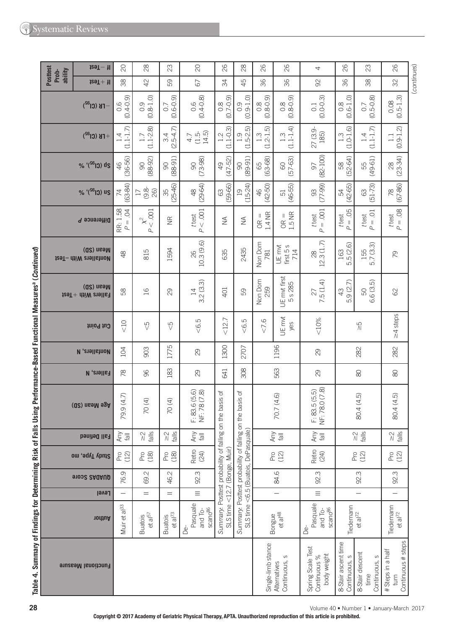|                                     | $129T - H$                                                      | $\infty$                                    | $^{28}$                                                        | 23                                | $\infty$                                         | 82                                                                          | $\frac{8}{2}$                                                                      | 26                                | 82                                          | 4                                                | 82                                     | 23                                              | 82                                              |             |
|-------------------------------------|-----------------------------------------------------------------|---------------------------------------------|----------------------------------------------------------------|-----------------------------------|--------------------------------------------------|-----------------------------------------------------------------------------|------------------------------------------------------------------------------------|-----------------------------------|---------------------------------------------|--------------------------------------------------|----------------------------------------|-------------------------------------------------|-------------------------------------------------|-------------|
| <b>Posttest</b><br>ability<br>Prob- | $129T + 11$                                                     | 38                                          | 42                                                             | 59                                | 67                                               | 34                                                                          | 45                                                                                 | 36                                | 36                                          | 92                                               | 36                                     | 38                                              | SS                                              | (continues) |
|                                     | $-$ FB (Cl $^{32}$ )                                            | $(0.4 - 0.9)$<br>0.6                        | $(0.8 - 1.0)$<br>0.9                                           | $(0.6 - 0.9)$<br>0.7              | $0.6$<br>$(0.4-0.8)$                             | $(0.7 - 0.9)$<br>$\frac{8}{2}$                                              | $(0.9 - 1.0)$<br>0.9                                                               | $(0.8 - 0.9)$<br>$0.\overline{8}$ | $(6.0 - 8)$<br>(0.8-0.9)                    | $(0.0 - 0.3)$<br>$\overline{0}$ .                | $.6 - 1.0$<br>$0.\overline{8}$<br>Ö.   | $(0.5 - 0.8)$<br>0.7                            | $(0.5 - 1.3)$<br>0.08                           |             |
| $+$ FB (Cl <sup>32</sup> )          |                                                                 | $(1.1 - 1.7)$<br>1.4                        | $(1.1 - 2.8)$<br>1.7                                           | $.5-4.7$<br>3.4<br>$\overline{Q}$ | $(1.5 - 14.5)$<br>4.7                            | $\widehat{\omega}$<br>$(1.1 - 0.1)$<br>1.2                                  | $(1.5 - 2.5)$<br>1.9                                                               | $(1.2 - 1.5)$<br>1.3              | $(1.1 - 1.4)$<br>$1.3$                      | 27 (3.9<br>185)                                  | $(1.0 - 1.6)$<br>$1.\overline{3}$      | $\begin{array}{c} 1.4 \\ (1.1-1.7) \end{array}$ | $(0.9 - 1.2)$<br>$\Box$                         |             |
|                                     | % '(SG) ds                                                      | $(36 - 56)$<br>$\frac{4}{5}$                | $(88 - 92)$<br>$\infty$                                        | $(88 - 91)$<br>$\infty$           | $(73 - 98)$<br>$\infty$                          | $(47 - 52)$<br>$\overline{Q}$                                               | $(89 - 91)$<br>$\infty$                                                            | $(63 - 68)$<br>65                 | $(57 - 63)$<br>8                            | $(82 - 100)$<br>57                               | $(52 - 64)$<br>89                      | $(49 - 61)$<br>55                               | $(23 - 34)$<br>$\approx$                        |             |
|                                     | % '(SG) us                                                      | $(63-84)$<br>74                             | $\frac{8}{9}$<br>26)<br>$\overline{17}$                        | $(25-46)$<br>35                   | $(29-64)$<br>$\frac{\infty}{4}$                  | (59-66)<br>$63\,$                                                           | $(15-24)$<br>$\overline{0}$                                                        | $(42 - 50)$<br>46                 | $(46-55)$<br>51                             | $(77-99)$<br>93                                  | $(42-65)$<br>54                        | $(51-73)$<br>63                                 | $(67-86)$<br>78                                 |             |
|                                     | Difference P                                                    | RR: 1.58<br>$P = 0.04$                      | $< .001$<br>$\chi^2$<br>$\Delta$                               | $\frac{\alpha}{\alpha}$           | $<.001$<br>ttest<br>$\overline{\mathcal{L}}$     | $\lessgtr$                                                                  | $\frac{1}{2}$                                                                      | 1.4 NR<br>Ш<br>$\frac{R}{C}$      | $OR =$<br>$1.5$ NR                          | $= .001$<br>t test<br>$\Delta$                   | $P = .05$<br>t test                    | $P = .01$<br>t test                             | $P = .08$<br>t test                             |             |
|                                     | (Q2) nsaM<br>tesT- dtiW enallstnoM                              | $\frac{8}{4}$                               | 815                                                            | 1594                              | 10.3(9.6)<br>82                                  | 635                                                                         | 2435                                                                               | Non Dom<br>781                    | first 5 s<br>$714$<br>UE mvt                | 12.3(1.7)<br>28                                  | .5(2.6)<br>163<br>ம                    | 155<br>5.7 (3.3)                                | 2                                               |             |
|                                     | (Q2) nsəM<br>$129T +$ $\text{div }$ $\text{div }$ $\text{div }$ | 58                                          | $\frac{16}{2}$                                                 | 29                                | 3.2(3.3)<br>$\overline{4}$                       | 401                                                                         | 59                                                                                 | Non Dom<br>259                    | UE mvt first<br>s 285<br>$\mathsf{L}\Omega$ | 7.5(1.4)<br>27                                   | .9(2.7)<br>43<br>πÒ                    | <u> ဂ</u><br>6.6 (3.<br>50                      | 8                                               |             |
|                                     | thiod tug                                                       | $rac{10}{\sqrt{2}}$                         | $\sqrt{5}$                                                     |                                   | 6.5                                              | 12.7                                                                        | Ю<br>€,                                                                            | < 7.6                             | UE mvt<br>yes                               |                                                  | $\frac{5}{2}$                          |                                                 | $\geq$ 4 steps                                  |             |
|                                     | <b>M</b> , exell stro <i>N</i>                                  | 104                                         | 903                                                            | 1775                              | 29                                               | 1300                                                                        | 2707                                                                               | 1196                              |                                             | 29                                               | 282                                    |                                                 | 282                                             |             |
|                                     | <b>Fallers, N</b>                                               | 78                                          | 96                                                             | 183                               | $\infty$                                         | 641                                                                         | 308                                                                                |                                   | 563                                         | 8                                                |                                        | $\otimes$                                       | $\otimes$                                       |             |
|                                     | Age Mean (SD)                                                   | 79.9 (4.7)                                  | 70(4)                                                          | 70(4)                             | F: 83.6 (5.6)<br>NF: 78 (7.8)                    | the basis of                                                                | the basis of                                                                       |                                   | 70.7 (4.6)                                  | NF: 78.0 (7.8)<br>F: 83.5(5.5)                   |                                        | 80.4 (4.5)                                      | 80.4 (4.5)                                      |             |
|                                     | Fall Defined                                                    | Any<br>$\overline{\overline{\overline{c}}}$ | $\frac{1}{6}$<br>$\stackrel{\textstyle\sim}{\scriptstyle\sim}$ | $\frac{1}{\sqrt{2}}$              | Any<br>$\overline{\overline{a}}$                 |                                                                             |                                                                                    |                                   | lley<br>Kuy                                 | Any                                              | $\frac{2}{\sqrt{3}}\frac{1}{\sqrt{6}}$ |                                                 | $\frac{1}{\sqrt{2}}$                            |             |
|                                     | Study Type, mo                                                  | Pro<br>(12)                                 | P(8)                                                           | Pro<br>(18)                       | Retro<br>(24)                                    |                                                                             |                                                                                    |                                   | Pro<br>(12)                                 | Retro<br>(24)                                    |                                        | Pro<br>(12)                                     | Pro<br>(12)                                     |             |
|                                     | <b>91002 SAQAUD</b>                                             | 76.9                                        | Ņ<br>69                                                        | Ņ<br>46.                          | m<br>92.                                         |                                                                             |                                                                                    |                                   | 84.6                                        | m<br>92.                                         |                                        | 92.3                                            | m<br>S.                                         |             |
|                                     | Level                                                           | $\overline{\phantom{0}}$                    | $=$                                                            | $\equiv$<br>$=$                   |                                                  |                                                                             |                                                                                    |                                   | $\overline{\phantom{0}}$                    | $\equiv$                                         |                                        | —                                               | -                                               |             |
|                                     | nodiuA                                                          | Muir et al <sup>33</sup>                    | et al <sup>57</sup><br><b>Buatois</b>                          | $et al^{73}$<br><b>Buatois</b>    | Pasquale<br>scano <sup>86</sup><br>and To-<br>Ďe | Summary: Posttest probability of falling on<br>SLS time <12.7 (Bonge, Muir) | Summary: Posttest probability of falling on<br>SLS time <6.5 (Buatois, DePasquale) | Bongue                            | et al <sup>48</sup>                         | Pasquale<br>scano <sup>86</sup><br>and To-<br>Ъé | Tiedemann                              | et al <sup>72</sup>                             | Tiedemann<br>et al <sup>72</sup>                |             |
|                                     | <b>Functional Measure</b>                                       |                                             |                                                                |                                   |                                                  |                                                                             |                                                                                    | Single-limb stance                | S<br>Continuous,<br>Alternatives            | Spring Scale Test<br>body weight<br>Continuous % | 8-Stair ascent time<br>Continuous, s   | 8-Stair descent<br>S<br>Continuous,<br>time     | Continuous # steps<br># Steps in a half<br>turn |             |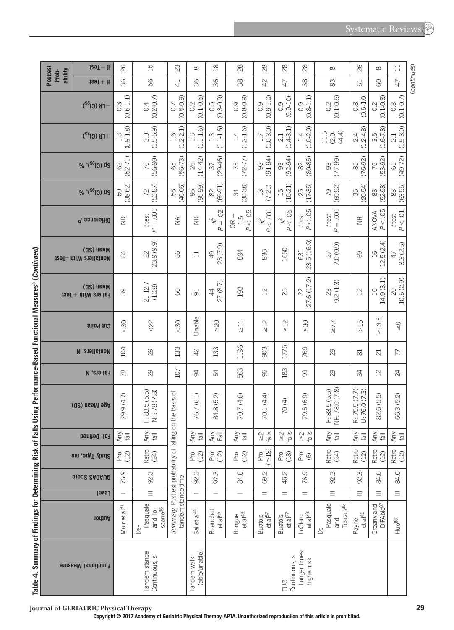|                                                                     |                                     | $129T - 11$                                 | 82                                                                      | 15                                              | 23                                                       | $\infty$                                    | $\frac{\infty}{2}$                     | $\infty$                        | $^{28}$                           | $\approx$                                                      | $\frac{8}{2}$                          | $\infty$                                      | 26                               | $\infty$                               | $\Box$                                                    |             |
|---------------------------------------------------------------------|-------------------------------------|---------------------------------------------|-------------------------------------------------------------------------|-------------------------------------------------|----------------------------------------------------------|---------------------------------------------|----------------------------------------|---------------------------------|-----------------------------------|----------------------------------------------------------------|----------------------------------------|-----------------------------------------------|----------------------------------|----------------------------------------|-----------------------------------------------------------|-------------|
|                                                                     | <b>Posttest</b><br>ability<br>Prob- | $129T + 11$                                 | 36                                                                      | 56                                              | $\overline{4}$                                           | 96                                          | 96                                     | 38                              | 42                                | 47                                                             | 38                                     | 83                                            | 51                               | 8                                      | 47                                                        | (continues) |
|                                                                     |                                     | $T$ K (Cl <sup>32</sup> )                   | $(0.6 - 1.1)$<br>$\frac{8}{2}$                                          | $(0.2 - 0.7)$<br>0.4                            | $(0.5 - 0.9)$<br>$\overline{0}$ .                        | $(0.1 - 0.5)$<br>0.2                        | $0.5$<br>$(0.3 - 0.9)$                 | $(0.8 - 0.9)$<br>0.9            | $(0.9 - 1.0)$<br>$\overline{0}$ . | $(0.9 - 10)$<br>$\overline{0}$ .                               | $(0.8 - 1.1)$<br>0.9                   | $(0.1 - 0.5)$<br>0.2                          | $(0.6 - 1.0)$<br>$\frac{8}{2}$   | $(0.1 - 0.8)$<br>0.2                   | $0.3$<br>(0.1-0.7)                                        |             |
|                                                                     |                                     | $+$ FK (Cl <sup>32</sup> )                  | $(0.9 - 1.8)$<br>$1.\overline{3}$                                       | $(1.5 - 5.9)$<br>3.0                            | $1.6$<br>$2.21$<br>J                                     | $(1.1 - 1.6)$<br>m                          | $(1.1 - 1.6)$<br>1.3                   | $(1.2 - 1.6)$<br>1.4            | $(1.0 - 3.0)$<br>1.7              | $(1.4 - 3.1)$<br>21                                            | $(1.0 - 2.0)$<br>1.4                   | 44.4)<br>11.5<br>$(2.0 -$                     | $2.4$<br>$2.4.8$<br>J            | $(1.6 - 7.8)$<br>3.5                   | $\begin{array}{c c} 2.1 & 2.1 \\ (1.5-3.0) & \end{array}$ |             |
|                                                                     |                                     | % '(Si <sup>6</sup> i) ds                   | $(52 - 71)$<br>8                                                        | $(56 - 90)$<br>76                               | $(56 - 73)$<br>65                                        | $(14 - 42)$<br>26                           | $(29 - 46)$<br>$\sqrt{37}$             | $(72 - 77)$<br>75               | $(91 - 94)$<br>93                 | $(92 - 94)$<br>$\infty$                                        | $(80 - 85)$<br>$\approx$               | $(77-99)$<br>93                               | $(76-92)$<br>85                  | $(53 - 92)$<br>76                      | $(49 - 72)$<br>$\overline{61}$                            |             |
|                                                                     |                                     | % '(SG) us                                  | $(38-62)$<br>50                                                         | $(53-87)$<br>72                                 | $(46-66)$<br>56                                          | $(90-99)$<br>96                             | $(69-91)$<br>$\approx$                 | $(30-38)$<br>34                 | $(7 - 21)$<br>$\Xi$               | $(10-21)$<br>$\Xi$                                             | $25$<br>(17-35)                        | $(60-92)$<br>79                               | $(20-54)$<br>35                  | $(52-98)$<br>$\stackrel{\sim}{\infty}$ | $(63-95)$<br>$\approx$                                    |             |
|                                                                     |                                     | Difference P                                | $\frac{\alpha}{\alpha}$                                                 | $P = .001$<br>t test                            | $\leq$                                                   | $\frac{\alpha}{\alpha}$                     | $= .02$<br>$\approx$<br>$\overline{a}$ | P < 0.05<br>$OR =$<br>1.5       | $x^{2}$ 001<br>$\overline{a}$     | Ю.<br>$\stackrel{\sim}{\times}_{\mathrm{V}}$<br>$\overline{a}$ | P < 0.05<br>t test                     | $= .001$<br>t test<br>$\overline{a}$          | $\widetilde{\Xi}$                | P < 05<br><b>ANOVA</b>                 | $P < 01$<br>t test                                        |             |
|                                                                     |                                     | (Q2) nsaM<br><b>129T-</b> dtiW evallstnoM   | $\mathcal{L}$                                                           | 23.9 (9.9)<br>$\approx$                         | 86                                                       | $\Box$                                      | 23 (7.9)<br>$\overline{P}$             | 894                             | 836                               | 1650                                                           | 23.5 (16.9)<br>631                     | 7.0 (0.9)<br>27                               | 89                               | 12.5(2.4)<br>$\overline{16}$           | 8.3 (2.5)<br>$\overline{4}$                               |             |
|                                                                     |                                     | Mean (SD)<br>$129T +$ $\text{diff}$ eralist | 39                                                                      | 21 12.7<br>(10.8)                               | 8                                                        | $\overline{5}$                              | 27 (8.7)<br>$\ddot{4}$                 | 193                             | $12$                              | 25                                                             | 27.6 (17.2)<br>22                      | 9.2(1.3)<br>23                                | $^{2}$                           | 14.9 (3.1)<br>$\overline{10}$          | 10.5(2.9)<br>$\overline{C}$                               |             |
|                                                                     |                                     | thiod tud                                   | $\frac{30}{5}$                                                          | $\approx$                                       | $\sqrt{30}$                                              | Unable                                      | $\approx 20$                           | $\frac{1}{2}$                   | $\geq 12$                         | $\frac{2}{\pi}$                                                | $\frac{8}{10}$                         | $\geq$ 7.4                                    | 51<                              | 5<br>$\geq 13$                         | $\frac{8}{10}$                                            |             |
|                                                                     |                                     | <b>N</b> , enall show                       | 104                                                                     | 29                                              | 133                                                      | $\overline{4}$                              | 133                                    | 1196                            | 903                               | 1775                                                           | 769                                    | 29                                            | $\overline{81}$                  | $\overline{c}$                         | 77                                                        |             |
|                                                                     |                                     | <b>Fallers, N</b>                           | $\frac{8}{2}$                                                           | $\infty$                                        | 107                                                      | æ                                           | R,                                     | 563                             | 96                                | 183                                                            | 8                                      | 8                                             | ₩                                | $\overline{2}$                         | $\overline{24}$                                           |             |
| <b>S DSIIIS LALINIIIQIICA-DSPG LAIICAI MESS II AS L'ADITINII AU</b> |                                     | (Q2) nsaM agA                               | 79.9 (4.7)                                                              | F: 83.5 (5.5)<br>NF: 78 (7.8)                   | Summary: Posttest probability of falling on the basis of | 76.7 (6.1)                                  | $\widehat{c}$<br>84.8 (5.              | 70.7 (4.6)                      | 70.1 (4.4)                        | 70(4)                                                          | 79.5 (6.9)                             | NF: 78.0 (7.8)<br>F: 83.5(5.5)                | U: 76.0 (7.3)<br>R: 75.5 (7.7)   | <u> ဂ</u><br>82.6 (5.                  | 66.3 (5.2)                                                |             |
|                                                                     |                                     | Fall Defined                                | $\begin{array}{c}\n\text{Im}\,\\ \text{Im}\,\\ \text{Im}\, \end{array}$ | Any<br>$\overline{\overline{\overline{6}}}$     |                                                          | Any<br>$\overline{\overline{\overline{a}}}$ | Any<br>$\overline{\mathbb{F}}$ all     | Any                             | $\frac{2}{\sqrt{2}}$              | $\frac{2}{\sqrt{3}}$                                           | $\frac{1}{\sqrt{2}}\frac{1}{\sqrt{2}}$ | Any<br>$\overline{\overline{\overline{6}}}$   | Any<br>$\overline{\overline{a}}$ | Any                                    | Any<br>$\overline{\overline{E}}$                          |             |
|                                                                     |                                     | Study Type, mo                              | $P$ ro<br>(12)                                                          | Retro<br>(24)                                   |                                                          | P(2)                                        | Pro<br>(12)                            | P(2)                            | $P_{18}$<br>( $\geq 18$ )         | Pro<br>(18)                                                    | $^{26}_{60}$                           | Retro<br>(24)                                 | Retro<br>(12)                    | Retro<br>(12)                          | Retro<br>(12)                                             |             |
|                                                                     |                                     | <b>91032 SAUAUD</b>                         | 76.9                                                                    | 92.3                                            |                                                          | 92.3                                        | 92.3                                   | 84.6                            | 69.2                              | 46.2                                                           | 76.9                                   | 92.3                                          | 92.3                             | 84.6                                   | 84.6                                                      |             |
|                                                                     |                                     | Level                                       | $\overline{\phantom{0}}$                                                | $\equiv$                                        |                                                          |                                             | $\overline{\phantom{0}}$               |                                 | $\quad =$                         | $=$                                                            | $=$                                    | $\equiv$                                      | $\equiv$                         | $\equiv$                               | $\equiv$                                                  |             |
|                                                                     |                                     | nonthor                                     | Muir et al <sup>31</sup>                                                | Pasquale<br>scano <sup>86</sup><br>and To-<br>Å | tandem stance time                                       | Sai et al <sup>42</sup>                     | <b>Beauchet</b><br>et al <sup>66</sup> | $et$ al <sup>48</sup><br>Bongue | Buatois<br>et al <sup>57</sup>    | Buatois<br>et al <sup>77</sup>                                 | LeClerc<br>et al <sup>39</sup>         | Pasquale<br>Toscan <sup>86</sup><br>and<br>Ъé | $et al41$<br>Payne               | Greany and<br>DiFAbio <sup>87</sup>    | Huo <sup>88</sup>                                         |             |
| i danie 4. Sullila y un rilluligs iui peteriilling Kisk ui rall     |                                     | <b>Functional Measure</b>                   |                                                                         | Tandem stance<br>Continuous, s                  |                                                          | (able/unable)<br>Tandem walk                |                                        |                                 |                                   | Continuous, s<br><b>TUG</b>                                    | Longer times:<br>higher risk           |                                               |                                  |                                        |                                                           |             |

**Journal of GERIATRIC Physical Therapy 29**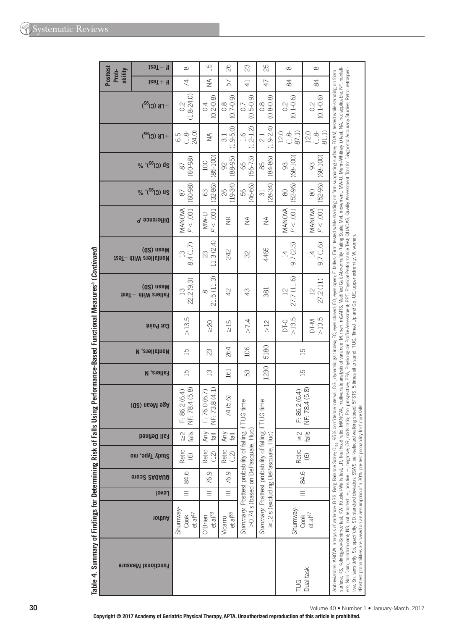| <b>Posttest</b><br>ability<br>Prob- | $129T - 11$                            | $\infty$                                               | 15                               | 26                               | 23                                                                                | 25                                                                               | $\infty$                     | $\infty$                                                       |                                                                                                                                                                                                                                                                                                                                                                                                                                                                                                                                                                                                                                                                                                                                                                                                                                                            |
|-------------------------------------|----------------------------------------|--------------------------------------------------------|----------------------------------|----------------------------------|-----------------------------------------------------------------------------------|----------------------------------------------------------------------------------|------------------------------|----------------------------------------------------------------|------------------------------------------------------------------------------------------------------------------------------------------------------------------------------------------------------------------------------------------------------------------------------------------------------------------------------------------------------------------------------------------------------------------------------------------------------------------------------------------------------------------------------------------------------------------------------------------------------------------------------------------------------------------------------------------------------------------------------------------------------------------------------------------------------------------------------------------------------------|
|                                     | $129T + 11$                            | 74                                                     | $\frac{1}{2}$                    | 57                               | $\overline{4}$                                                                    | 47                                                                               | $\frac{8}{4}$                | 84                                                             |                                                                                                                                                                                                                                                                                                                                                                                                                                                                                                                                                                                                                                                                                                                                                                                                                                                            |
|                                     | $-TB$ (Cl <sup>32</sup> )              | $(1.8 - 24.0)$<br>0.2                                  | $(0.2 - 0.8)$<br>0.4             | $(0.7 - 0.9)$<br>$\frac{8}{2}$   | $(0.5 - 0.9)$<br>0.7                                                              | $(0.8 - 0.8)$<br>$\frac{8}{2}$                                                   | $(0.1 - 0.6)$<br>0.2         | $(0.1 - 0.6)$<br>0.2                                           |                                                                                                                                                                                                                                                                                                                                                                                                                                                                                                                                                                                                                                                                                                                                                                                                                                                            |
|                                     | $+$ FB (Cl <sup>32</sup> )             | 24.0)<br>6.5<br>G.B                                    | $\lessgtr$                       | $(1.9 - 5.0)$<br>$\overline{31}$ | $(1.2 - 1.2)$<br>1.6                                                              | $(1.9 - 2.4)$<br>2.1                                                             | 87.1)<br>12.0<br>$(1.8 -$    | 81.1)<br>12.0<br>$(1.8 - )$                                    |                                                                                                                                                                                                                                                                                                                                                                                                                                                                                                                                                                                                                                                                                                                                                                                                                                                            |
|                                     | % '(SG) ds                             | $(60 - 98)$<br>$\infty$                                | $(85 - 100)$<br>100              | $(88 - 95)$<br>$\infty$          | $(56 - 73)$<br>65                                                                 | $(84 - 86)$<br>88                                                                | $(68 - 100)$<br>93           | $(68 - 100)$<br>SS                                             |                                                                                                                                                                                                                                                                                                                                                                                                                                                                                                                                                                                                                                                                                                                                                                                                                                                            |
|                                     | % '(S6) us                             | $(60-98)$<br>$\approx$                                 | $(32-86)$<br>$\mathbb{G}$        | $(19-34)$<br>82                  | $(46-66)$<br>56                                                                   | $(28-34)$<br>$\overline{\mathrm{c}}$                                             | $(52-96)$<br>$\infty$        | $(52-96)$<br>$\rm 80$                                          |                                                                                                                                                                                                                                                                                                                                                                                                                                                                                                                                                                                                                                                                                                                                                                                                                                                            |
|                                     | Difference P                           | $MANOVA$ $P < .001$                                    | P < 0.001<br><b>U-MW</b>         | $\widetilde{\Xi}$                | $\lessgtr$                                                                        | $\lessgtr$                                                                       | $MANOVA$ $P < .001$          | $\begin{array}{c} \text{MANOM} \\ \text{P} < .001 \end{array}$ |                                                                                                                                                                                                                                                                                                                                                                                                                                                                                                                                                                                                                                                                                                                                                                                                                                                            |
|                                     | (Q2) nsaM<br>tesT- dtiW etallstnoM     | 8.4 (1.7)<br>$\overline{13}$                           | 11.3(2.4)<br>$\mathbb{S}$        | 242                              | 32                                                                                | 4465                                                                             | 9.7(2.3)<br>$\overline{1}$   | 9.7(1.6)<br>$\overline{4}$                                     |                                                                                                                                                                                                                                                                                                                                                                                                                                                                                                                                                                                                                                                                                                                                                                                                                                                            |
|                                     | Mean (SD)<br>$t$ eallers With $+$ Test | 22.2 (9.3)<br>$\frac{3}{2}$                            | 21.5(11.3)<br>$\infty$           | 42                               | 43                                                                                | 381                                                                              | 27.7 (11.6)<br>$\frac{2}{3}$ | 27.2(11)<br>$\overline{2}$                                     |                                                                                                                                                                                                                                                                                                                                                                                                                                                                                                                                                                                                                                                                                                                                                                                                                                                            |
|                                     | Cut Point                              | >13.5                                                  | 20                               | $\frac{5}{15}$                   | $>7.4$                                                                            | $\geq$                                                                           | >13.5<br>D <sub>T-C</sub>    | >13.5<br>DT-M                                                  |                                                                                                                                                                                                                                                                                                                                                                                                                                                                                                                                                                                                                                                                                                                                                                                                                                                            |
|                                     | <b>N</b> , enall show                  | $\overline{15}$                                        | 23                               | 264                              | 106                                                                               | 5180                                                                             | $\overline{15}$              |                                                                |                                                                                                                                                                                                                                                                                                                                                                                                                                                                                                                                                                                                                                                                                                                                                                                                                                                            |
|                                     | <b>Fallers, N</b>                      | $\overline{15}$                                        | $\Xi$                            | 161                              | 53                                                                                | 1230                                                                             | $\Xi$                        |                                                                |                                                                                                                                                                                                                                                                                                                                                                                                                                                                                                                                                                                                                                                                                                                                                                                                                                                            |
|                                     | Age Mean (SD)                          | NF: 78.4 (5.8)<br>F: 86.2(6.4)                         | NF: 73.8 (4.1)<br>F: 76.0 (6.7)  | 74 (5.6)                         | TUG time                                                                          | TUG time                                                                         | F: 86.2 (6.4)                | NF: 78.4 (5.8)                                                 | ratio, Pro, prospective, PPA, Physiological Profile Assessment; PPT, Physical Performance Test; QUADAS, Quality Assessment Tool for Diagnostic Accuracy Studies; Retro, retrospec-                                                                                                                                                                                                                                                                                                                                                                                                                                                                                                                                                                                                                                                                         |
|                                     | Fall Defined                           | falls<br>$\stackrel{\textstyle\sim}{\scriptstyle\sim}$ | Any<br>$\overline{\overline{B}}$ | Any<br>  e                       |                                                                                   |                                                                                  |                              | $\frac{1}{\sqrt{2}}$                                           |                                                                                                                                                                                                                                                                                                                                                                                                                                                                                                                                                                                                                                                                                                                                                                                                                                                            |
|                                     | Study Type, mo                         | Retro<br>$\circledcirc$                                | Retro<br>(12)                    | Retro<br>(12)                    |                                                                                   |                                                                                  | Retro                        | $\copyright$                                                   |                                                                                                                                                                                                                                                                                                                                                                                                                                                                                                                                                                                                                                                                                                                                                                                                                                                            |
|                                     | <b>91032 SAQAUD</b>                    | 84.6                                                   | 76.9                             | 76.9                             |                                                                                   |                                                                                  | 84.6                         |                                                                |                                                                                                                                                                                                                                                                                                                                                                                                                                                                                                                                                                                                                                                                                                                                                                                                                                                            |
|                                     | Level                                  | $\equiv$                                               | $\equiv$                         | $\equiv$                         |                                                                                   |                                                                                  | $\equiv$                     |                                                                |                                                                                                                                                                                                                                                                                                                                                                                                                                                                                                                                                                                                                                                                                                                                                                                                                                                            |
|                                     | nodtuA                                 | Shumway-<br>et al $47$<br>Cook                         | et al <sup>73</sup><br>O'Brien   | et al <sup>85</sup><br>Vicarro   | Summary: Posttest probability of falling if<br>>0.74 s (based on DePasquale, Huo) | Summary: Posttest probability of falling if<br>≥12 s (excluding DePasquale, Huo) | Shumway-                     | $Cook$<br>et al <sup>47</sup>                                  |                                                                                                                                                                                                                                                                                                                                                                                                                                                                                                                                                                                                                                                                                                                                                                                                                                                            |
|                                     | <b>Functional Measure</b>              |                                                        |                                  |                                  |                                                                                   |                                                                                  | <b>TUG</b>                   | Dual task                                                      | surface; KS, Kolmogorov-Smirnov lest; KW, Kouskal-Wallis test; LR, Ikelihood rails oc, MANOVA, multivariance; M, men; mGARS, Modified Gair Abnormality Raing Scale; Mvt, movement; MW-U, Mann-Whitney Utest; NA, not applicabl<br>Abbreviations: ANOVA, analysis of variance; BBS, Berg Balance Scale; O <sub>sp</sub> , 95% confidence interval; DGI, dynamic galt index; EC, eyes closed; EO, eyes open; F, fallers; Firm, tested while starding on firm supporting surfa<br>tive; Sn, senstiwty; Sp, specificity; SD, standard deviation; SSWS, self-selected walking speed; 5TSTS, 5 times sit to stand; TUG, Timed Up and Go; UE, upper extremity; W, women.<br>aposttest probabilities are based on an assumption of a 30% pre-test probability for future falls.<br>ers; Non Dom, nondominant; NR, not reported; +, positive; -, negative; OR, odds |
|                                     |                                        |                                                        |                                  |                                  |                                                                                   |                                                                                  |                              |                                                                | Volume 40 . Number 1 . January-March 2017                                                                                                                                                                                                                                                                                                                                                                                                                                                                                                                                                                                                                                                                                                                                                                                                                  |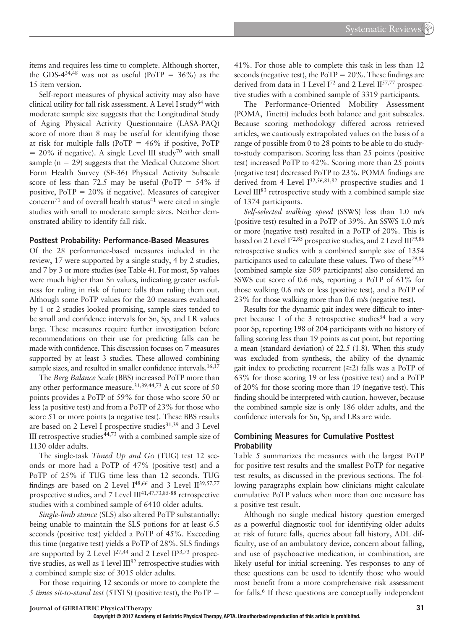items and requires less time to complete. Although shorter, the GDS-4<sup>34,48</sup> was not as useful (PoTP =  $36\%$ ) as the 15-item version.

Self-report measures of physical activity may also have clinical utility for fall risk assessment. A Level I study<sup>64</sup> with moderate sample size suggests that the Longitudinal Study of Aging Physical Activity Questionnaire (LASA-PAQ) score of more than 8 may be useful for identifying those at risk for multiple falls (PoTP =  $46\%$  if positive, PoTP  $= 20\%$  if negative). A single Level III study<sup>70</sup> with small sample ( $n = 29$ ) suggests that the Medical Outcome Short Form Health Survey (SF-36) Physical Activity Subscale score of less than 72.5 may be useful (PoTP  $= 54\%$  if positive, PoTP = 20% if negative). Measures of caregiver concern<sup>71</sup> and of overall health status<sup>41</sup> were cited in single studies with small to moderate sample sizes. Neither demonstrated ability to identify fall risk.

#### **Posttest Probability: Performance-Based Measures**

Of the 28 performance-based measures included in the review, 17 were supported by a single study, 4 by 2 studies, and 7 by 3 or more studies (see Table 4). For most, Sp values were much higher than Sn values, indicating greater usefulness for ruling in risk of future falls than ruling them out. Although some PoTP values for the 20 measures evaluated by 1 or 2 studies looked promising, sample sizes tended to be small and confidence intervals for Sn, Sp, and LR values large. These measures require further investigation before recommendations on their use for predicting falls can be made with confidence. This discussion focuses on 7 measures supported by at least 3 studies. These allowed combining sample sizes, and resulted in smaller confidence intervals.<sup>16,17</sup>

The *Berg Balance Scale* (BBS) increased PoTP more than any other performance measure. 31,39,44,73 A cut score of 50 points provides a PoTP of 59% for those who score 50 or less (a positive test) and from a PoTP of 23% for those who score 51 or more points (a negative test). These BBS results are based on 2 Level I prospective studies<sup>31,39</sup> and 3 Level III retrospective studies 44,73 with a combined sample size of 1130 older adults.

The single-task *Timed Up and Go* (TUG) test 12 seconds or more had a PoTP of 47% (positive test) and a PoTP of 25% if TUG time less than 12 seconds. TUG findings are based on 2 Level  $I^{48,66}$  and 3 Level  $II^{39,57,77}$ prospective studies, and 7 Level III<sup>41,47,73,85-88</sup> retrospective studies with a combined sample of 6410 older adults.

*Single-limb stance* (SLS) also altered PoTP substantially: being unable to maintain the SLS potions for at least 6.5 seconds (positive test) yielded a PoTP of 45%. Exceeding this time (negative test) yields a PoTP of 28%. SLS findings are supported by 2 Level  $I^{27,44}$  and 2 Level  $II^{53,73}$  prospective studies, as well as 1 level  $III^{82}$  retrospective studies with a combined sample size of 3015 older adults.

For those requiring 12 seconds or more to complete the *5 times sit-to-stand test* (5TSTS) (positive test), the PoTP =

41%. For those able to complete this task in less than 12 seconds (negative test), the  $PoTP = 20\%$ . These findings are derived from data in 1 Level  $I^{72}$  and 2 Level  $II^{57,77}$  prospective studies with a combined sample of 3319 participants.

The Performance-Oriented Mobility Assessment (POMA, Tinetti) includes both balance and gait subscales. Because scoring methodology differed across retrieved articles, we cautiously extrapolated values on the basis of a range of possible from 0 to 28 points to be able to do studyto-study comparison. Scoring less than 25 points (positive test) increased PoTP to 42%. Scoring more than 25 points (negative test) decreased PoTP to 23%. POMA findings are derived from 4 Level  $I^{32,56,81,82}$  prospective studies and 1 Level  $III^{83}$  retrospective study with a combined sample size of 1374 participants.

*Self-selected walking speed* (SSWS) less than 1.0 m/s (positive test) resulted in a PoTP of 39%. An SSWS 1.0 m/s or more (negative test) resulted in a PoTP of 20%. This is based on 2 Level  $I^{72,85}$  prospective studies, and 2 Level  $III^{79,86}$ retrospective studies with a combined sample size of 1354 participants used to calculate these values. Two of these<sup>79,85</sup> (combined sample size 509 participants) also considered an SSWS cut score of 0.6 m/s, reporting a PoTP of 61% for those walking 0.6 m/s or less (positive test), and a PoTP of 23% for those walking more than 0.6 m/s (negative test).

Results for the dynamic gait index were difficult to interpret because 1 of the 3 retrospective studies<sup>54</sup> had a very poor Sp, reporting 198 of 204 participants with no history of falling scoring less than 19 points as cut point, but reporting a mean (standard deviation) of 22.5 (1.8). When this study was excluded from synthesis, the ability of the dynamic gait index to predicting recurrent  $(\geq 2)$  falls was a PoTP of 63% for those scoring 19 or less (positive test) and a PoTP of 20% for those scoring more than 19 (negative test). This finding should be interpreted with caution, however, because the combined sample size is only 186 older adults, and the confidence intervals for Sn, Sp, and LRs are wide.

#### **Combining Measures for Cumulative Posttest Probability**

Table 5 summarizes the measures with the largest PoTP for positive test results and the smallest PoTP for negative test results, as discussed in the previous sections. The following paragraphs explain how clinicians might calculate cumulative PoTP values when more than one measure has a positive test result.

Although no single medical history question emerged as a powerful diagnostic tool for identifying older adults at risk of future falls, queries about fall history, ADL difficulty, use of an ambulatory device, concern about falling, and use of psychoactive medication, in combination, are likely useful for initial screening. Yes responses to any of these questions can be used to identify those who would most benefit from a more comprehensive risk assessment for falls. 6 If these questions are conceptually independent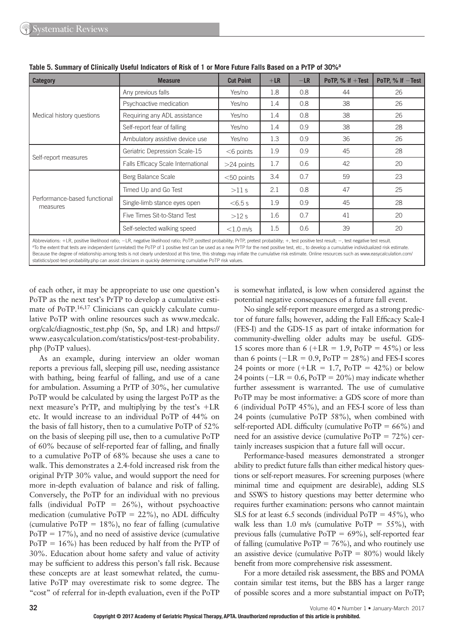| <b>Category</b>                          | <b>Measure</b>                                                                                                                                                                                                       | <b>Cut Point</b> | $+LR$   | $-LR$ | PoTP, $%$ If $+$ Test | PoTP, $%$ If $-$ Test |
|------------------------------------------|----------------------------------------------------------------------------------------------------------------------------------------------------------------------------------------------------------------------|------------------|---------|-------|-----------------------|-----------------------|
|                                          | Any previous falls                                                                                                                                                                                                   | Yes/no           | 1.8     | 0.8   | 44                    | 26                    |
|                                          | Psychoactive medication                                                                                                                                                                                              | Yes/no           | 1.4     | 0.8   | 38                    | 26                    |
| Medical history questions                | Requiring any ADL assistance                                                                                                                                                                                         | Yes/no           | 1.4     | 0.8   | 38                    | 26                    |
|                                          | Self-report fear of falling                                                                                                                                                                                          | Yes/no           | 1.4     | 0.9   | 38                    | 28                    |
|                                          | Ambulatory assistive device use                                                                                                                                                                                      | Yes/no           | 1.3     | 0.9   | 36                    | 26                    |
|                                          | Geriatric Depression Scale-15                                                                                                                                                                                        | $<$ 6 points     | 1.9     | 0.9   | 45                    | 28                    |
| Self-report measures                     | Falls Efficacy Scale International                                                                                                                                                                                   | $>24$ points     | 1.7     | 0.6   | 42                    | 20                    |
|                                          | Berg Balance Scale                                                                                                                                                                                                   | $<$ 50 points    | 3.4     | 0.7   | 59                    | 23                    |
|                                          | Timed Up and Go Test                                                                                                                                                                                                 | >11 s            | 2.1     | 0.8   | 47                    | 25                    |
| Performance-based functional<br>measures | Single-limb stance eyes open                                                                                                                                                                                         | $< 6.5$ s        | 1.9     | 0.9   | 45                    | 28                    |
|                                          | Five Times Sit-to-Stand Test                                                                                                                                                                                         | >12 s            | 1.6     | 0.7   | 41                    | 20                    |
|                                          | Self-selected walking speed                                                                                                                                                                                          | $<$ 1.0 m/s      | $1.5\,$ | 0.6   | 39                    | 20                    |
|                                          | $\Delta$ Abbraviations: $\pm$ R nocitiva likelihood ratio: $\pm$ R nagativa likelihood ratio: PoTP nocttast probability: PrTP pratast probability: $\pm$ tast positiva tast result: $\pm$ tast nagativa tast result: |                  |         |       |                       |                       |

**Table 5. Summary of Clinically Useful Indicators of Risk of 1 or More Future Falls Based on a PrTP of 30% a**

Abbreviations: +LR, positive likelihood ratio; −LR, negative likelihood ratio; PoTP, posttest probability; PrTP, pretest probability; +, test positive test result; −, test negative test result. <sup>a</sup>To the extent that tests are independent (unrelated) the PoTP of 1 positive test can be used as a new PrTP for the next positive test, etc., to develop a cumulative individualized risk estimate Because the degree of relationship among tests is not clearly understood at this time, this strategy may inflate the cumulative risk estimate. Online resources such as www.easycalculation.com/ statistics/post-test-probability.php can assist clinicians in quickly determining cumulative PoTP risk values.

of each other, it may be appropriate to use one question's PoTP as the next test's PrTP to develop a cumulative estimate of PoTP.<sup>16,17</sup> Clinicians can quickly calculate cumulative PoTP with online resources such as www.medcalc. org/calc/diagnostic\_test.php(Sn, Sp, and LR) and https:// www.easycalculation.com/statistics/post-test-probability. php(PoTP values).

As an example, during interview an older woman reports a previous fall, sleeping pill use, needing assistance with bathing, being fearful of falling, and use of a cane for ambulation. Assuming a PrTP of 30%, her cumulative PoTP would be calculated by using the largest PoTP as the next measure's PrTP, and multiplying by the test's +LR etc. It would increase to an individual PoTP of 44% on the basis of fall history, then to a cumulative PoTP of 52% on the basis of sleeping pill use, then to a cumulative PoTP of 60% because of self-reported fear of falling, and finally to a cumulative PoTP of 68% because she uses a cane to walk. This demonstrates a 2.4-fold increased risk from the original PrTP 30% value, and would support the need for more in-depth evaluation of balance and risk of falling. Conversely, the PoTP for an individual with no previous falls (individual PoTP =  $26\%$ ), without psychoactive medication (cumulative PoTP =  $22\%$ ), no ADL difficulty (cumulative PoTP =  $18\%$ ), no fear of falling (cumulative  $PoTP = 17\%$ ), and no need of assistive device (cumulative PoTP = 16%) has been reduced by half from the PrTP of 30%. Education about home safety and value of activity may be sufficient to address this person's fall risk. Because these concepts are at least somewhat related, the cumulative PoTP may overestimate risk to some degree. The "cost" of referral for in-depth evaluation, even if the PoTP is somewhat inflated, is low when considered against the potential negative consequences of a future fall event.

No single self-report measure emerged as a strong predictor of future falls; however, adding the Fall Efficacy Scale-I (FES-I) and the GDS-15 as part of intake information for community-dwelling older adults may be useful. GDS-15 scores more than 6 ( $+LR = 1.9$ ,  $PoTP = 45\%$ ) or less than 6 points ( $-LR = 0.9$ ,  $PoTP = 28\%$ ) and FES-I scores 24 points or more  $(+LR = 1.7, PoTP = 42\%)$  or below 24 points ( $-LR = 0.6$ ,  $PoTP = 20\%$ ) may indicate whether further assessment is warranted. The use of cumulative PoTP may be most informative: a GDS score of more than 6 (individual PoTP 45%), and an FES-I score of less than 24 points (cumulative PoTP 58%), when combined with self-reported ADL difficulty (cumulative  $PoTP = 66\%$ ) and need for an assistive device (cumulative  $PoTP = 72\%$ ) certainly increases suspicion that a future fall will occur.

Performance-based measures demonstrated a stronger ability to predict future falls than either medical history questions or self-report measures. For screening purposes (where minimal time and equipment are desirable), adding SLS and SSWS to history questions may better determine who requires further examination: persons who cannot maintain SLS for at least 6.5 seconds (individual PoTP =  $45\%$ ), who walk less than 1.0 m/s (cumulative PoTP =  $55\%$ ), with previous falls (cumulative PoTP = 69%), self-reported fear of falling (cumulative  $PoTP = 76\%$ ), and who routinely use an assistive device (cumulative  $PoTP = 80\%$ ) would likely benefit from more comprehensive risk assessment.

For a more detailed risk assessment, the BBS and POMA contain similar test items, but the BBS has a larger range of possible scores and a more substantial impact on PoTP;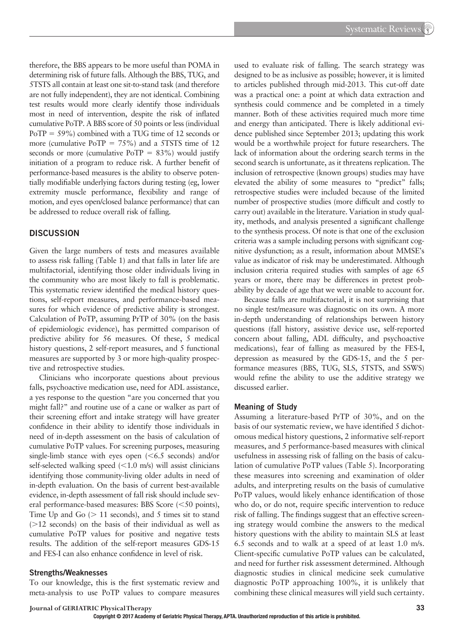therefore, the BBS appears to be more useful than POMA in determining risk of future falls. Although the BBS, TUG, and 5TSTS all contain at least one sit-to-stand task (and therefore are not fully independent), they are not identical. Combining test results would more clearly identify those individuals most in need of intervention, despite the risk of inflated cumulative PoTP. A BBS score of 50 points or less (individual PoTP = 59%) combined with a TUG time of 12 seconds or more (cumulative PoTP =  $75\%$ ) and a 5TSTS time of 12 seconds or more (cumulative  $PoTP = 83\%$ ) would justify initiation of a program to reduce risk. A further benefit of performance-based measures is the ability to observe potentially modifiable underlying factors during testing (eg, lower extremity muscle performance, flexibility and range of motion, and eyes open/closed balance performance) that can be addressed to reduce overall risk of falling.

#### **DISCUSSION**

Given the large numbers of tests and measures available to assess risk falling (Table 1) and that falls in later life are multifactorial, identifying those older individuals living in the community who are most likely to fall is problematic. This systematic review identified the medical history questions, self-report measures, and performance-based measures for which evidence of predictive ability is strongest. Calculation of PoTP, assuming PrTP of 30% (on the basis of epidemiologic evidence), has permitted comparison of predictive ability for 56 measures. Of these, 5 medical history questions, 2 self-report measures, and 5 functional measures are supported by 3 or more high-quality prospective and retrospective studies.

Clinicians who incorporate questions about previous falls, psychoactive medication use, need for ADL assistance, a yes response to the question "are you concerned that you might fall?" and routine use of a cane or walker as part of their screening effort and intake strategy will have greater confidence in their ability to identify those individuals in need of in-depth assessment on the basis of calculation of cumulative PoTP values. For screening purposes, measuring single-limb stance with eyes open  $(< 6.5$  seconds) and/or self-selected walking speed  $(<1.0$  m/s) will assist clinicians identifying those community-living older adults in need of in-depth evaluation. On the basis of current best-available evidence, in-depth assessment of fall risk should include several performance-based measures: BBS Score (<50 points), Time Up and Go  $($  > 11 seconds), and 5 times sit to stand  $($ >12 seconds) on the basis of their individual as well as cumulative PoTP values for positive and negative tests results. The addition of the self-report measures GDS-15 and FES-I can also enhance confidence in level of risk.

#### **Strengths/Weaknesses**

To our knowledge, this is the first systematic review and meta-analysis to use PoTP values to compare measures

used to evaluate risk of falling. The search strategy was designed to be as inclusive as possible; however, it is limited to articles published through mid-2013. This cut-off date was a practical one: a point at which data extraction and synthesis could commence and be completed in a timely manner. Both of these activities required much more time and energy than anticipated. There is likely additional evidence published since September 2013; updating this work would be a worthwhile project for future researchers. The lack of information about the ordering search terms in the second search is unfortunate, as it threatens replication. The inclusion of retrospective (known groups) studies may have elevated the ability of some measures to "predict" falls; retrospective studies were included because of the limited number of prospective studies (more difficult and costly to carry out) available in the literature. Variation in study quality, methods, and analysis presented a significant challenge to the synthesis process. Of note is that one of the exclusion criteria was a sample including persons with significant cognitive dysfunction; as a result, information about MMSE's value as indicator of risk may be underestimated. Although inclusion criteria required studies with samples of age 65 years or more, there may be differences in pretest probability by decade of age that we were unable to account for.

Because falls are multifactorial, it is not surprising that no single test/measure was diagnostic on its own. A more in-depth understanding of relationships between history questions (fall history, assistive device use, self-reported concern about falling, ADL difficulty, and psychoactive medications), fear of falling as measured by the FES-I, depression as measured by the GDS-15, and the 5 performance measures (BBS, TUG, SLS, 5TSTS, and SSWS) would refine the ability to use the additive strategy we discussed earlier.

#### **Meaning of Study**

Assuming a literature-based PrTP of 30%, and on the basis of our systematic review, we have identified 5 dichotomous medical history questions, 2 informative self-report measures, and 5 performance-based measures with clinical usefulness in assessing risk of falling on the basis of calculation of cumulative PoTP values (Table 5). Incorporating these measures into screening and examination of older adults, and interpreting results on the basis of cumulative PoTP values, would likely enhance identification of those who do, or do not, require specific intervention to reduce risk of falling. The findings suggest that an effective screening strategy would combine the answers to the medical history questions with the ability to maintain SLS at least 6.5 seconds and to walk at a speed of at least 1.0 m/s. Client-specific cumulative PoTP values can be calculated, and need for further risk assessment determined. Although diagnostic studies in clinical medicine seek cumulative diagnostic PoTP approaching 100%, it is unlikely that combining these clinical measures will yield such certainty.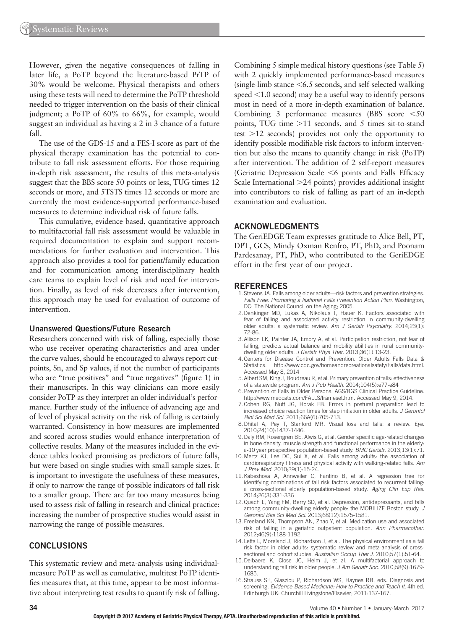However, given the negative consequences of falling in later life, a PoTP beyond the literature-based PrTP of 30% would be welcome. Physical therapists and others using these tests will need to determine the PoTP threshold needed to trigger intervention on the basis of their clinical judgment; a PoTP of 60% to 66%, for example, would suggest an individual as having a 2 in 3 chance of a future fall.

The use of the GDS-15 and a FES-I score as part of the physical therapy examination has the potential to contribute to fall risk assessment efforts. For those requiring in-depth risk assessment, the results of this meta-analysis suggest that the BBS score 50 points or less, TUG times 12 seconds or more, and 5TSTS times 12 seconds or more are currently the most evidence-supported performance-based measures to determine individual risk of future falls.

This cumulative, evidence-based, quantitative approach to multifactorial fall risk assessment would be valuable in required documentation to explain and support recommendations for further evaluation and intervention. This approach also provides a tool for patient/family education and for communication among interdisciplinary health care teams to explain level of risk and need for intervention. Finally, as level of risk decreases after intervention, this approach may be used for evaluation of outcome of intervention.

#### **Unanswered Questions/Future Research**

Researchers concerned with risk of falling, especially those who use receiver operating characteristics and area under the curve values, should be encouraged to always report cutpoints, Sn, and Sp values, if not the number of participants who are "true positives" and "true negatives" (figure 1) in their manuscripts. In this way clinicians can more easily consider PoTP as they interpret an older individual's performance. Further study of the influence of advancing age and of level of physical activity on the risk of falling is certainly warranted. Consistency in how measures are implemented and scored across studies would enhance interpretation of collective results. Many of the measures included in the evidence tables looked promising as predictors of future falls, but were based on single studies with small sample sizes. It is important to investigate the usefulness of these measures, if only to narrow the range of possible indicators of fall risk to a smaller group. There are far too many measures being used to assess risk of falling in research and clinical practice: increasing the number of prospective studies would assist in narrowing the range of possible measures.

#### **CONCLUSIONS**

This systematic review and meta-analysis using individualmeasure PoTP as well as cumulative, multitest PoTP identifies measures that, at this time, appear to be most informative about interpreting test results to quantify risk of falling. Combining 5 simple medical history questions (see Table 5) with 2 quickly implemented performance-based measures (single-limb stance <6.5 seconds, and self-selected walking speed <1.0 second) may be a useful way to identify persons most in need of a more in-depth examination of balance. Combining 3 performance measures (BBS score <50 points, TUG time >11 seconds, and 5 times sit-to-stand test >12 seconds) provides not only the opportunity to identify possible modifiable risk factors to inform intervention but also the means to quantify change in risk (PoTP) after intervention. The addition of 2 self-report measures (Geriatric Depression Scale  $\leq 6$  points and Falls Efficacy Scale International >24 points) provides additional insight into contributors to risk of falling as part of an in-depth examination and evaluation.

#### **ACKNOWLEDGMENTS**

The GeriEDGE Team expresses gratitude to Alice Bell, PT, DPT, GCS, Mindy Oxman Renfro, PT, PhD, and Poonam Pardesanay, PT, PhD, who contributed to the GeriEDGE effort in the first year of our project.

#### **REFERENCES**

- 1. Stevens JA . Falls among older adults—risk factors and prevention strategies . *Falls Free: Promoting a National Falls Prevention Action Plan*. Washington, DC: The National Council on the Aging; 2005.
- 2. Denkinger MD, Lukas A, Nikolaus T, Hauer K. Factors associated with fear of falling and associated activity restriction in community-dwelling older adults: a systematic review. Am J Geriatr Psychiatry. 2014;23(1): 72-86 .
- 3. Allison LK, Painter JA, Emory A, et al. Participation restriction, not fear of falling, predicts actual balance and mobility abilities in rural communitydwelling older adults. *J Geriatr Phys Ther*. 2013;36(1):13-23.
- 4. Centers for Disease Control and Prevention. Older Adults Falls Data & Statistics. http://www.cdc.gov/homeandrecreationalsafety/Falls/data.html. http://www.cdc.gov/homeandrecreationalsafety/Falls/data.html. Accessed May 8, 2014
- 5. Albert SM, King J, Boudreau R, et al. Primary prevention of falls: effectiveness of a statewide program. Am J Pub Health. 2014;104(5):e77-e84
- 6. Prevention of Falls in Older Persons. AGS/BGS Clinical Practice Guideline . http://www.medcats.com/FALLS/frameset.htm. Accessed May 9, 2014.
- 7. Cohen RG, Nutt JG, Horak FB. Errors in postural preparation lead to increased choice reaction times for step initiation in older adults . *J Gerontol*  Biol Sci Med Sci. 2011;66A(6):705-713.
- 8. Dhital A, Pey T, Stanford MR . Visual loss and falls: a review . *Eye*. 2010 ; 24 ( 10 ): 1437-1446 .
- 9. Daly RM, Rosengren BE, Alwis G, et al. Gender specific age-related changes in bone density, muscle strength and functional performance in the elderly: a-10 year prospective population-based study . *BMC Geriatr*. 2013 ; 13 ( 1 ): 71 .
- 10. Mertz KJ, Lee DC, Sui X, et al. Falls among adults: the association of cardiorespiratory fitness and physical activity with walking-related falls. Am *J Prev Med.* 2010;39(1):15-24.
- 11. Kabeshova A, Annweiler C, Fantino B, et al. A regression tree for identifying combinations of fall risk factors associated to recurrent falling: a cross-sectional elderly population-based study. Aging Clin Exp Res. 2014:26(3):331-336
- 12. Quach L, Yang FM, Berry SD, et al. Depression, antidepressants, and falls among community-dwelling elderly people: the MOBILIZE Boston study. J *Gerontol Biol Sci Med Sci*. 2013 ; 68 ( 12 ): 1575-1581 .
- 13. Freeland KN, Thompson AN, Zhao Y, et al. Medication use and associated risk of falling in a geriatric outpatient population. Ann Pharmacother. 2012:46(9):1188-1192.
- 14. Letts L, Moreland J, Richardson J, et al. The physical environment as a fall risk factor in older adults: systematic review and meta-analysis of crosssectional and cohort studies. Australian Occup Ther J. 2010;57(1):51-64.
- 15. Delbaere K, Close JC, Heim J, et al. A multifactorial approach to understanding fall risk in older people. *J Am Geriatr Soc.* 2010;58(9):1679-1685 .
- 16. Strauss SE, Glasziou P, Richardson WS, Haynes RB, eds. Diagnosis and screening . *Evidence-Based Medicine: How to Practice and Teach It*. 4th ed. Edinburgh UK: Churchill Livingstone/Elsevier; 2011:137-167.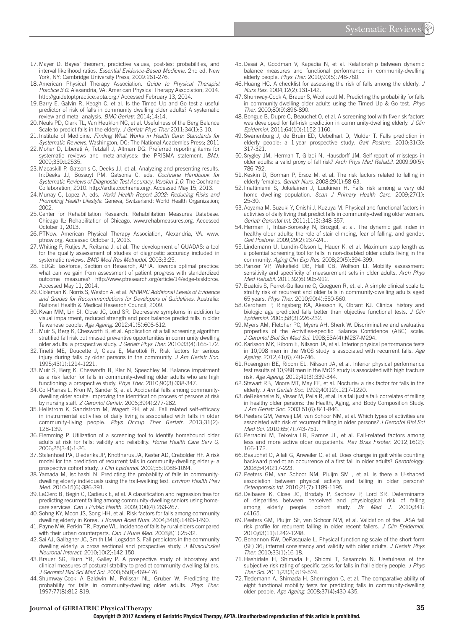- 17. Mayer D. Bayes' theorem, predictive values, post-test probabilities, and interval likelihood ratios . *Essential Evidence-Based Medicine.* 2nd ed. New York, NY: Cambridge University Press; 2009:261-276.
- 18. American Physical Therapy Association. *Guide to Physical Therapist*  Practice 3.0. Alexandria, VA: American Physical Therapy Association; 2014. http://guidetoptpractice.apta.org./Accessed February 13, 2014.
- 19. Barry E, Galvin R, Keogh C, et al. Is the Timed Up and Go test a useful predictor of risk of falls in community dwelling older adults? A systematic review and meta- analysis. *BMC Geriatr*. 2014;14:14.
- 20. Neuls PD, Clark TL, Van Heuklon NC , et al. Usefulness of the Berg Balance Scale to predict falls in the elderly. *J Geriatr Phys Ther* 2011;34(1):3-10.
- 21. Institute of Medicine. *Finding What Works in Health Care: Standards for*  Systematic Reviews. Washington, DC: The National Academies Press; 2011
- 22. Moher D, Liberati A, Tetzlaff J, Altman DG. Preferred reporting items for systematic reviews and meta-analyses: the PRISMA statement. BMJ. 2009 ; 339 : b2535 .
- 23. Macaskill P, Gatsonis C, Deeks JJ, et al. Analyzing and presenting results. In: Deeks JJ, Bossuyt PM, Gatsonis C, eds. *Cochrane Handbook for Systematic Reviews of Diagnostic Test Accuracy*, *Version 1.0*. The Cochrane Collaboration; 2010. http://srdta.cochrane.org/. Accessed May 15, 2013.
- 24. Murray C, Lopez A, eds. World Health Report 2002: Reducing Risks and Promoting Health Lifestyle. Geneva, Switzerland: World Health Organization; 2002.
- 25. Center for Rehabilitation Research. Rehabilitation Measures Database. Chicago IL: Rehabilitation of Chicago. www.rehabmeasures.org. Accessed October 1, 2013.
- 26. PTNow. American Physical Therapy Association, Alexandria, VA. www. ptnow.org . Accessed October 1, 2013.
- 27. Whiting P, Rutjes A, Reitsma J, et al. The development of QUADAS: a tool for the quality assessment of studies of diagnostic accuracy included in systematic reviews. *BMC Med Res Methodol*. 2003;3:25.
- 28.EDGE Taskforce, Section on Research, APTA. Towards optimal practice: what can we gain from assessment of patient progress with standardized outcome measures? http://www.ptresearch.org/article/14/edge-taskforce . Accessed May 11, 2014.
- 29. Cloleman K, Norris S, Weston A , et al. *NHMRC Additional Levels of Evidence and Grades for Recommendations for Developers of Guidelines*. Australia : National Health & Medical Research Council: 2009.
- 30. Kwan MM, Lin SI, Close JC, Lord SR . Depressive symptoms in addition to visual impairment, reduced strength and poor balance predict falls in older Taiwanese people. Age Ageing. 2012:41(5):606-612.
- 31. Muir S, Berg K, Chesworth B, et al. Application of a fall screening algorithm stratified fall risk but missed preventive opportunities in community dwelling older adults: a prospective study. *J Geriatr Phys Ther*. 2010:33(4):165-172
- 32. Tinetti ME, Doucette J, Claus E, Marottoli R . Risk factors for serious injury during falls by older persons in the community . *J Am Geriatr Soc*. 1995 ; 43 ( 1 ): 1214-1221 .
- 33. Muir S, Berg K, Chesworth B, Klar N, Speechley M. Balance impairment as a risk factor for falls in community-dwelling older adults who are high functioning: a prospective study. Phys Ther. 2010;90(3):338-347.
- 34. Coll-Planas L, Kron M, Sander S, et al. Accidental falls among communitydwelling older adults: improving the identification process of persons at risk by nursing staff. *Z Gerontol Geriatr*. 2006;39(4):277-282.
- 35. Hellstrom K, Sandstrom M, Wagert PH, et al. Fall related self-efficacy in instrumental activities of daily living is associated with falls in older community-living people. *Phys Occup Ther Geriatr.* 2013;31(2): 128-139 .
- 36. Flemming P. Utilization of a screening tool to identify homebound older adults at risk for falls: validity and reliability . *Home Health Care Serv Q*. 2006;25(3-4):1-26.
- 37. Stalenhoef PA, Diederiks JP, Knottnerus JA, Kester AD, Crebolder HF . A risk model for the prediction of recurrent falls in community-dwelling elderly: a prospective cohort study. *J Clin Epidemol*. 2002;55:1088-1094.
- 38. Yamada M, Iscihashi N. Predicting the probability of falls in communitydwelling elderly individuals using the trail-walking test . *Environ Health Prev Med.* 2010:15(6):386-391.
- 39. LeClerc B, Begin C, Cadieux E, et al. A classification and regression tree for predicting recurrent falling among community-dwelling seniors using homecare services. *Can J Public Health*. 2009;100(4):263-267.
- 40. Sohng KY, Moon JS, Song HH, et al. Risk factors for falls among community dwelling elderly in Korea. J Korean Acad Nurs. 2004;34(8):1483-1490.
- 41. Payne MW, Perkin TR, Payne WL . Incidence of falls by rural elders compared with their urban counterparts. Can J Rural Med. 2003;8(1):25-32.
- 42. Sai AJ, Gallagher JC, Smith LM, Logsdon S. Fall predictors in the community dwelling elderly: a cross sectional and prospective study . *J Musculoskel Neuronal Interact.* 2010;10(2):142-150.
- 43. Brauer SG, Burn YR, Galley P. A prospective study of laboratory and clinical measures of postural stability to predict community-dwelling fallers . *J Gerontol Biol Sci Med Sci*. 2000 ; 55 ( 8 ): 469-476 .
- 44. Shumway-Cook A Baldwin M, Polissar NL, Gruber W. Predicting the probability for falls in community-dwelling older adults. Phys Ther. 1997:77(8):812-819.
- 45. Desai A, Goodman V, Kapadia N, et al. Relationship between dynamic balance measures and functional performance in community-dwelling elderly people. Phys Ther. 2010;90(5):748-760.
- 46. Huang HC . A checklist for assessing the risk of falls among the elderly . *J Nurs Res.* 2004;12(2):131-142.
- 47. Shumway-Cook A, Brauer S, Woollacott M. Predicting the probability for falls in community-dwelling older adults using the Timed Up & Go test. Phys *Ther*. 2000 ; 80 ( 9 ): 896-890 .
- 48. Bongue B, Dupre C, Beauchet O, et al. A screening tool with five risk factors was developed for fall-risk prediction in community-dwelling elderly . *J Clin Epidemiol.* 2011;64(10):1152-1160.
- 49. Swanenburg J, de Bruin ED, Uebelhart D, Mulder T. Falls prediction in elderly people: a 1-year prospective study. Gait Posture. 2010;31(3): 317-321 .
- 50. Srygley JM, Herman T, Giladi N, Hausdorff JM . Self-report of missteps in older adults: a valid proxy of fall risk? Arch Phys Med Rehabil. 2009;90(5): 786-792 .
- 51. Keskin D, Borman P, Ersoz M, et al. The risk factors related to falling in elderly females. Geriatr Nurs. 2008;29(1):58-63.
- 52. linattiniemi S, Jokelainen J, Luukinen H. Falls risk among a very old home dwelling population. Scan J Primary Health Care. 2009;27(1): 25-30 .
- 53. Aoyama M, Suzuki Y, Onishi J, Kuzuya M. Physical and functional factors in activities of daily living that predict falls in community-dwelling older women . Geriatr Gerontol Int. 2011;11(3):348-357.
- 54. Herman T, Inbar-Borovsky N, Brozgol, et al. The dynamic gait index in healthy older adults; the role of stair climbing, fear of falling, and gender. Gait Posture. 2009;29(2):237-241.
- 55. Lindemann U, Lundin-Olsson L, Hauer K, et al. Maximum step length as a potential screening tool for falls in non-disabled older adults living in the community. Aging Clin Exp Res. 2008;20(5):394-399.
- 56. Panzer VP, Wakefield DB, Hall CB, Wolfson LI. Mobility assessment: sensitivity and specificity of measurement sets in older adults. Arch Phys *Med Rehabil.* 2011;92(6):905-912.
- 57. Buatois S, Perret-Guillaume C, Gueguen R , et. el. A simple clinical scale to stratify risk of recurrent and older falls in community-dwelling adults aged 65 years. Phys Ther. 2010;90(4):550-560.
- 58. Gerdhem P, Ringsberg KA, Akesson K, Obrant KJ. Clinical historv and biologic age predicted falls better than objective functional tests . *J Clin Epidemiol*. 2005 ; 58 ( 3 ): 226-232 .
- 59. Myers AM, Fletcher PC, Myers AH, Sherk W. Discriminative and evaluative properties of the Activities-specific Balance Confidence (ABC) scale. *J Gerontol Biol Sci Med Sci*. 1998 ; 53A ( 4 ): M287-M294 .
- 60. Karlsson MK, Ribom E, Nilsson JA , et al. Inferior physical performance tests in 10,998 men in the MrOS study is associated with recurrent falls. Age Ageing. 2012;41(6);740-746.
- 61. Rosengren BE, Ribom EL, Nilsson JA , et al. Inferior physical performance test results of 10,988 men in the MrOS study is associated with high fracture risk. Age Ageing. 2012;41(3):339-344.
- 62. Stewart RB, Moore MT, May FE, et al. Nocturia: a risk factor for falls in the elderly. *J Am Geriatr Soc.* 1992;40(12):1217-1220.
- 63. de Rekeneire N, Visser M, Peila R, et al. Is a fall just a fall: correlates of falling in healthy older persons: the Health, Aging, and Body Composition Study. *J Am Geriatr Soc.* 2003;51(6):841-846.
- 64. Peeters GM, Verweij LM, van Schoor NM , et al. Which types of activities are associated with risk of recurrent falling in older persons? *J Gerontol Biol Sci Med Sci.* 2010:65(7):743-751.
- 65. Perracini M, Teixeira LR, Ramos JL, et al. Fall-related factors among less and more active older outpatients. Rev Bras Fisoter. 2012;16(2): 166-172 .
- 66. Beauchet O, Allali G, Anweiler C, et al. Does change in gait while counting backward predict an occurrence of a first fall in older adults? *Gerontology*. 2008:54(4)217-223
- 67. Peeters GM, van Schoor NM, Pluijm SM , et al. Is there a U-shaped association between physical activity and falling in older persons? *Osteoporosis Int*. 2010 ; 21 ( 7 ): 1189-1195 .
- 68. Delbaere K, Close JC, Brodaty P, Sachdev P, Lord SR . Determinants of disparities between perceived and physiological risk of falling among elderly people: cohort study. Br Med J. 2010;341: c4165.
- 69. Peeters GM, Pluijm SF, van Schoor NM , et al. Validation of the LASA fall risk profile for recurrent falling in older recent fallers. *J Clin Epidemiol*. 2010;63(11):1242-1248
- 70. Bohannon RW, DePasquale L. Physical functioning scale of the short form (SF) 36; internal consistency and validity with older adults . *J Geriatr Phys Ther.* 2010;33(1):16-18.
- 71. Hashidate H, Shimada H, Shiomi T, Sasamoto N. Usefulness of the subjective risk rating of specific tasks for falls in frail elderly people. J Phys Ther Sci. 2011;23(3):519-524.
- 72. Tiedemann A, Shimada H, Sherrington C, et al. The comparative ability of eight functional mobility tests for predicting falls in community-dwelling older people. Age Ageing. 2008;37(4):430-435.

#### **Journal of GERIATRIC Physical Therapy 35**